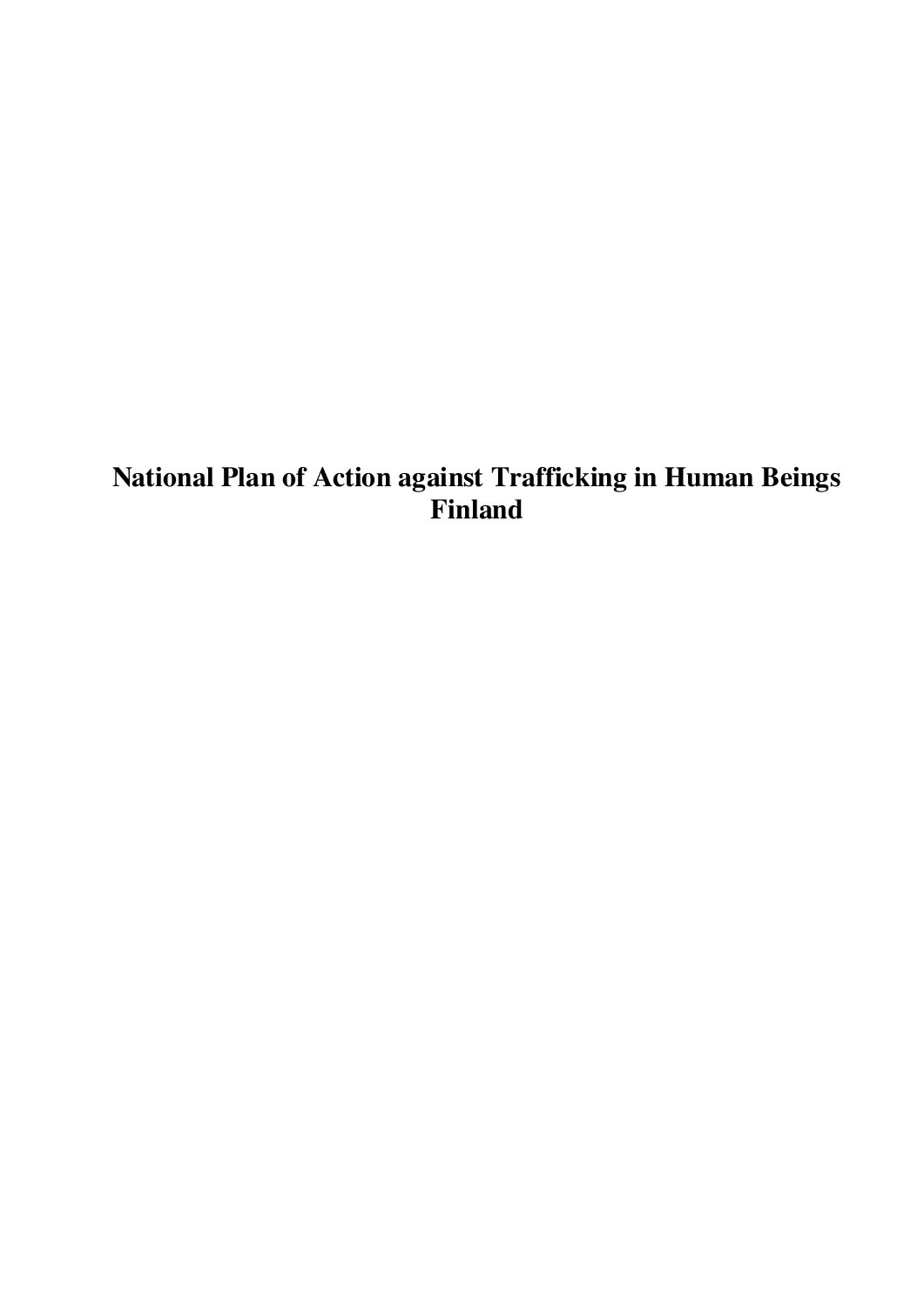# **National Plan of Action against Trafficking in Human Beings Finland**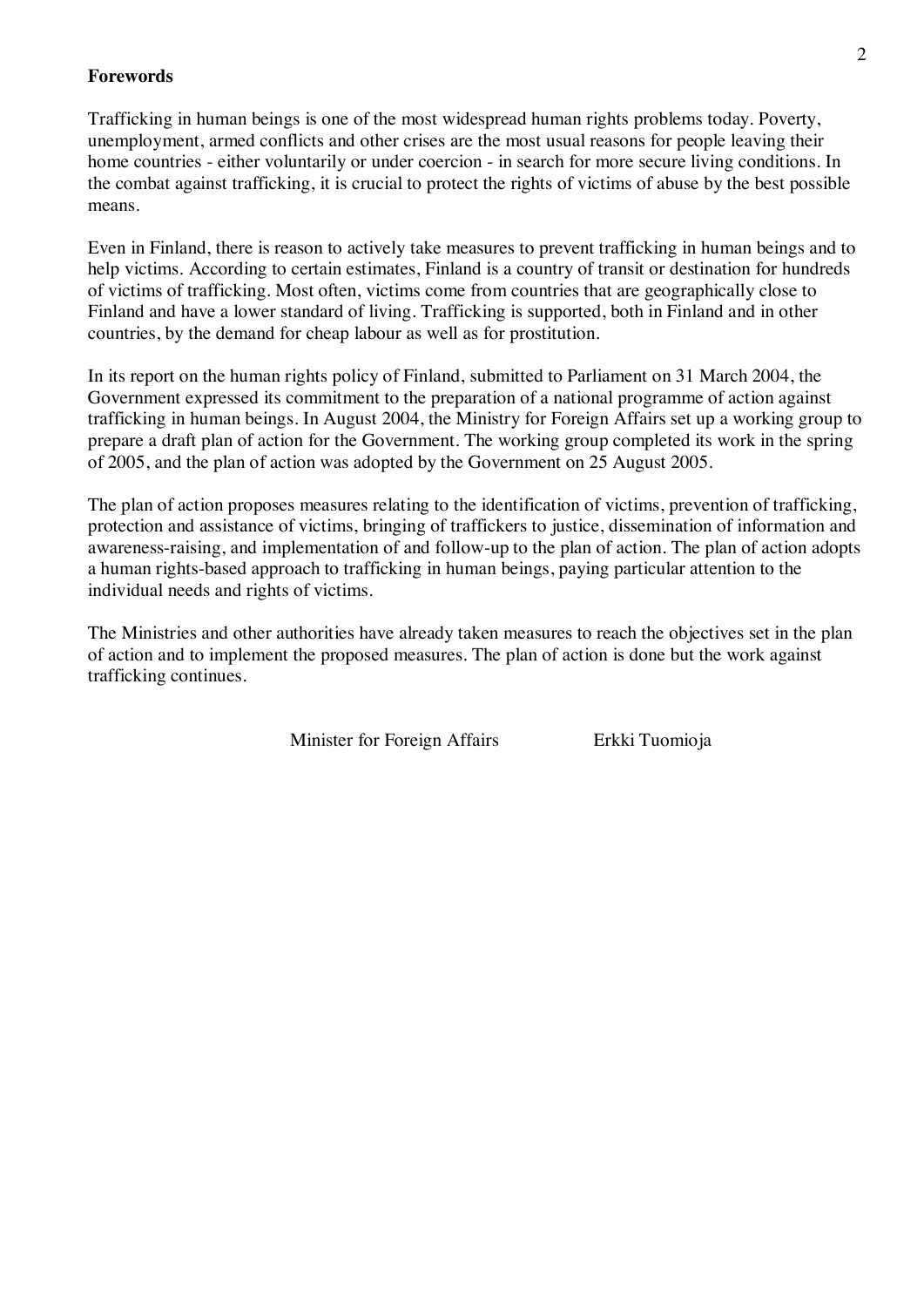#### **Forewords**

Trafficking in human beings is one of the most widespread human rights problems today. Poverty, unemployment, armed conflicts and other crises are the most usual reasons for people leaving their home countries - either voluntarily or under coercion - in search for more secure living conditions. In the combat against trafficking, it is crucial to protect the rights of victims of abuse by the best possible means.

Even in Finland, there is reason to actively take measures to prevent trafficking in human beings and to help victims. According to certain estimates, Finland is a country of transit or destination for hundreds of victims of trafficking. Most often, victims come from countries that are geographically close to Finland and have a lower standard of living. Trafficking is supported, both in Finland and in other countries, by the demand for cheap labour as well as for prostitution.

In its report on the human rights policy of Finland, submitted to Parliament on 31 March 2004, the Government expressed its commitment to the preparation of a national programme of action against trafficking in human beings. In August 2004, the Ministry for Foreign Affairs set up a working group to prepare a draft plan of action for the Government. The working group completed its work in the spring of 2005, and the plan of action was adopted by the Government on 25 August 2005.

The plan of action proposes measures relating to the identification of victims, prevention of trafficking, protection and assistance of victims, bringing of traffickers to justice, dissemination of information and awareness-raising, and implementation of and follow-up to the plan of action. The plan of action adopts a human rights-based approach to trafficking in human beings, paying particular attention to the individual needs and rights of victims.

The Ministries and other authorities have already taken measures to reach the objectives set in the plan of action and to implement the proposed measures. The plan of action is done but the work against trafficking continues.

Minister for Foreign Affairs Erkki Tuomioja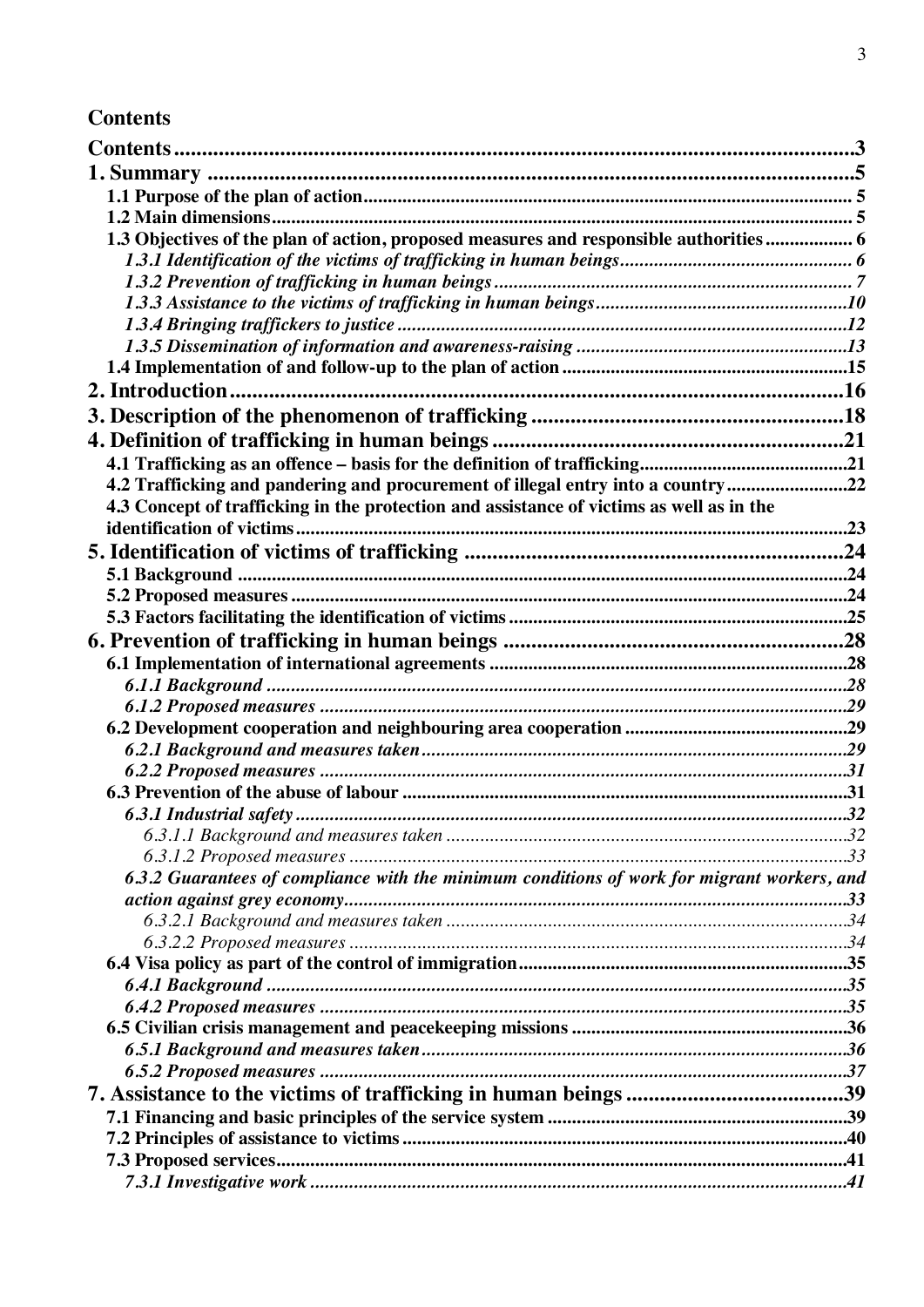# **Contents**

| 1.3 Objectives of the plan of action, proposed measures and responsible authorities  6      |  |
|---------------------------------------------------------------------------------------------|--|
|                                                                                             |  |
|                                                                                             |  |
|                                                                                             |  |
|                                                                                             |  |
|                                                                                             |  |
|                                                                                             |  |
|                                                                                             |  |
|                                                                                             |  |
|                                                                                             |  |
|                                                                                             |  |
| 4.2 Trafficking and pandering and procurement of illegal entry into a country22             |  |
| 4.3 Concept of trafficking in the protection and assistance of victims as well as in the    |  |
|                                                                                             |  |
|                                                                                             |  |
|                                                                                             |  |
|                                                                                             |  |
|                                                                                             |  |
|                                                                                             |  |
|                                                                                             |  |
|                                                                                             |  |
|                                                                                             |  |
|                                                                                             |  |
|                                                                                             |  |
|                                                                                             |  |
|                                                                                             |  |
|                                                                                             |  |
|                                                                                             |  |
|                                                                                             |  |
| 6.3.2 Guarantees of compliance with the minimum conditions of work for migrant workers, and |  |
|                                                                                             |  |
|                                                                                             |  |
|                                                                                             |  |
|                                                                                             |  |
|                                                                                             |  |
|                                                                                             |  |
|                                                                                             |  |
|                                                                                             |  |
|                                                                                             |  |
|                                                                                             |  |
|                                                                                             |  |
|                                                                                             |  |
|                                                                                             |  |
|                                                                                             |  |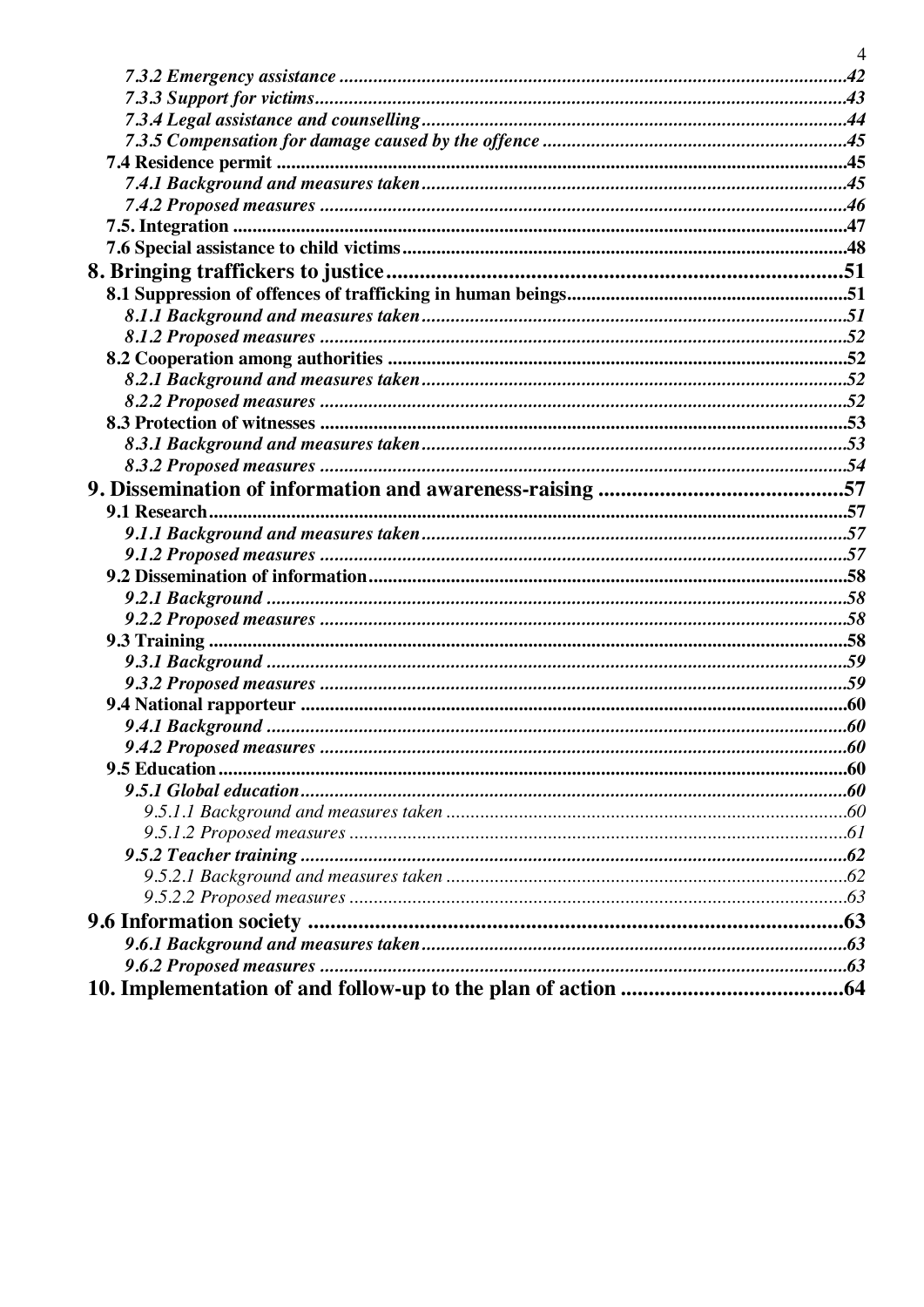| $\overline{4}$ |
|----------------|
|                |
|                |
|                |
|                |
|                |
|                |
|                |
|                |
|                |
|                |
|                |
|                |
|                |
|                |
|                |
|                |
|                |
|                |
|                |
|                |
|                |
|                |
|                |
|                |
|                |
|                |
|                |
|                |
|                |
|                |
|                |
|                |
|                |
|                |
|                |
|                |
|                |
|                |
|                |
|                |
|                |
|                |
|                |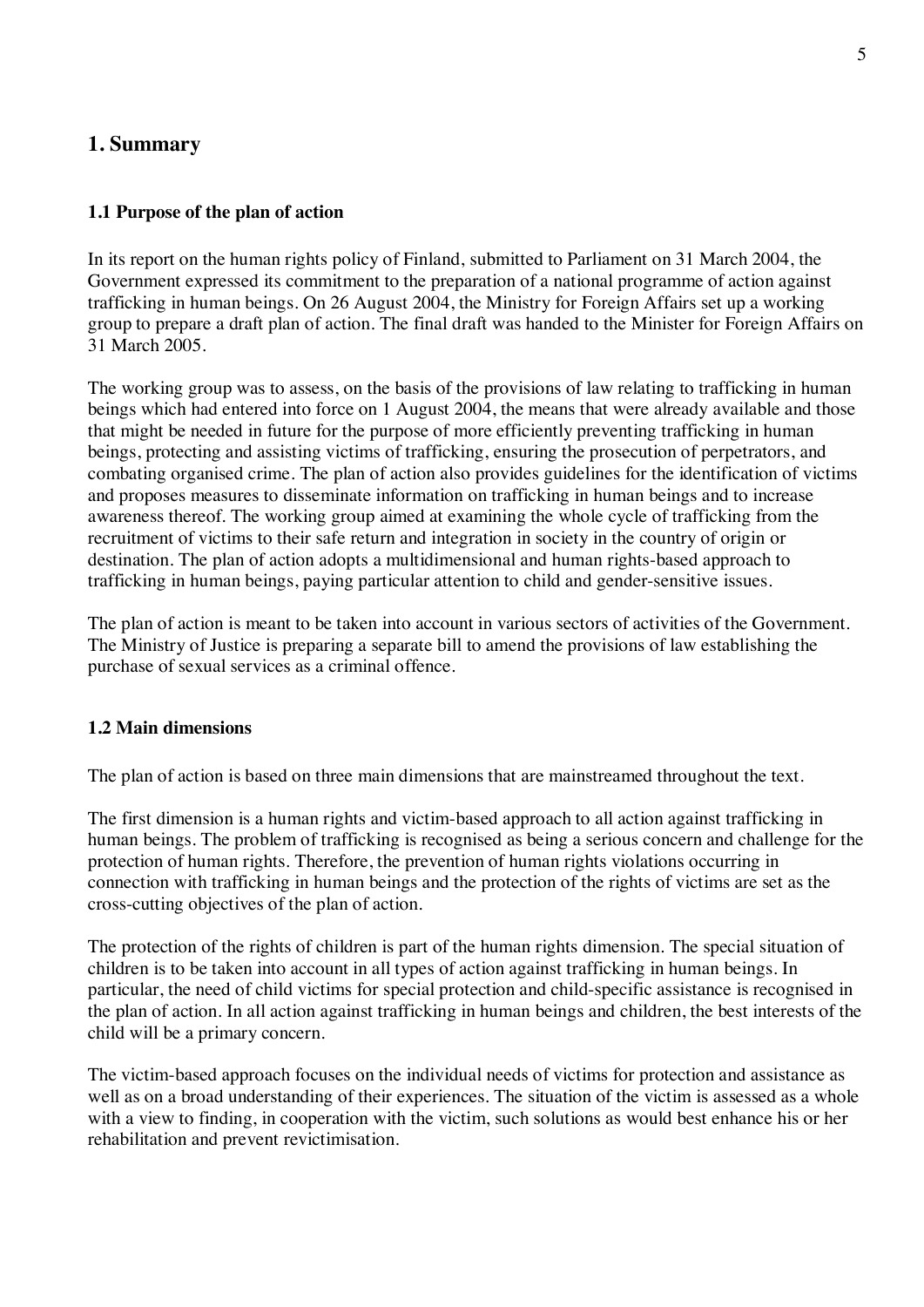# **1. Summary**

#### **1.1 Purpose of the plan of action**

In its report on the human rights policy of Finland, submitted to Parliament on 31 March 2004, the Government expressed its commitment to the preparation of a national programme of action against trafficking in human beings. On 26 August 2004, the Ministry for Foreign Affairs set up a working group to prepare a draft plan of action. The final draft was handed to the Minister for Foreign Affairs on 31 March 2005.

The working group was to assess, on the basis of the provisions of law relating to trafficking in human beings which had entered into force on 1 August 2004, the means that were already available and those that might be needed in future for the purpose of more efficiently preventing trafficking in human beings, protecting and assisting victims of trafficking, ensuring the prosecution of perpetrators, and combating organised crime. The plan of action also provides guidelines for the identification of victims and proposes measures to disseminate information on trafficking in human beings and to increase awareness thereof. The working group aimed at examining the whole cycle of trafficking from the recruitment of victims to their safe return and integration in society in the country of origin or destination. The plan of action adopts a multidimensional and human rights-based approach to trafficking in human beings, paying particular attention to child and gender-sensitive issues.

The plan of action is meant to be taken into account in various sectors of activities of the Government. The Ministry of Justice is preparing a separate bill to amend the provisions of law establishing the purchase of sexual services as a criminal offence.

#### **1.2 Main dimensions**

The plan of action is based on three main dimensions that are mainstreamed throughout the text.

The first dimension is a human rights and victim-based approach to all action against trafficking in human beings. The problem of trafficking is recognised as being a serious concern and challenge for the protection of human rights. Therefore, the prevention of human rights violations occurring in connection with trafficking in human beings and the protection of the rights of victims are set as the cross-cutting objectives of the plan of action.

The protection of the rights of children is part of the human rights dimension. The special situation of children is to be taken into account in all types of action against trafficking in human beings. In particular, the need of child victims for special protection and child-specific assistance is recognised in the plan of action. In all action against trafficking in human beings and children, the best interests of the child will be a primary concern.

The victim-based approach focuses on the individual needs of victims for protection and assistance as well as on a broad understanding of their experiences. The situation of the victim is assessed as a whole with a view to finding, in cooperation with the victim, such solutions as would best enhance his or her rehabilitation and prevent revictimisation.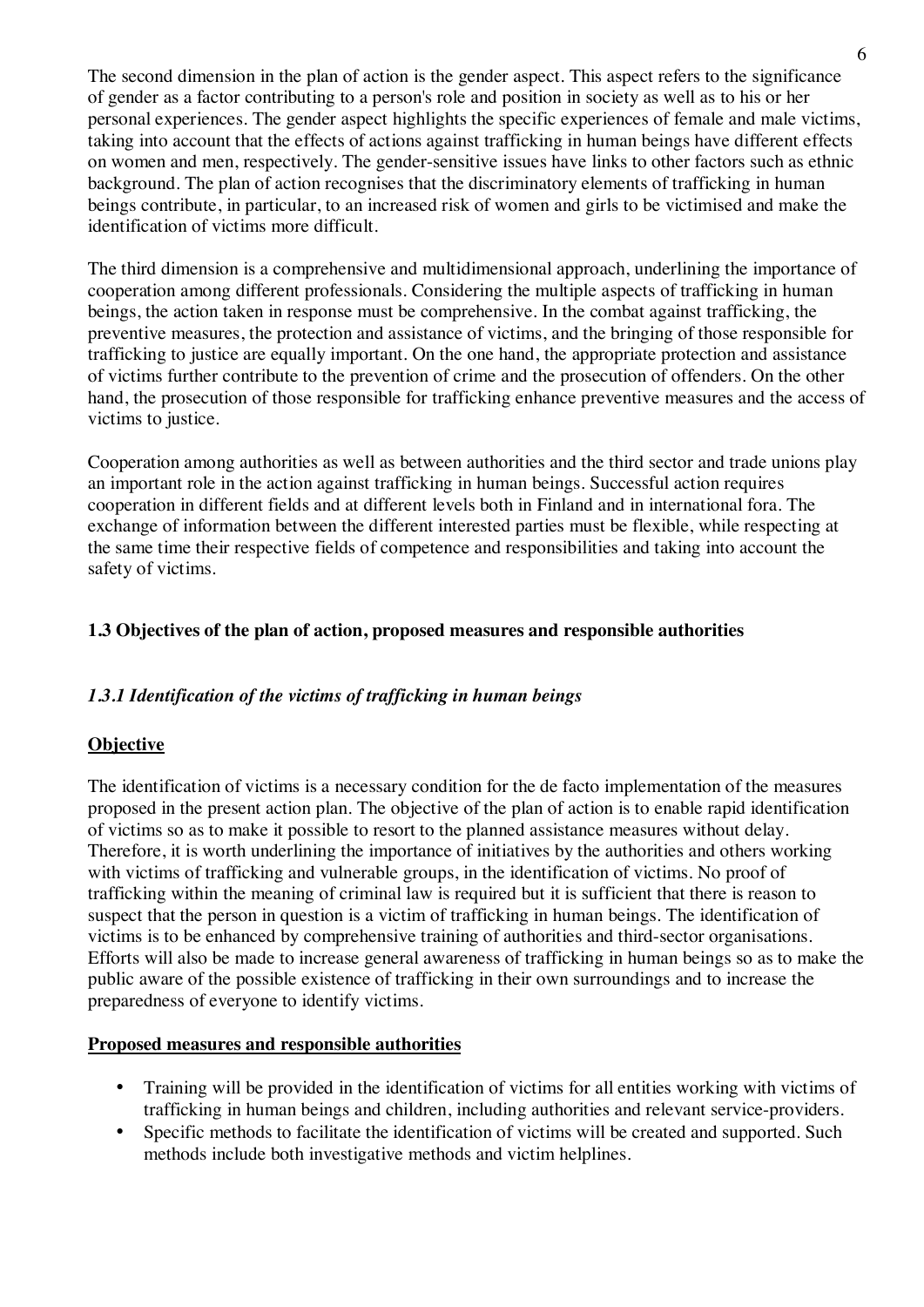The second dimension in the plan of action is the gender aspect. This aspect refers to the significance of gender as a factor contributing to a person's role and position in society as well as to his or her personal experiences. The gender aspect highlights the specific experiences of female and male victims, taking into account that the effects of actions against trafficking in human beings have different effects on women and men, respectively. The gender-sensitive issues have links to other factors such as ethnic background. The plan of action recognises that the discriminatory elements of trafficking in human beings contribute, in particular, to an increased risk of women and girls to be victimised and make the identification of victims more difficult.

The third dimension is a comprehensive and multidimensional approach, underlining the importance of cooperation among different professionals. Considering the multiple aspects of trafficking in human beings, the action taken in response must be comprehensive. In the combat against trafficking, the preventive measures, the protection and assistance of victims, and the bringing of those responsible for trafficking to justice are equally important. On the one hand, the appropriate protection and assistance of victims further contribute to the prevention of crime and the prosecution of offenders. On the other hand, the prosecution of those responsible for trafficking enhance preventive measures and the access of victims to justice.

Cooperation among authorities as well as between authorities and the third sector and trade unions play an important role in the action against trafficking in human beings. Successful action requires cooperation in different fields and at different levels both in Finland and in international fora. The exchange of information between the different interested parties must be flexible, while respecting at the same time their respective fields of competence and responsibilities and taking into account the safety of victims.

# **1.3 Objectives of the plan of action, proposed measures and responsible authorities**

# *1.3.1 Identification of the victims of trafficking in human beings*

# **Objective**

The identification of victims is a necessary condition for the de facto implementation of the measures proposed in the present action plan. The objective of the plan of action is to enable rapid identification of victims so as to make it possible to resort to the planned assistance measures without delay. Therefore, it is worth underlining the importance of initiatives by the authorities and others working with victims of trafficking and vulnerable groups, in the identification of victims. No proof of trafficking within the meaning of criminal law is required but it is sufficient that there is reason to suspect that the person in question is a victim of trafficking in human beings. The identification of victims is to be enhanced by comprehensive training of authorities and third-sector organisations. Efforts will also be made to increase general awareness of trafficking in human beings so as to make the public aware of the possible existence of trafficking in their own surroundings and to increase the preparedness of everyone to identify victims.

# **Proposed measures and responsible authorities**

- Training will be provided in the identification of victims for all entities working with victims of trafficking in human beings and children, including authorities and relevant service-providers.
- Specific methods to facilitate the identification of victims will be created and supported. Such methods include both investigative methods and victim helplines.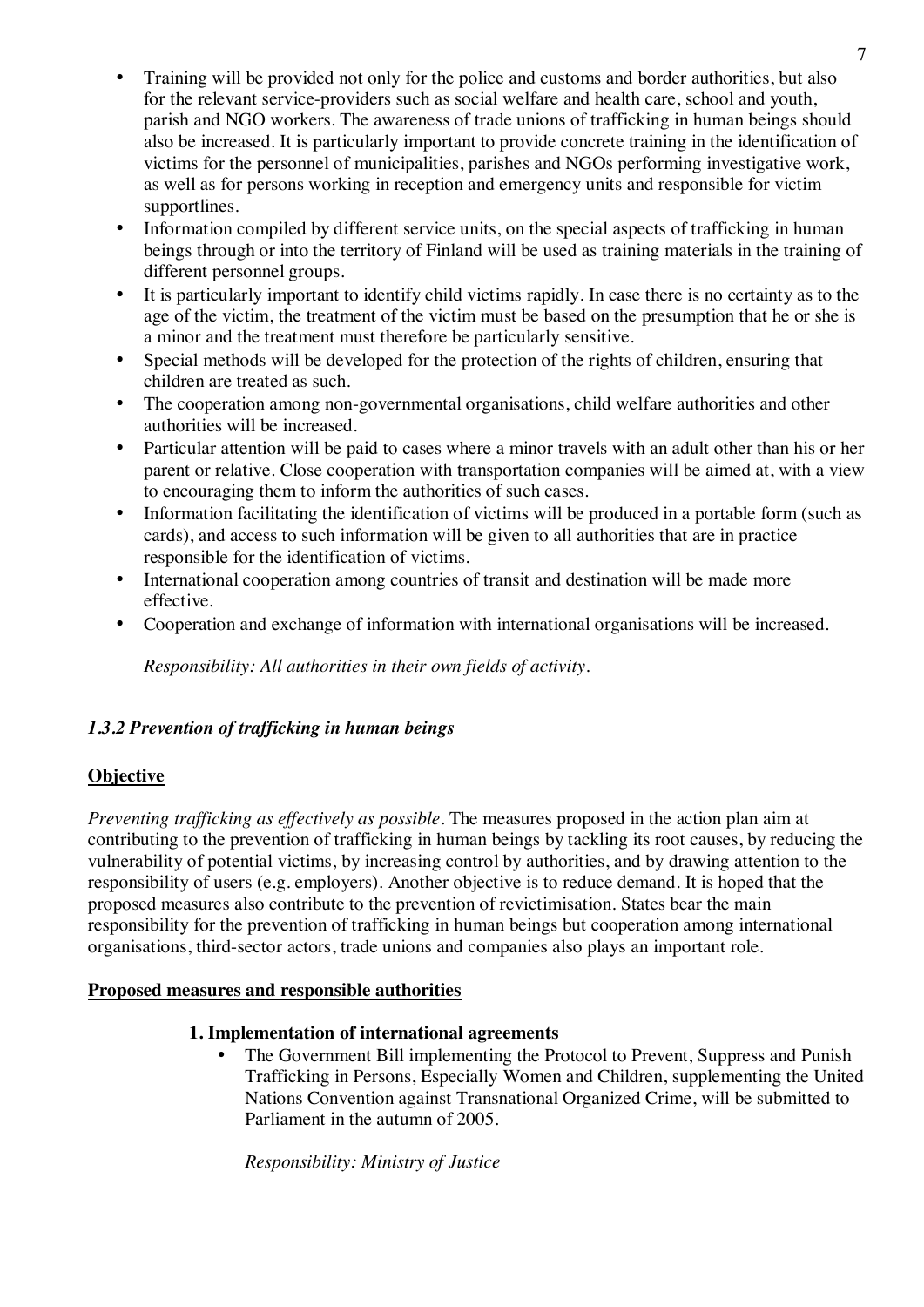- Training will be provided not only for the police and customs and border authorities, but also for the relevant service-providers such as social welfare and health care, school and youth, parish and NGO workers. The awareness of trade unions of trafficking in human beings should also be increased. It is particularly important to provide concrete training in the identification of victims for the personnel of municipalities, parishes and NGOs performing investigative work, as well as for persons working in reception and emergency units and responsible for victim supportlines.
- Information compiled by different service units, on the special aspects of trafficking in human beings through or into the territory of Finland will be used as training materials in the training of different personnel groups.
- It is particularly important to identify child victims rapidly. In case there is no certainty as to the age of the victim, the treatment of the victim must be based on the presumption that he or she is a minor and the treatment must therefore be particularly sensitive.
- Special methods will be developed for the protection of the rights of children, ensuring that children are treated as such.
- The cooperation among non-governmental organisations, child welfare authorities and other authorities will be increased.
- Particular attention will be paid to cases where a minor travels with an adult other than his or her parent or relative. Close cooperation with transportation companies will be aimed at, with a view to encouraging them to inform the authorities of such cases.
- Information facilitating the identification of victims will be produced in a portable form (such as cards), and access to such information will be given to all authorities that are in practice responsible for the identification of victims.
- International cooperation among countries of transit and destination will be made more effective.
- Cooperation and exchange of information with international organisations will be increased.

*Responsibility: All authorities in their own fields of activity.*

# *1.3.2 Prevention of trafficking in human beings*

# **Objective**

*Preventing trafficking as effectively as possible.* The measures proposed in the action plan aim at contributing to the prevention of trafficking in human beings by tackling its root causes, by reducing the vulnerability of potential victims, by increasing control by authorities, and by drawing attention to the responsibility of users (e.g. employers). Another objective is to reduce demand. It is hoped that the proposed measures also contribute to the prevention of revictimisation. States bear the main responsibility for the prevention of trafficking in human beings but cooperation among international organisations, third-sector actors, trade unions and companies also plays an important role.

# **Proposed measures and responsible authorities**

# **1. Implementation of international agreements**

• The Government Bill implementing the Protocol to Prevent, Suppress and Punish Trafficking in Persons, Especially Women and Children, supplementing the United Nations Convention against Transnational Organized Crime, will be submitted to Parliament in the autumn of 2005.

*Responsibility: Ministry of Justice*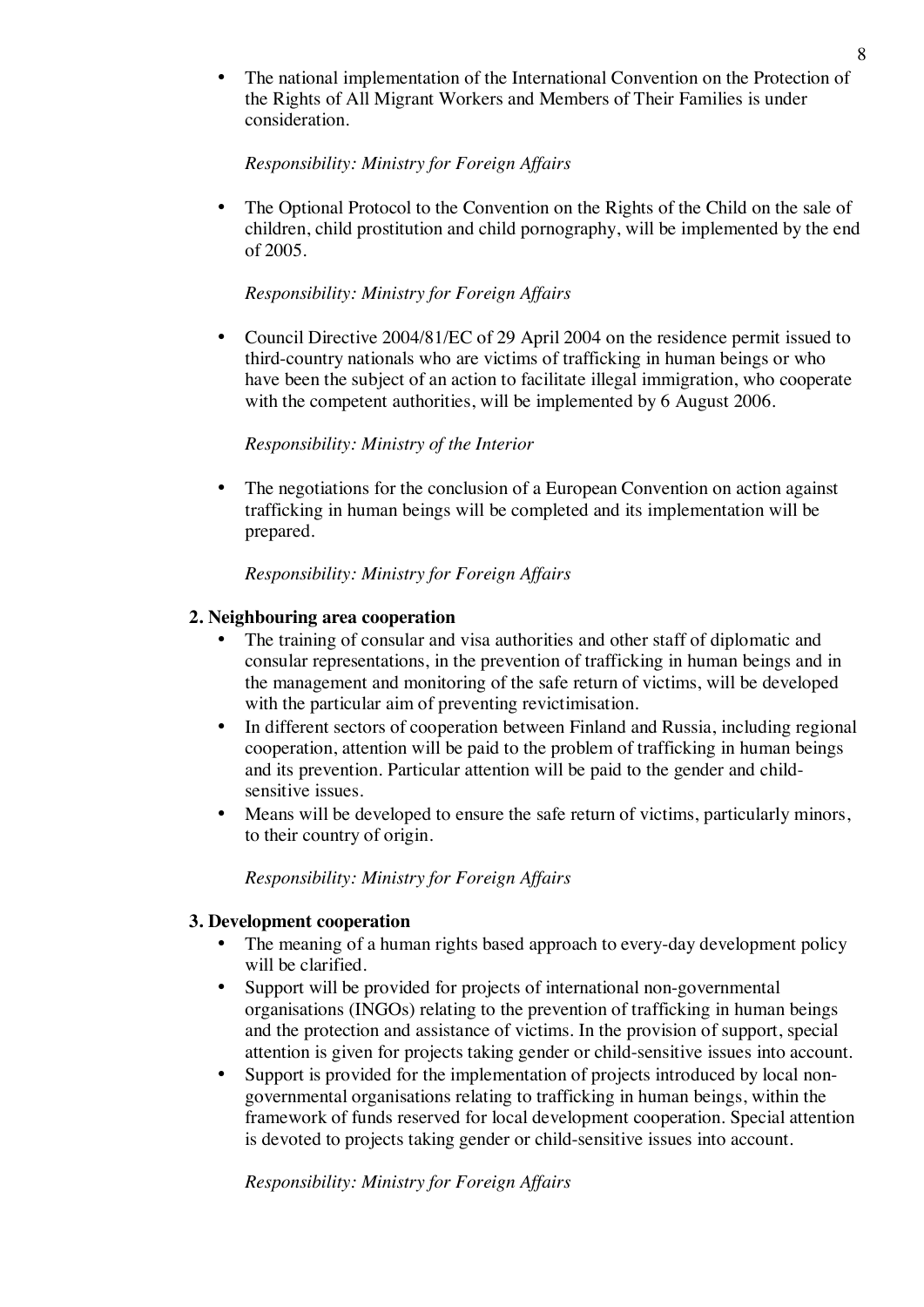The national implementation of the International Convention on the Protection of the Rights of All Migrant Workers and Members of Their Families is under consideration.

#### *Responsibility: Ministry for Foreign Affairs*

• The Optional Protocol to the Convention on the Rights of the Child on the sale of children, child prostitution and child pornography, will be implemented by the end of 2005.

### *Responsibility: Ministry for Foreign Affairs*

• Council Directive 2004/81/EC of 29 April 2004 on the residence permit issued to third-country nationals who are victims of trafficking in human beings or who have been the subject of an action to facilitate illegal immigration, who cooperate with the competent authorities, will be implemented by 6 August 2006.

#### *Responsibility: Ministry of the Interior*

The negotiations for the conclusion of a European Convention on action against trafficking in human beings will be completed and its implementation will be prepared.

#### *Responsibility: Ministry for Foreign Affairs*

#### **2. Neighbouring area cooperation**

- The training of consular and visa authorities and other staff of diplomatic and consular representations, in the prevention of trafficking in human beings and in the management and monitoring of the safe return of victims, will be developed with the particular aim of preventing revictimisation.
- In different sectors of cooperation between Finland and Russia, including regional cooperation, attention will be paid to the problem of trafficking in human beings and its prevention. Particular attention will be paid to the gender and childsensitive issues.
- Means will be developed to ensure the safe return of victims, particularly minors, to their country of origin.

#### *Responsibility: Ministry for Foreign Affairs*

#### **3. Development cooperation**

- The meaning of a human rights based approach to every-day development policy will be clarified.
- Support will be provided for projects of international non-governmental organisations (INGOs) relating to the prevention of trafficking in human beings and the protection and assistance of victims. In the provision of support, special attention is given for projects taking gender or child-sensitive issues into account.
- Support is provided for the implementation of projects introduced by local nongovernmental organisations relating to trafficking in human beings, within the framework of funds reserved for local development cooperation. Special attention is devoted to projects taking gender or child-sensitive issues into account.

*Responsibility: Ministry for Foreign Affairs*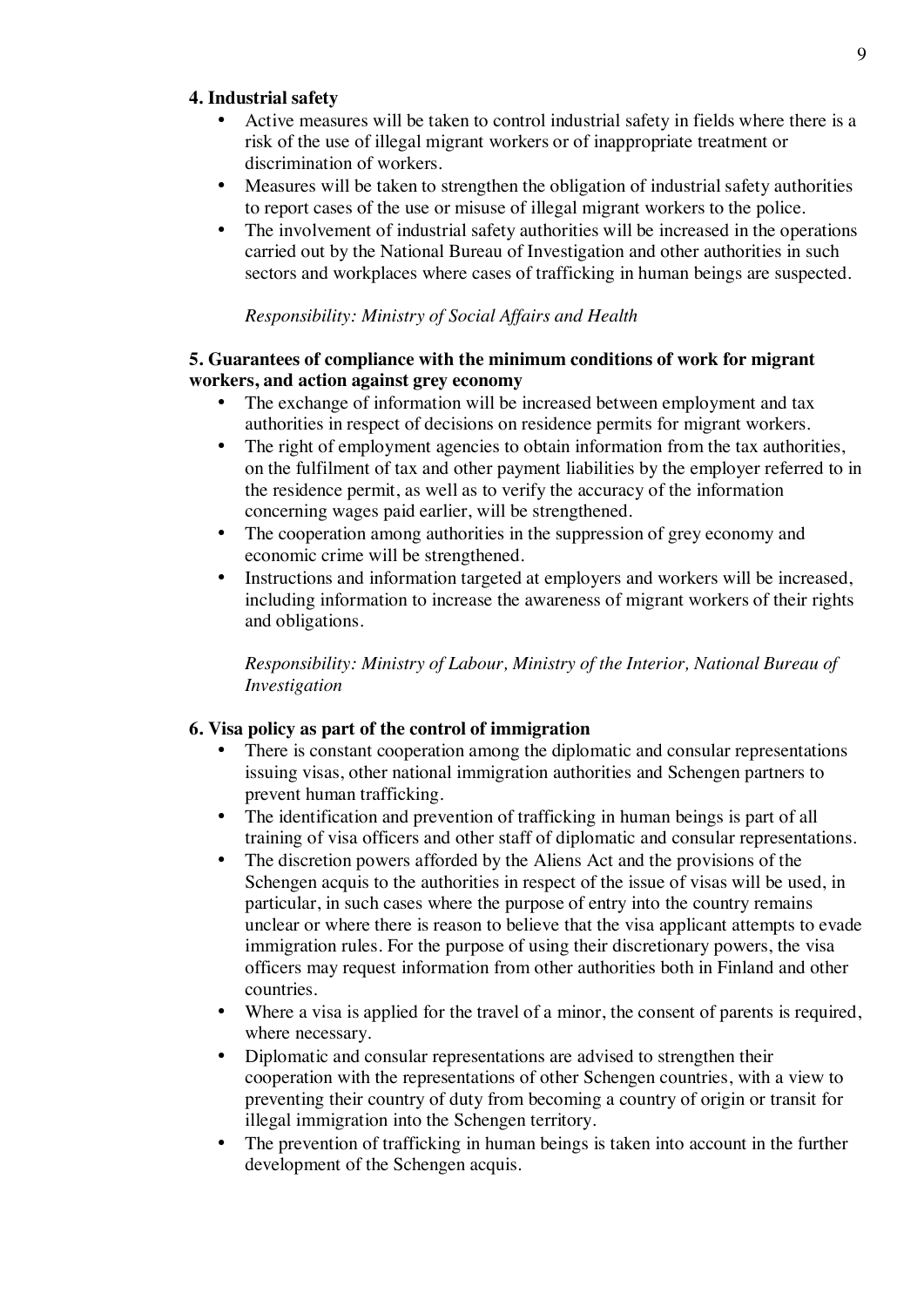#### **4. Industrial safety**

- Active measures will be taken to control industrial safety in fields where there is a risk of the use of illegal migrant workers or of inappropriate treatment or discrimination of workers.
- Measures will be taken to strengthen the obligation of industrial safety authorities to report cases of the use or misuse of illegal migrant workers to the police.
- The involvement of industrial safety authorities will be increased in the operations carried out by the National Bureau of Investigation and other authorities in such sectors and workplaces where cases of trafficking in human beings are suspected.

### *Responsibility: Ministry of Social Affairs and Health*

### **5. Guarantees of compliance with the minimum conditions of work for migrant workers, and action against grey economy**

- The exchange of information will be increased between employment and tax authorities in respect of decisions on residence permits for migrant workers.
- The right of employment agencies to obtain information from the tax authorities, on the fulfilment of tax and other payment liabilities by the employer referred to in the residence permit, as well as to verify the accuracy of the information concerning wages paid earlier, will be strengthened.
- The cooperation among authorities in the suppression of grey economy and economic crime will be strengthened.
- Instructions and information targeted at employers and workers will be increased, including information to increase the awareness of migrant workers of their rights and obligations.

*Responsibility: Ministry of Labour, Ministry of the Interior, National Bureau of Investigation*

# **6. Visa policy as part of the control of immigration**

- There is constant cooperation among the diplomatic and consular representations issuing visas, other national immigration authorities and Schengen partners to prevent human trafficking.
- The identification and prevention of trafficking in human beings is part of all training of visa officers and other staff of diplomatic and consular representations.
- The discretion powers afforded by the Aliens Act and the provisions of the Schengen acquis to the authorities in respect of the issue of visas will be used, in particular, in such cases where the purpose of entry into the country remains unclear or where there is reason to believe that the visa applicant attempts to evade immigration rules. For the purpose of using their discretionary powers, the visa officers may request information from other authorities both in Finland and other countries.
- Where a visa is applied for the travel of a minor, the consent of parents is required, where necessary.
- Diplomatic and consular representations are advised to strengthen their cooperation with the representations of other Schengen countries, with a view to preventing their country of duty from becoming a country of origin or transit for illegal immigration into the Schengen territory.
- The prevention of trafficking in human beings is taken into account in the further development of the Schengen acquis.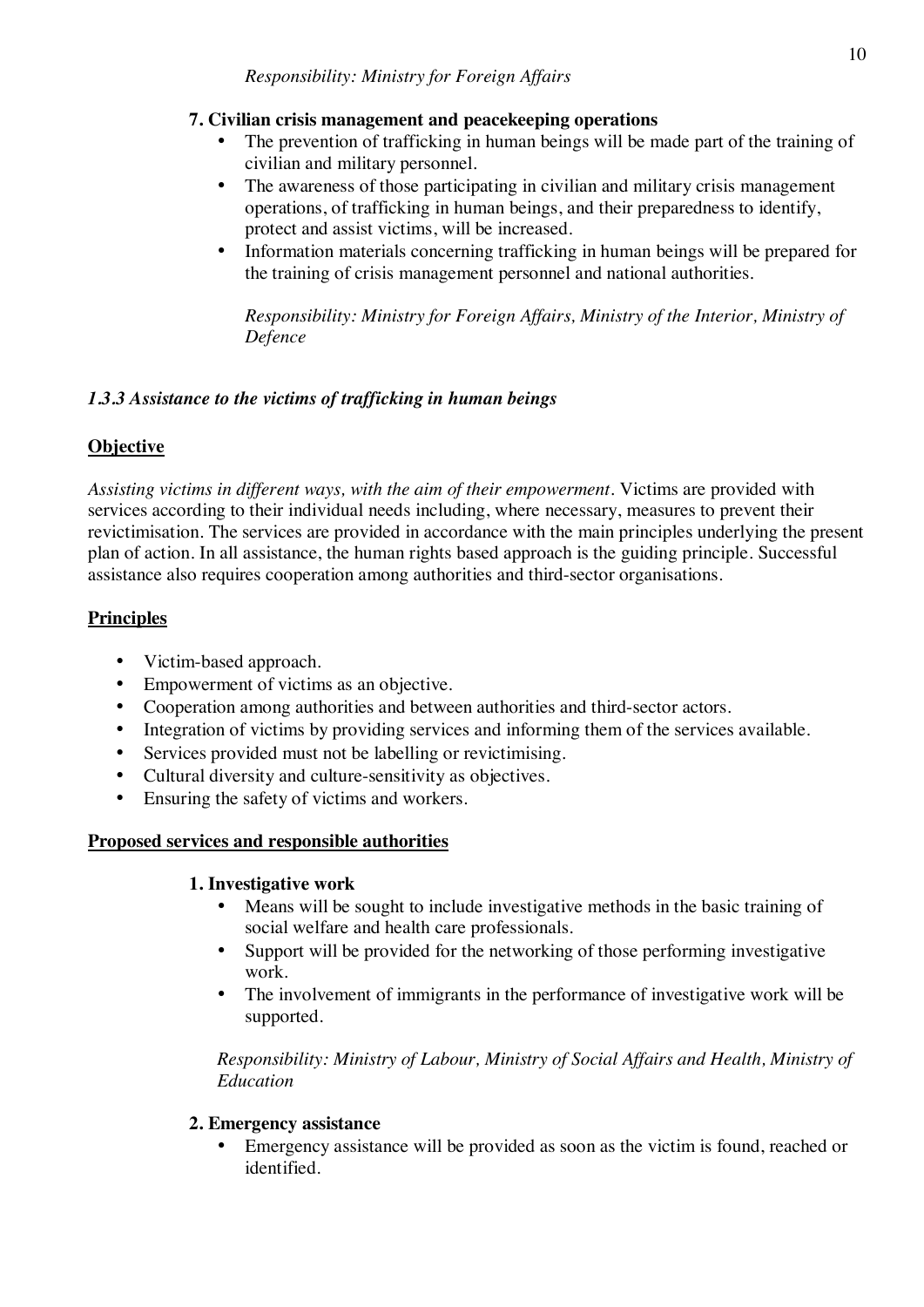# **7. Civilian crisis management and peacekeeping operations**

- The prevention of trafficking in human beings will be made part of the training of civilian and military personnel.
- The awareness of those participating in civilian and military crisis management operations, of trafficking in human beings, and their preparedness to identify, protect and assist victims, will be increased.
- Information materials concerning trafficking in human beings will be prepared for the training of crisis management personnel and national authorities.

*Responsibility: Ministry for Foreign Affairs, Ministry of the Interior, Ministry of Defence*

# *1.3.3 Assistance to the victims of trafficking in human beings*

# **Objective**

*Assisting victims in different ways, with the aim of their empowerment.* Victims are provided with services according to their individual needs including, where necessary, measures to prevent their revictimisation. The services are provided in accordance with the main principles underlying the present plan of action. In all assistance, the human rights based approach is the guiding principle. Successful assistance also requires cooperation among authorities and third-sector organisations.

# **Principles**

- Victim-based approach.
- Empowerment of victims as an objective.
- Cooperation among authorities and between authorities and third-sector actors.
- Integration of victims by providing services and informing them of the services available.
- Services provided must not be labelling or revictimising.
- Cultural diversity and culture-sensitivity as objectives.
- Ensuring the safety of victims and workers.

# **Proposed services and responsible authorities**

# **1. Investigative work**

- Means will be sought to include investigative methods in the basic training of social welfare and health care professionals.
- Support will be provided for the networking of those performing investigative work.
- The involvement of immigrants in the performance of investigative work will be supported.

*Responsibility: Ministry of Labour, Ministry of Social Affairs and Health, Ministry of Education*

# **2. Emergency assistance**

• Emergency assistance will be provided as soon as the victim is found, reached or identified.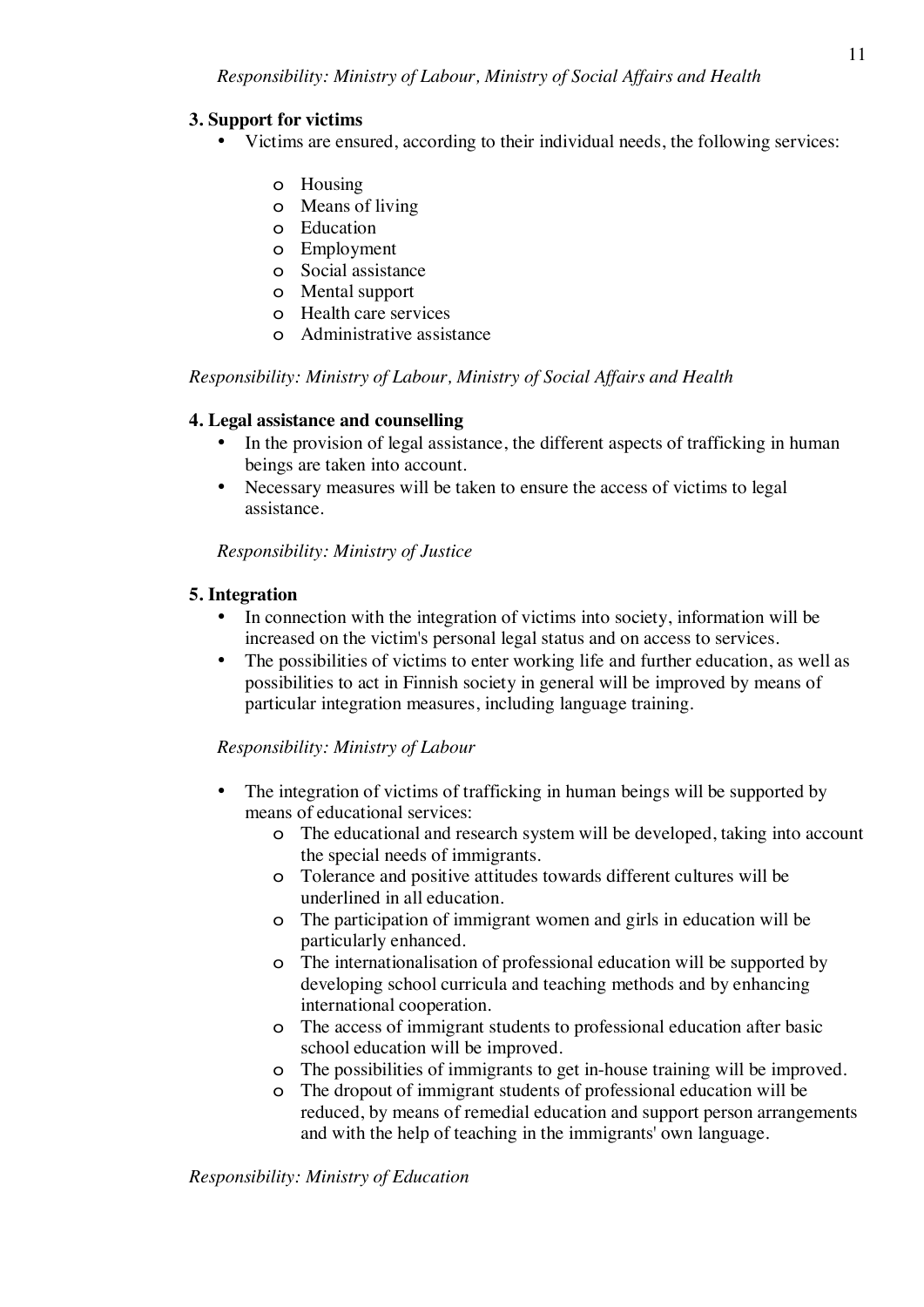# **3. Support for victims**

- Victims are ensured, according to their individual needs, the following services:
	- o Housing
	- o Means of living
	- o Education
	- o Employment
	- o Social assistance
	- o Mental support
	- o Health care services
	- o Administrative assistance

*Responsibility: Ministry of Labour, Ministry of Social Affairs and Health*

#### **4. Legal assistance and counselling**

- In the provision of legal assistance, the different aspects of trafficking in human beings are taken into account.
- Necessary measures will be taken to ensure the access of victims to legal assistance.

*Responsibility: Ministry of Justice*

# **5. Integration**

- In connection with the integration of victims into society, information will be increased on the victim's personal legal status and on access to services.
- The possibilities of victims to enter working life and further education, as well as possibilities to act in Finnish society in general will be improved by means of particular integration measures, including language training.

# *Responsibility: Ministry of Labour*

- The integration of victims of trafficking in human beings will be supported by means of educational services:
	- o The educational and research system will be developed, taking into account the special needs of immigrants.
	- o Tolerance and positive attitudes towards different cultures will be underlined in all education.
	- o The participation of immigrant women and girls in education will be particularly enhanced.
	- o The internationalisation of professional education will be supported by developing school curricula and teaching methods and by enhancing international cooperation.
	- o The access of immigrant students to professional education after basic school education will be improved.
	- o The possibilities of immigrants to get in-house training will be improved.
	- o The dropout of immigrant students of professional education will be reduced, by means of remedial education and support person arrangements and with the help of teaching in the immigrants' own language.

*Responsibility: Ministry of Education*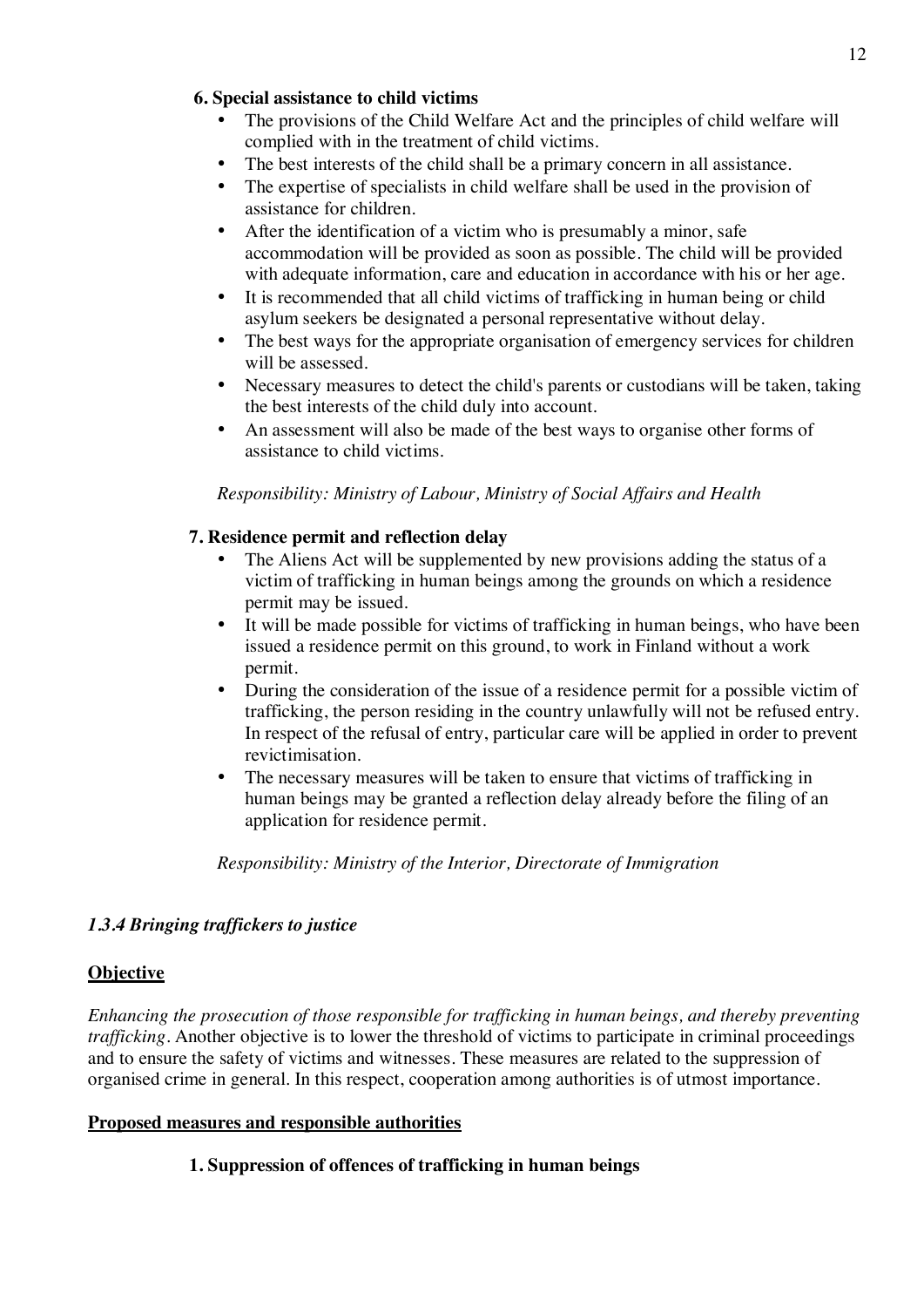# **6. Special assistance to child victims**

- The provisions of the Child Welfare Act and the principles of child welfare will complied with in the treatment of child victims.
- The best interests of the child shall be a primary concern in all assistance.
- The expertise of specialists in child welfare shall be used in the provision of assistance for children.
- After the identification of a victim who is presumably a minor, safe accommodation will be provided as soon as possible. The child will be provided with adequate information, care and education in accordance with his or her age.
- It is recommended that all child victims of trafficking in human being or child asylum seekers be designated a personal representative without delay.
- The best ways for the appropriate organisation of emergency services for children will be assessed.
- Necessary measures to detect the child's parents or custodians will be taken, taking the best interests of the child duly into account.
- An assessment will also be made of the best ways to organise other forms of assistance to child victims.

# *Responsibility: Ministry of Labour, Ministry of Social Affairs and Health*

# **7. Residence permit and reflection delay**

- The Aliens Act will be supplemented by new provisions adding the status of a victim of trafficking in human beings among the grounds on which a residence permit may be issued.
- It will be made possible for victims of trafficking in human beings, who have been issued a residence permit on this ground, to work in Finland without a work permit.
- During the consideration of the issue of a residence permit for a possible victim of trafficking, the person residing in the country unlawfully will not be refused entry. In respect of the refusal of entry, particular care will be applied in order to prevent revictimisation.
- The necessary measures will be taken to ensure that victims of trafficking in human beings may be granted a reflection delay already before the filing of an application for residence permit.

# *Responsibility: Ministry of the Interior, Directorate of Immigration*

# *1.3.4 Bringing traffickers to justice*

# **Objective**

*Enhancing the prosecution of those responsible for trafficking in human beings, and thereby preventing trafficking.* Another objective is to lower the threshold of victims to participate in criminal proceedings and to ensure the safety of victims and witnesses. These measures are related to the suppression of organised crime in general. In this respect, cooperation among authorities is of utmost importance.

#### **Proposed measures and responsible authorities**

# **1. Suppression of offences of trafficking in human beings**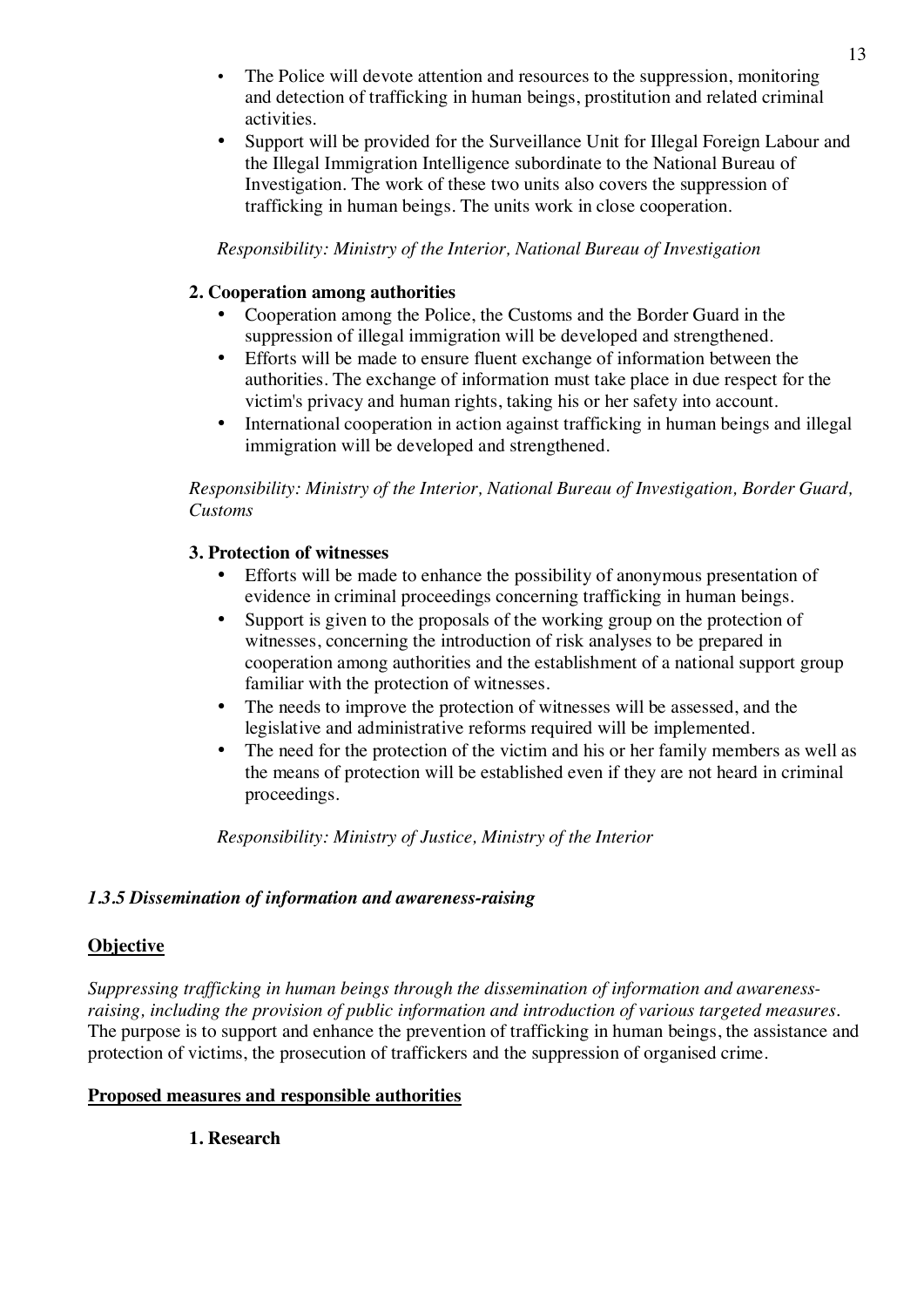- The Police will devote attention and resources to the suppression, monitoring and detection of trafficking in human beings, prostitution and related criminal activities.
- Support will be provided for the Surveillance Unit for Illegal Foreign Labour and the Illegal Immigration Intelligence subordinate to the National Bureau of Investigation. The work of these two units also covers the suppression of trafficking in human beings. The units work in close cooperation.

*Responsibility: Ministry of the Interior, National Bureau of Investigation*

### **2. Cooperation among authorities**

- Cooperation among the Police, the Customs and the Border Guard in the suppression of illegal immigration will be developed and strengthened.
- Efforts will be made to ensure fluent exchange of information between the authorities. The exchange of information must take place in due respect for the victim's privacy and human rights, taking his or her safety into account.
- International cooperation in action against trafficking in human beings and illegal immigration will be developed and strengthened.

*Responsibility: Ministry of the Interior, National Bureau of Investigation, Border Guard, Customs*

#### **3. Protection of witnesses**

- Efforts will be made to enhance the possibility of anonymous presentation of evidence in criminal proceedings concerning trafficking in human beings.
- Support is given to the proposals of the working group on the protection of witnesses, concerning the introduction of risk analyses to be prepared in cooperation among authorities and the establishment of a national support group familiar with the protection of witnesses.
- The needs to improve the protection of witnesses will be assessed, and the legislative and administrative reforms required will be implemented.
- The need for the protection of the victim and his or her family members as well as the means of protection will be established even if they are not heard in criminal proceedings.

*Responsibility: Ministry of Justice, Ministry of the Interior*

#### *1.3.5 Dissemination of information and awareness-raising*

#### **Objective**

*Suppressing trafficking in human beings through the dissemination of information and awarenessraising, including the provision of public information and introduction of various targeted measures.* The purpose is to support and enhance the prevention of trafficking in human beings, the assistance and protection of victims, the prosecution of traffickers and the suppression of organised crime.

# **Proposed measures and responsible authorities**

# **1. Research**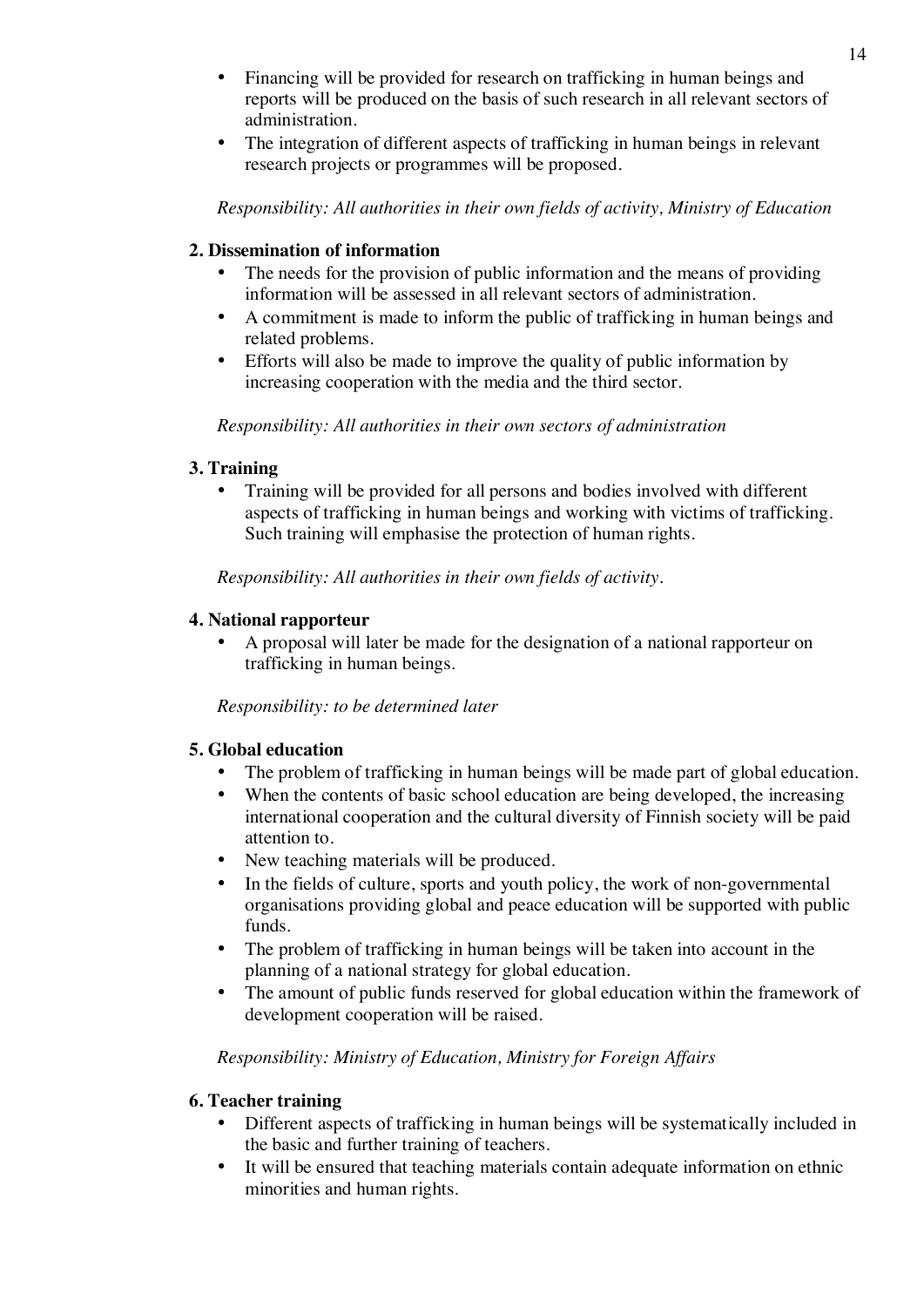- Financing will be provided for research on trafficking in human beings and reports will be produced on the basis of such research in all relevant sectors of administration.
- The integration of different aspects of trafficking in human beings in relevant research projects or programmes will be proposed.

*Responsibility: All authorities in their own fields of activity, Ministry of Education*

# **2. Dissemination of information**

- The needs for the provision of public information and the means of providing information will be assessed in all relevant sectors of administration.
- A commitment is made to inform the public of trafficking in human beings and related problems.
- Efforts will also be made to improve the quality of public information by increasing cooperation with the media and the third sector.

*Responsibility: All authorities in their own sectors of administration*

# **3. Training**

• Training will be provided for all persons and bodies involved with different aspects of trafficking in human beings and working with victims of trafficking. Such training will emphasise the protection of human rights.

*Responsibility: All authorities in their own fields of activity.*

# **4. National rapporteur**

• A proposal will later be made for the designation of a national rapporteur on trafficking in human beings.

*Responsibility: to be determined later*

# **5. Global education**

- The problem of trafficking in human beings will be made part of global education.
- When the contents of basic school education are being developed, the increasing international cooperation and the cultural diversity of Finnish society will be paid attention to.
- New teaching materials will be produced.
- In the fields of culture, sports and youth policy, the work of non-governmental organisations providing global and peace education will be supported with public funds.
- The problem of trafficking in human beings will be taken into account in the planning of a national strategy for global education.
- The amount of public funds reserved for global education within the framework of development cooperation will be raised.

# *Responsibility: Ministry of Education, Ministry for Foreign Affairs*

# **6. Teacher training**

- Different aspects of trafficking in human beings will be systematically included in the basic and further training of teachers.
- It will be ensured that teaching materials contain adequate information on ethnic minorities and human rights.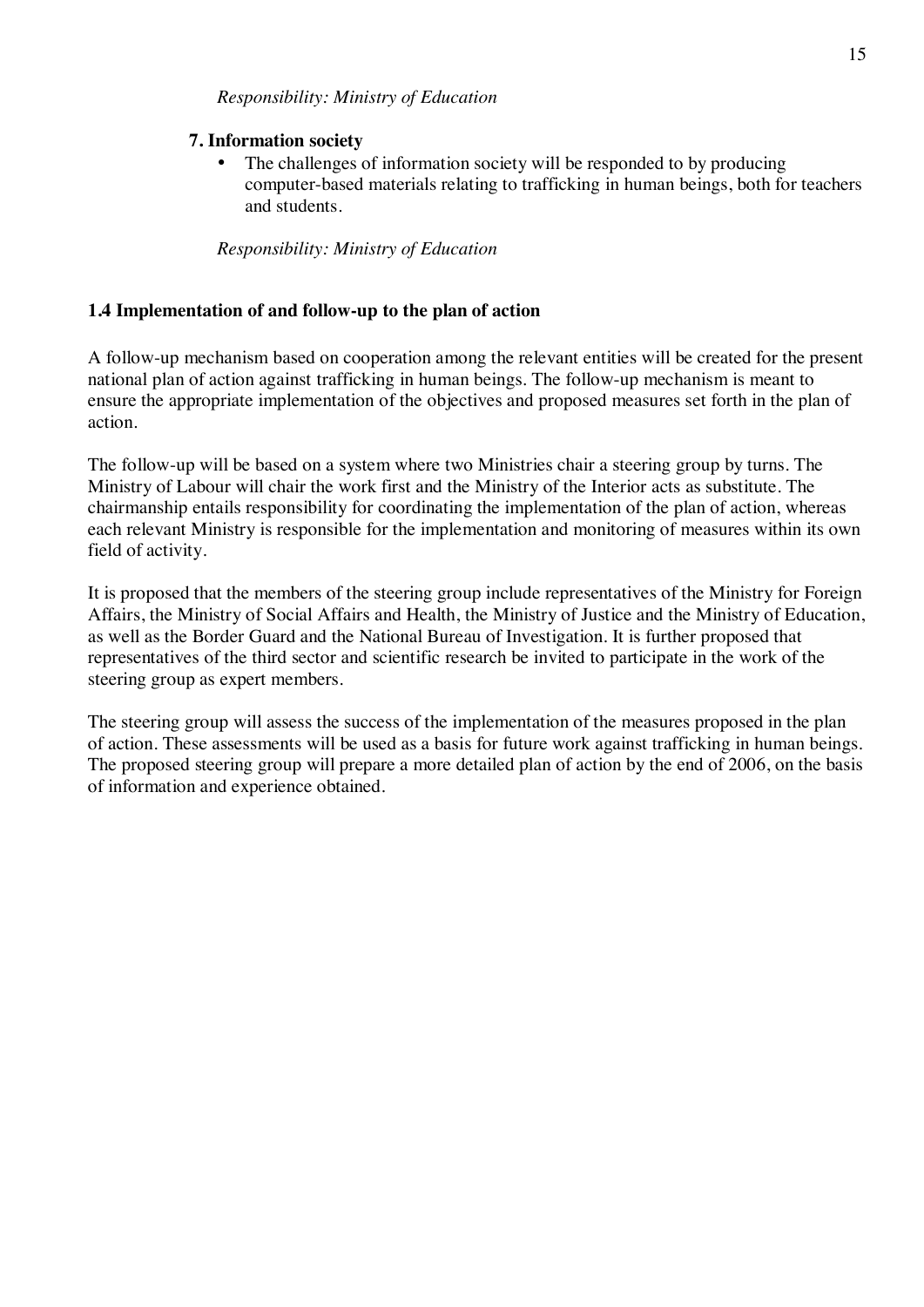# **7. Information society**

• The challenges of information society will be responded to by producing computer-based materials relating to trafficking in human beings, both for teachers and students.

# *Responsibility: Ministry of Education*

# **1.4 Implementation of and follow-up to the plan of action**

A follow-up mechanism based on cooperation among the relevant entities will be created for the present national plan of action against trafficking in human beings. The follow-up mechanism is meant to ensure the appropriate implementation of the objectives and proposed measures set forth in the plan of action.

The follow-up will be based on a system where two Ministries chair a steering group by turns. The Ministry of Labour will chair the work first and the Ministry of the Interior acts as substitute. The chairmanship entails responsibility for coordinating the implementation of the plan of action, whereas each relevant Ministry is responsible for the implementation and monitoring of measures within its own field of activity.

It is proposed that the members of the steering group include representatives of the Ministry for Foreign Affairs, the Ministry of Social Affairs and Health, the Ministry of Justice and the Ministry of Education, as well as the Border Guard and the National Bureau of Investigation. It is further proposed that representatives of the third sector and scientific research be invited to participate in the work of the steering group as expert members.

The steering group will assess the success of the implementation of the measures proposed in the plan of action. These assessments will be used as a basis for future work against trafficking in human beings. The proposed steering group will prepare a more detailed plan of action by the end of 2006, on the basis of information and experience obtained.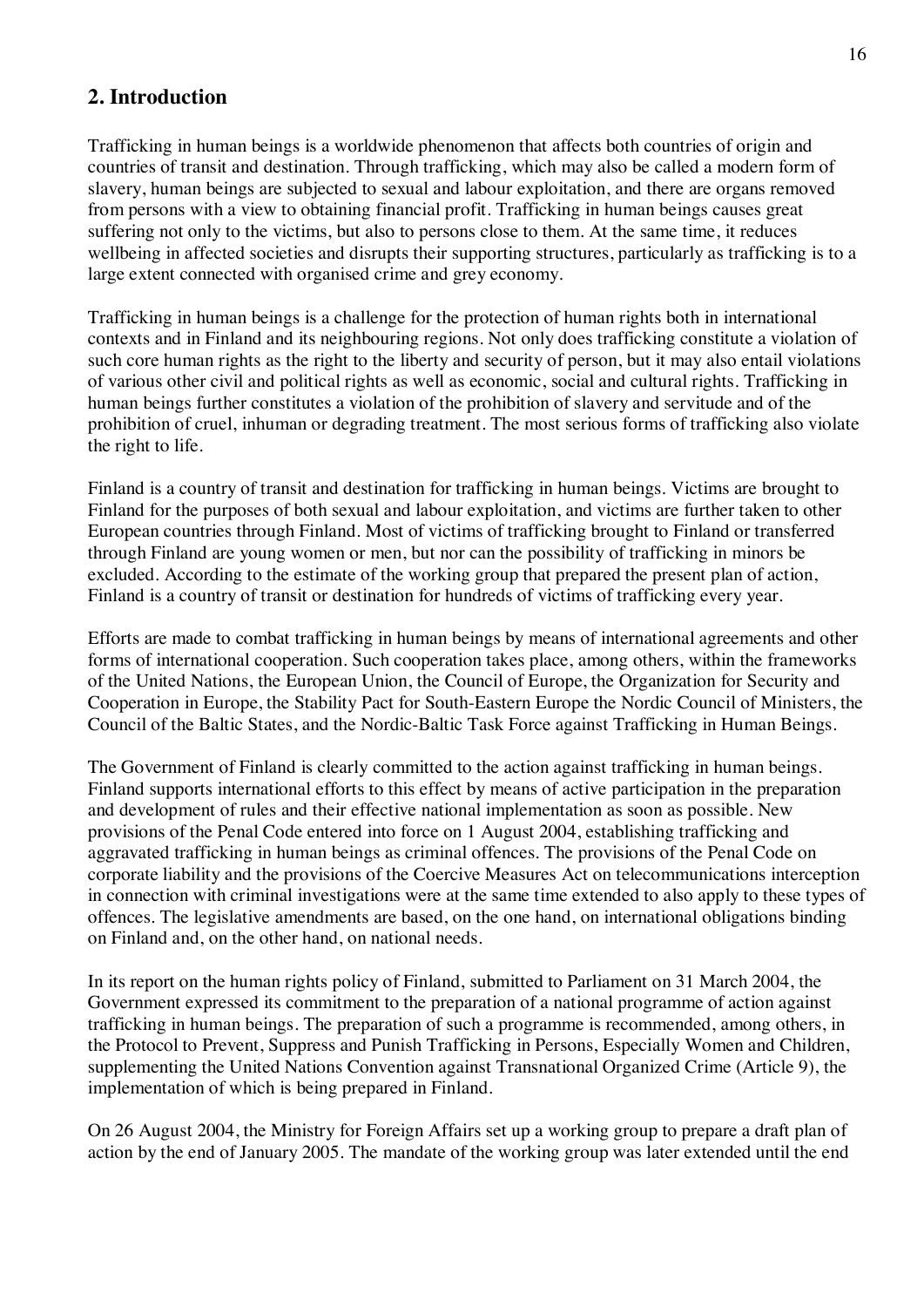# **2. Introduction**

Trafficking in human beings is a worldwide phenomenon that affects both countries of origin and countries of transit and destination. Through trafficking, which may also be called a modern form of slavery, human beings are subjected to sexual and labour exploitation, and there are organs removed from persons with a view to obtaining financial profit. Trafficking in human beings causes great suffering not only to the victims, but also to persons close to them. At the same time, it reduces wellbeing in affected societies and disrupts their supporting structures, particularly as trafficking is to a large extent connected with organised crime and grey economy.

Trafficking in human beings is a challenge for the protection of human rights both in international contexts and in Finland and its neighbouring regions. Not only does trafficking constitute a violation of such core human rights as the right to the liberty and security of person, but it may also entail violations of various other civil and political rights as well as economic, social and cultural rights. Trafficking in human beings further constitutes a violation of the prohibition of slavery and servitude and of the prohibition of cruel, inhuman or degrading treatment. The most serious forms of trafficking also violate the right to life.

Finland is a country of transit and destination for trafficking in human beings. Victims are brought to Finland for the purposes of both sexual and labour exploitation, and victims are further taken to other European countries through Finland. Most of victims of trafficking brought to Finland or transferred through Finland are young women or men, but nor can the possibility of trafficking in minors be excluded. According to the estimate of the working group that prepared the present plan of action, Finland is a country of transit or destination for hundreds of victims of trafficking every year.

Efforts are made to combat trafficking in human beings by means of international agreements and other forms of international cooperation. Such cooperation takes place, among others, within the frameworks of the United Nations, the European Union, the Council of Europe, the Organization for Security and Cooperation in Europe, the Stability Pact for South-Eastern Europe the Nordic Council of Ministers, the Council of the Baltic States, and the Nordic-Baltic Task Force against Trafficking in Human Beings.

The Government of Finland is clearly committed to the action against trafficking in human beings. Finland supports international efforts to this effect by means of active participation in the preparation and development of rules and their effective national implementation as soon as possible. New provisions of the Penal Code entered into force on 1 August 2004, establishing trafficking and aggravated trafficking in human beings as criminal offences. The provisions of the Penal Code on corporate liability and the provisions of the Coercive Measures Act on telecommunications interception in connection with criminal investigations were at the same time extended to also apply to these types of offences. The legislative amendments are based, on the one hand, on international obligations binding on Finland and, on the other hand, on national needs.

In its report on the human rights policy of Finland, submitted to Parliament on 31 March 2004, the Government expressed its commitment to the preparation of a national programme of action against trafficking in human beings. The preparation of such a programme is recommended, among others, in the Protocol to Prevent, Suppress and Punish Trafficking in Persons, Especially Women and Children, supplementing the United Nations Convention against Transnational Organized Crime (Article 9), the implementation of which is being prepared in Finland.

On 26 August 2004, the Ministry for Foreign Affairs set up a working group to prepare a draft plan of action by the end of January 2005. The mandate of the working group was later extended until the end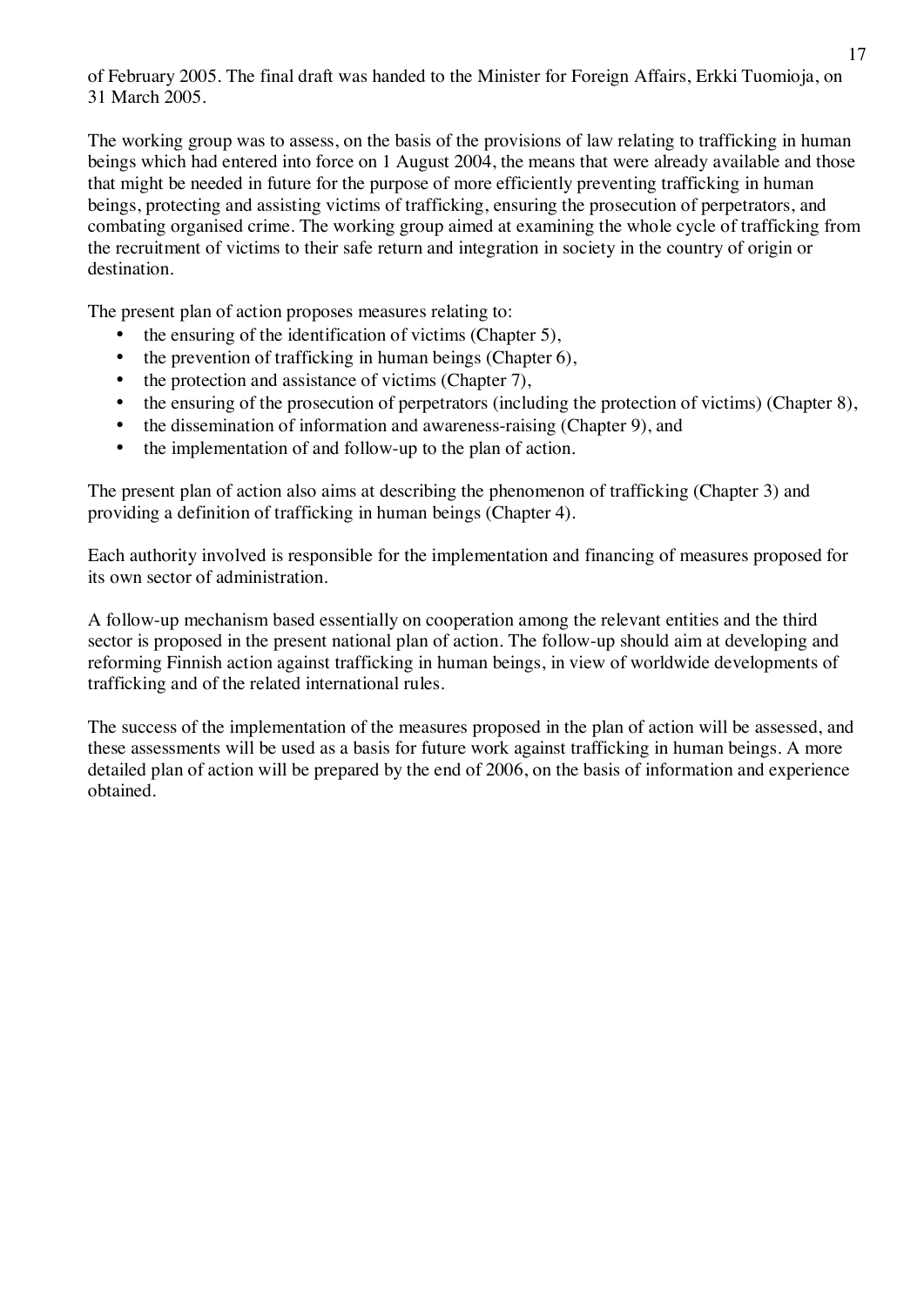of February 2005. The final draft was handed to the Minister for Foreign Affairs, Erkki Tuomioja, on 31 March 2005.

The working group was to assess, on the basis of the provisions of law relating to trafficking in human beings which had entered into force on 1 August 2004, the means that were already available and those that might be needed in future for the purpose of more efficiently preventing trafficking in human beings, protecting and assisting victims of trafficking, ensuring the prosecution of perpetrators, and combating organised crime. The working group aimed at examining the whole cycle of trafficking from the recruitment of victims to their safe return and integration in society in the country of origin or destination.

The present plan of action proposes measures relating to:

- the ensuring of the identification of victims (Chapter 5),
- the prevention of trafficking in human beings (Chapter 6),
- the protection and assistance of victims (Chapter 7),
- the ensuring of the prosecution of perpetrators (including the protection of victims) (Chapter 8),
- the dissemination of information and awareness-raising (Chapter 9), and
- the implementation of and follow-up to the plan of action.

The present plan of action also aims at describing the phenomenon of trafficking (Chapter 3) and providing a definition of trafficking in human beings (Chapter 4).

Each authority involved is responsible for the implementation and financing of measures proposed for its own sector of administration.

A follow-up mechanism based essentially on cooperation among the relevant entities and the third sector is proposed in the present national plan of action. The follow-up should aim at developing and reforming Finnish action against trafficking in human beings, in view of worldwide developments of trafficking and of the related international rules.

The success of the implementation of the measures proposed in the plan of action will be assessed, and these assessments will be used as a basis for future work against trafficking in human beings. A more detailed plan of action will be prepared by the end of 2006, on the basis of information and experience obtained.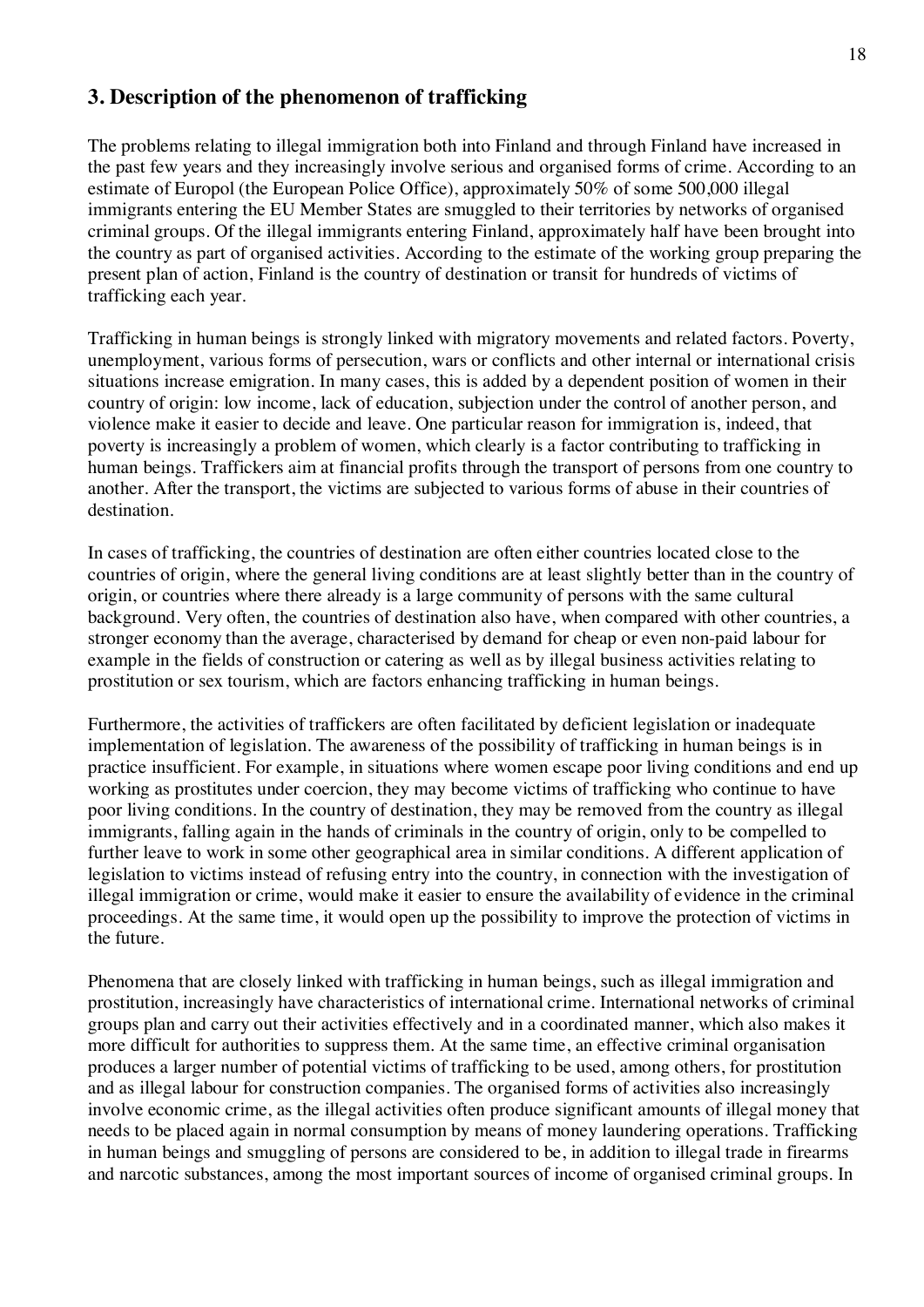# **3. Description of the phenomenon of trafficking**

The problems relating to illegal immigration both into Finland and through Finland have increased in the past few years and they increasingly involve serious and organised forms of crime. According to an estimate of Europol (the European Police Office), approximately 50% of some 500,000 illegal immigrants entering the EU Member States are smuggled to their territories by networks of organised criminal groups. Of the illegal immigrants entering Finland, approximately half have been brought into the country as part of organised activities. According to the estimate of the working group preparing the present plan of action, Finland is the country of destination or transit for hundreds of victims of trafficking each year.

Trafficking in human beings is strongly linked with migratory movements and related factors. Poverty, unemployment, various forms of persecution, wars or conflicts and other internal or international crisis situations increase emigration. In many cases, this is added by a dependent position of women in their country of origin: low income, lack of education, subjection under the control of another person, and violence make it easier to decide and leave. One particular reason for immigration is, indeed, that poverty is increasingly a problem of women, which clearly is a factor contributing to trafficking in human beings. Traffickers aim at financial profits through the transport of persons from one country to another. After the transport, the victims are subjected to various forms of abuse in their countries of destination.

In cases of trafficking, the countries of destination are often either countries located close to the countries of origin, where the general living conditions are at least slightly better than in the country of origin, or countries where there already is a large community of persons with the same cultural background. Very often, the countries of destination also have, when compared with other countries, a stronger economy than the average, characterised by demand for cheap or even non-paid labour for example in the fields of construction or catering as well as by illegal business activities relating to prostitution or sex tourism, which are factors enhancing trafficking in human beings.

Furthermore, the activities of traffickers are often facilitated by deficient legislation or inadequate implementation of legislation. The awareness of the possibility of trafficking in human beings is in practice insufficient. For example, in situations where women escape poor living conditions and end up working as prostitutes under coercion, they may become victims of trafficking who continue to have poor living conditions. In the country of destination, they may be removed from the country as illegal immigrants, falling again in the hands of criminals in the country of origin, only to be compelled to further leave to work in some other geographical area in similar conditions. A different application of legislation to victims instead of refusing entry into the country, in connection with the investigation of illegal immigration or crime, would make it easier to ensure the availability of evidence in the criminal proceedings. At the same time, it would open up the possibility to improve the protection of victims in the future.

Phenomena that are closely linked with trafficking in human beings, such as illegal immigration and prostitution, increasingly have characteristics of international crime. International networks of criminal groups plan and carry out their activities effectively and in a coordinated manner, which also makes it more difficult for authorities to suppress them. At the same time, an effective criminal organisation produces a larger number of potential victims of trafficking to be used, among others, for prostitution and as illegal labour for construction companies. The organised forms of activities also increasingly involve economic crime, as the illegal activities often produce significant amounts of illegal money that needs to be placed again in normal consumption by means of money laundering operations. Trafficking in human beings and smuggling of persons are considered to be, in addition to illegal trade in firearms and narcotic substances, among the most important sources of income of organised criminal groups. In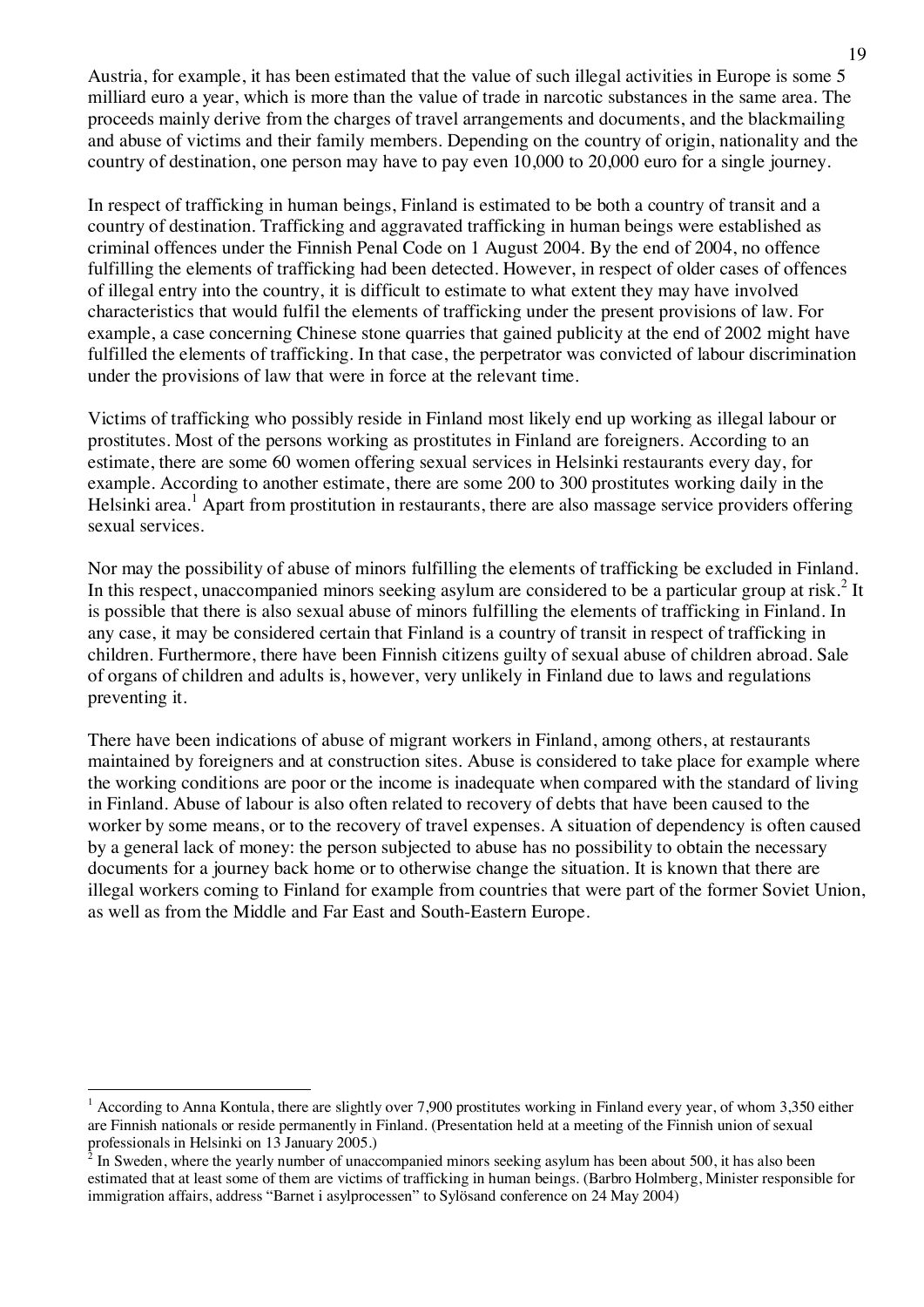Austria, for example, it has been estimated that the value of such illegal activities in Europe is some 5 milliard euro a year, which is more than the value of trade in narcotic substances in the same area. The proceeds mainly derive from the charges of travel arrangements and documents, and the blackmailing and abuse of victims and their family members. Depending on the country of origin, nationality and the country of destination, one person may have to pay even 10,000 to 20,000 euro for a single journey.

In respect of trafficking in human beings, Finland is estimated to be both a country of transit and a country of destination. Trafficking and aggravated trafficking in human beings were established as criminal offences under the Finnish Penal Code on 1 August 2004. By the end of 2004, no offence fulfilling the elements of trafficking had been detected. However, in respect of older cases of offences of illegal entry into the country, it is difficult to estimate to what extent they may have involved characteristics that would fulfil the elements of trafficking under the present provisions of law. For example, a case concerning Chinese stone quarries that gained publicity at the end of 2002 might have fulfilled the elements of trafficking. In that case, the perpetrator was convicted of labour discrimination under the provisions of law that were in force at the relevant time.

Victims of trafficking who possibly reside in Finland most likely end up working as illegal labour or prostitutes. Most of the persons working as prostitutes in Finland are foreigners. According to an estimate, there are some 60 women offering sexual services in Helsinki restaurants every day, for example. According to another estimate, there are some 200 to 300 prostitutes working daily in the Helsinki area.<sup>1</sup> Apart from prostitution in restaurants, there are also massage service providers offering sexual services.

Nor may the possibility of abuse of minors fulfilling the elements of trafficking be excluded in Finland. In this respect, unaccompanied minors seeking asylum are considered to be a particular group at risk.<sup>2</sup> It is possible that there is also sexual abuse of minors fulfilling the elements of trafficking in Finland. In any case, it may be considered certain that Finland is a country of transit in respect of trafficking in children. Furthermore, there have been Finnish citizens guilty of sexual abuse of children abroad. Sale of organs of children and adults is, however, very unlikely in Finland due to laws and regulations preventing it.

There have been indications of abuse of migrant workers in Finland, among others, at restaurants maintained by foreigners and at construction sites. Abuse is considered to take place for example where the working conditions are poor or the income is inadequate when compared with the standard of living in Finland. Abuse of labour is also often related to recovery of debts that have been caused to the worker by some means, or to the recovery of travel expenses. A situation of dependency is often caused by a general lack of money: the person subjected to abuse has no possibility to obtain the necessary documents for a journey back home or to otherwise change the situation. It is known that there are illegal workers coming to Finland for example from countries that were part of the former Soviet Union, as well as from the Middle and Far East and South-Eastern Europe.

<sup>&</sup>lt;sup>1</sup> According to Anna Kontula, there are slightly over 7,900 prostitutes working in Finland every year, of whom 3,350 either are Finnish nationals or reside permanently in Finland. (Presentation held at a meeting of the Finnish union of sexual professionals in Helsinki on 13 January 2005.)<br><sup>2</sup> In Sweden, where the vearly number of unec-

In Sweden, where the yearly number of unaccompanied minors seeking asylum has been about 500, it has also been estimated that at least some of them are victims of trafficking in human beings. (Barbro Holmberg, Minister responsible for immigration affairs, address "Barnet i asylprocessen" to Sylösand conference on 24 May 2004)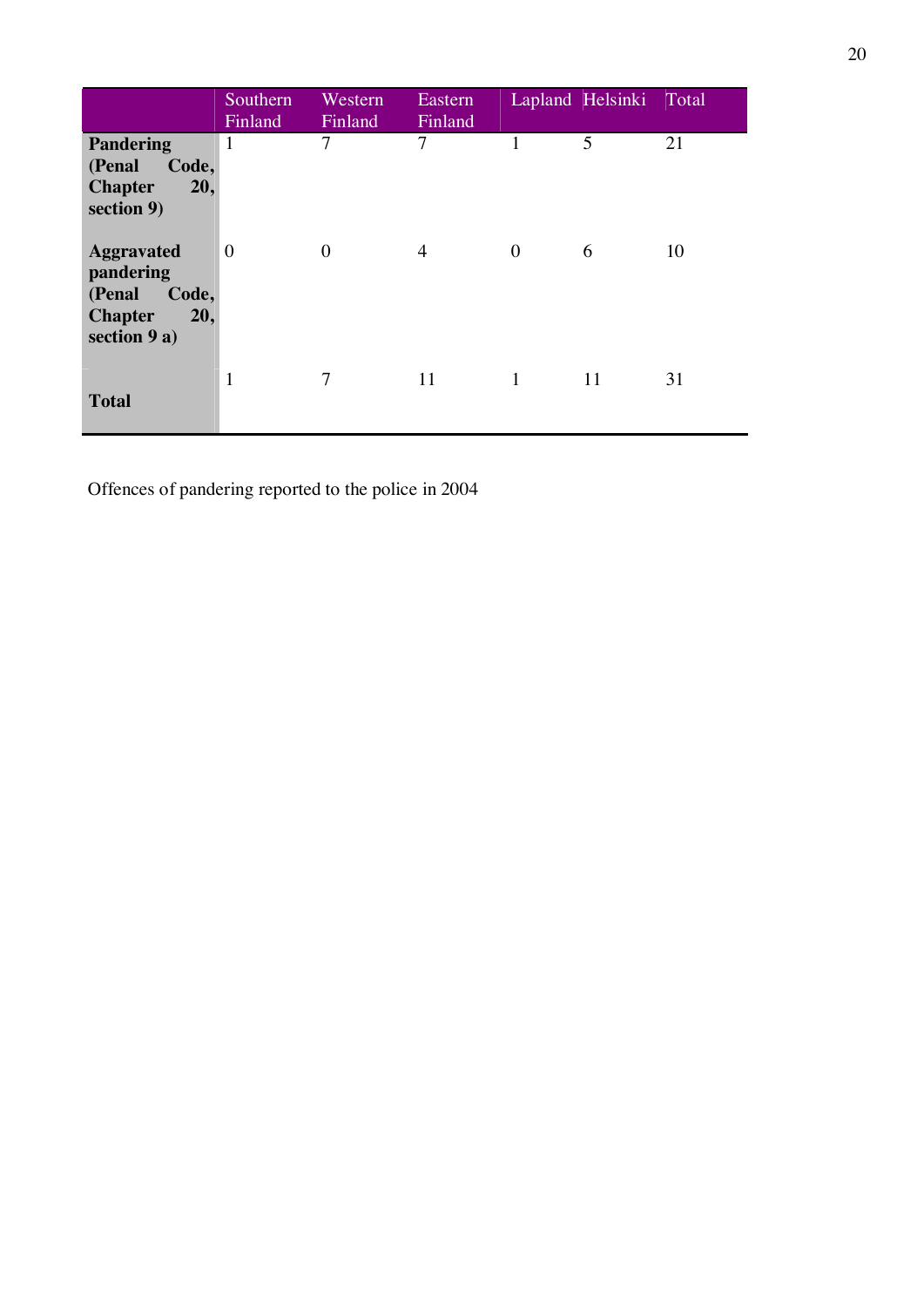|                                                                                            | Southern<br>Finland | Western<br>Finland | Eastern<br>Finland |              | Lapland Helsinki Total |    |
|--------------------------------------------------------------------------------------------|---------------------|--------------------|--------------------|--------------|------------------------|----|
| <b>Pandering</b><br>(Penal<br>Code,<br><b>Chapter</b><br>20,<br>section 9)                 | $\mathbf{1}$        | 7                  | 7                  |              | 5                      | 21 |
| <b>Aggravated</b><br>pandering<br>Code,<br>(Penal<br><b>Chapter</b><br>20,<br>section 9 a) | $\boldsymbol{0}$    | $\boldsymbol{0}$   | $\overline{4}$     | $\mathbf{0}$ | 6                      | 10 |
| <b>Total</b>                                                                               | $\mathbf{1}$        | 7                  | 11                 | 1            | 11                     | 31 |

Offences of pandering reported to the police in 2004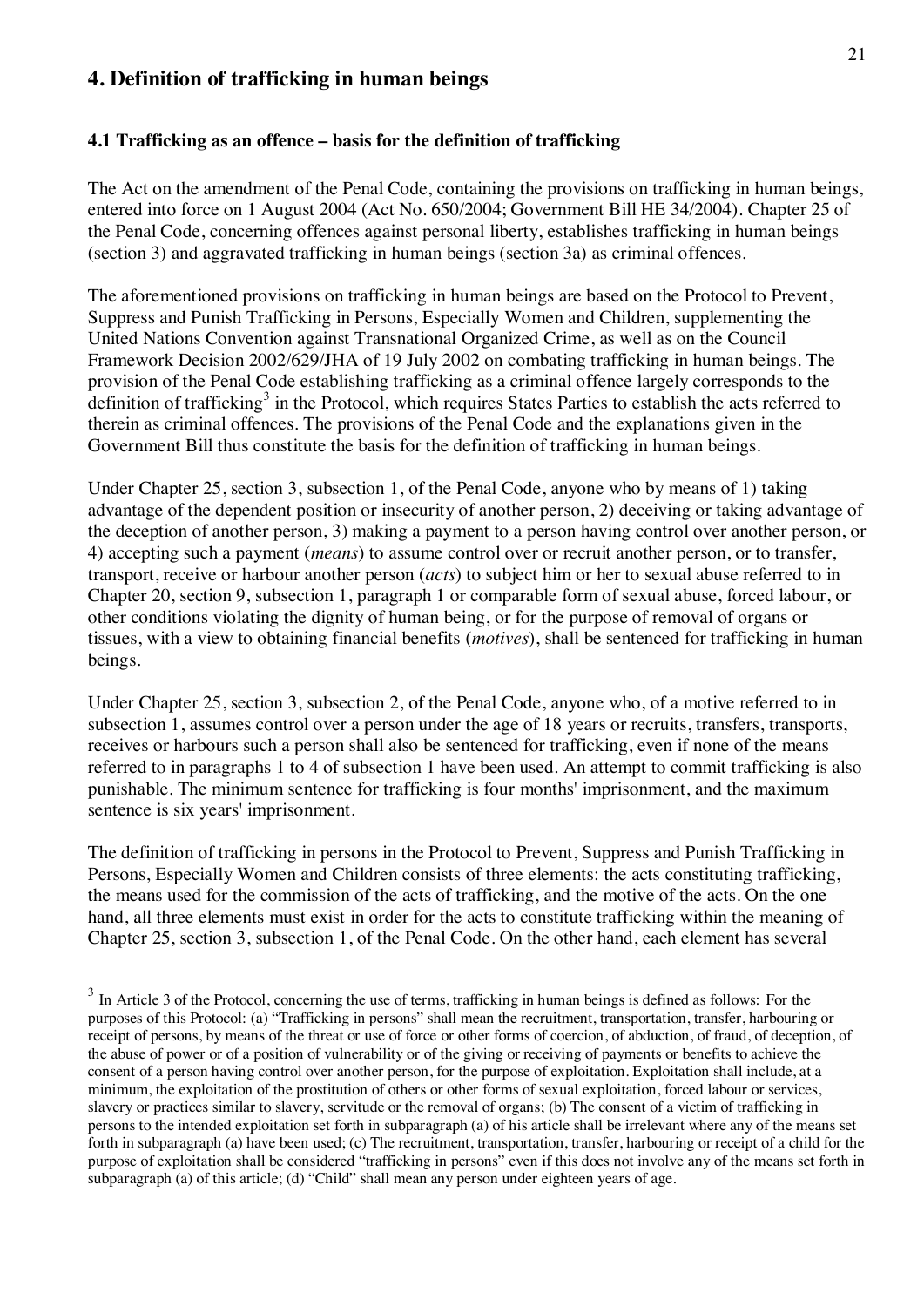# **4. Definition of trafficking in human beings**

#### **4.1 Trafficking as an offence – basis for the definition of trafficking**

The Act on the amendment of the Penal Code, containing the provisions on trafficking in human beings, entered into force on 1 August 2004 (Act No. 650/2004; Government Bill HE 34/2004). Chapter 25 of the Penal Code, concerning offences against personal liberty, establishes trafficking in human beings (section 3) and aggravated trafficking in human beings (section 3a) as criminal offences.

The aforementioned provisions on trafficking in human beings are based on the Protocol to Prevent, Suppress and Punish Trafficking in Persons, Especially Women and Children, supplementing the United Nations Convention against Transnational Organized Crime, as well as on the Council Framework Decision 2002/629/JHA of 19 July 2002 on combating trafficking in human beings. The provision of the Penal Code establishing trafficking as a criminal offence largely corresponds to the definition of trafficking<sup>3</sup> in the Protocol, which requires States Parties to establish the acts referred to therein as criminal offences. The provisions of the Penal Code and the explanations given in the Government Bill thus constitute the basis for the definition of trafficking in human beings.

Under Chapter 25, section 3, subsection 1, of the Penal Code, anyone who by means of 1) taking advantage of the dependent position or insecurity of another person, 2) deceiving or taking advantage of the deception of another person, 3) making a payment to a person having control over another person, or 4) accepting such a payment (*means*) to assume control over or recruit another person, or to transfer, transport, receive or harbour another person (*acts*) to subject him or her to sexual abuse referred to in Chapter 20, section 9, subsection 1, paragraph 1 or comparable form of sexual abuse, forced labour, or other conditions violating the dignity of human being, or for the purpose of removal of organs or tissues, with a view to obtaining financial benefits (*motives*), shall be sentenced for trafficking in human beings.

Under Chapter 25, section 3, subsection 2, of the Penal Code, anyone who, of a motive referred to in subsection 1, assumes control over a person under the age of 18 years or recruits, transfers, transports, receives or harbours such a person shall also be sentenced for trafficking, even if none of the means referred to in paragraphs 1 to 4 of subsection 1 have been used. An attempt to commit trafficking is also punishable. The minimum sentence for trafficking is four months' imprisonment, and the maximum sentence is six years' imprisonment.

The definition of trafficking in persons in the Protocol to Prevent, Suppress and Punish Trafficking in Persons, Especially Women and Children consists of three elements: the acts constituting trafficking, the means used for the commission of the acts of trafficking, and the motive of the acts. On the one hand, all three elements must exist in order for the acts to constitute trafficking within the meaning of Chapter 25, section 3, subsection 1, of the Penal Code. On the other hand, each element has several

<sup>&</sup>lt;sup>3</sup> In Article 3 of the Protocol, concerning the use of terms, trafficking in human beings is defined as follows: For the purposes of this Protocol: (a) "Trafficking in persons" shall mean the recruitment, transportation, transfer, harbouring or receipt of persons, by means of the threat or use of force or other forms of coercion, of abduction, of fraud, of deception, of the abuse of power or of a position of vulnerability or of the giving or receiving of payments or benefits to achieve the consent of a person having control over another person, for the purpose of exploitation. Exploitation shall include, at a minimum, the exploitation of the prostitution of others or other forms of sexual exploitation, forced labour or services, slavery or practices similar to slavery, servitude or the removal of organs; (b) The consent of a victim of trafficking in persons to the intended exploitation set forth in subparagraph (a) of his article shall be irrelevant where any of the means set forth in subparagraph (a) have been used; (c) The recruitment, transportation, transfer, harbouring or receipt of a child for the purpose of exploitation shall be considered "trafficking in persons" even if this does not involve any of the means set forth in subparagraph (a) of this article; (d) "Child" shall mean any person under eighteen years of age.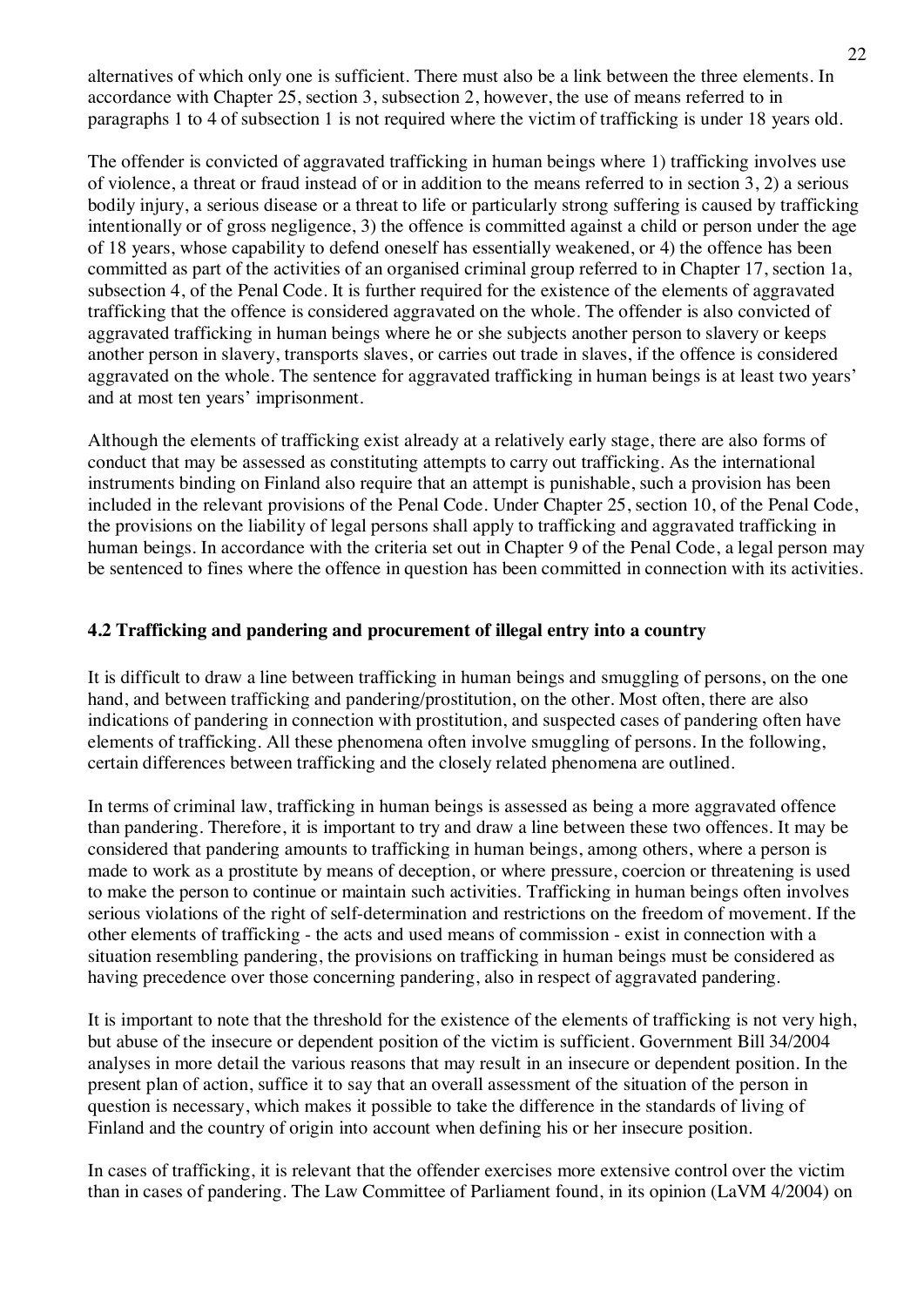alternatives of which only one is sufficient. There must also be a link between the three elements. In accordance with Chapter 25, section 3, subsection 2, however, the use of means referred to in paragraphs 1 to 4 of subsection 1 is not required where the victim of trafficking is under 18 years old.

The offender is convicted of aggravated trafficking in human beings where 1) trafficking involves use of violence, a threat or fraud instead of or in addition to the means referred to in section 3, 2) a serious bodily injury, a serious disease or a threat to life or particularly strong suffering is caused by trafficking intentionally or of gross negligence, 3) the offence is committed against a child or person under the age of 18 years, whose capability to defend oneself has essentially weakened, or 4) the offence has been committed as part of the activities of an organised criminal group referred to in Chapter 17, section 1a, subsection 4, of the Penal Code. It is further required for the existence of the elements of aggravated trafficking that the offence is considered aggravated on the whole. The offender is also convicted of aggravated trafficking in human beings where he or she subjects another person to slavery or keeps another person in slavery, transports slaves, or carries out trade in slaves, if the offence is considered aggravated on the whole. The sentence for aggravated trafficking in human beings is at least two years' and at most ten years' imprisonment.

Although the elements of trafficking exist already at a relatively early stage, there are also forms of conduct that may be assessed as constituting attempts to carry out trafficking. As the international instruments binding on Finland also require that an attempt is punishable, such a provision has been included in the relevant provisions of the Penal Code. Under Chapter 25, section 10, of the Penal Code, the provisions on the liability of legal persons shall apply to trafficking and aggravated trafficking in human beings. In accordance with the criteria set out in Chapter 9 of the Penal Code, a legal person may be sentenced to fines where the offence in question has been committed in connection with its activities.

#### **4.2 Trafficking and pandering and procurement of illegal entry into a country**

It is difficult to draw a line between trafficking in human beings and smuggling of persons, on the one hand, and between trafficking and pandering/prostitution, on the other. Most often, there are also indications of pandering in connection with prostitution, and suspected cases of pandering often have elements of trafficking. All these phenomena often involve smuggling of persons. In the following, certain differences between trafficking and the closely related phenomena are outlined.

In terms of criminal law, trafficking in human beings is assessed as being a more aggravated offence than pandering. Therefore, it is important to try and draw a line between these two offences. It may be considered that pandering amounts to trafficking in human beings, among others, where a person is made to work as a prostitute by means of deception, or where pressure, coercion or threatening is used to make the person to continue or maintain such activities. Trafficking in human beings often involves serious violations of the right of self-determination and restrictions on the freedom of movement. If the other elements of trafficking - the acts and used means of commission - exist in connection with a situation resembling pandering, the provisions on trafficking in human beings must be considered as having precedence over those concerning pandering, also in respect of aggravated pandering.

It is important to note that the threshold for the existence of the elements of trafficking is not very high, but abuse of the insecure or dependent position of the victim is sufficient. Government Bill 34/2004 analyses in more detail the various reasons that may result in an insecure or dependent position. In the present plan of action, suffice it to say that an overall assessment of the situation of the person in question is necessary, which makes it possible to take the difference in the standards of living of Finland and the country of origin into account when defining his or her insecure position.

In cases of trafficking, it is relevant that the offender exercises more extensive control over the victim than in cases of pandering. The Law Committee of Parliament found, in its opinion (LaVM 4/2004) on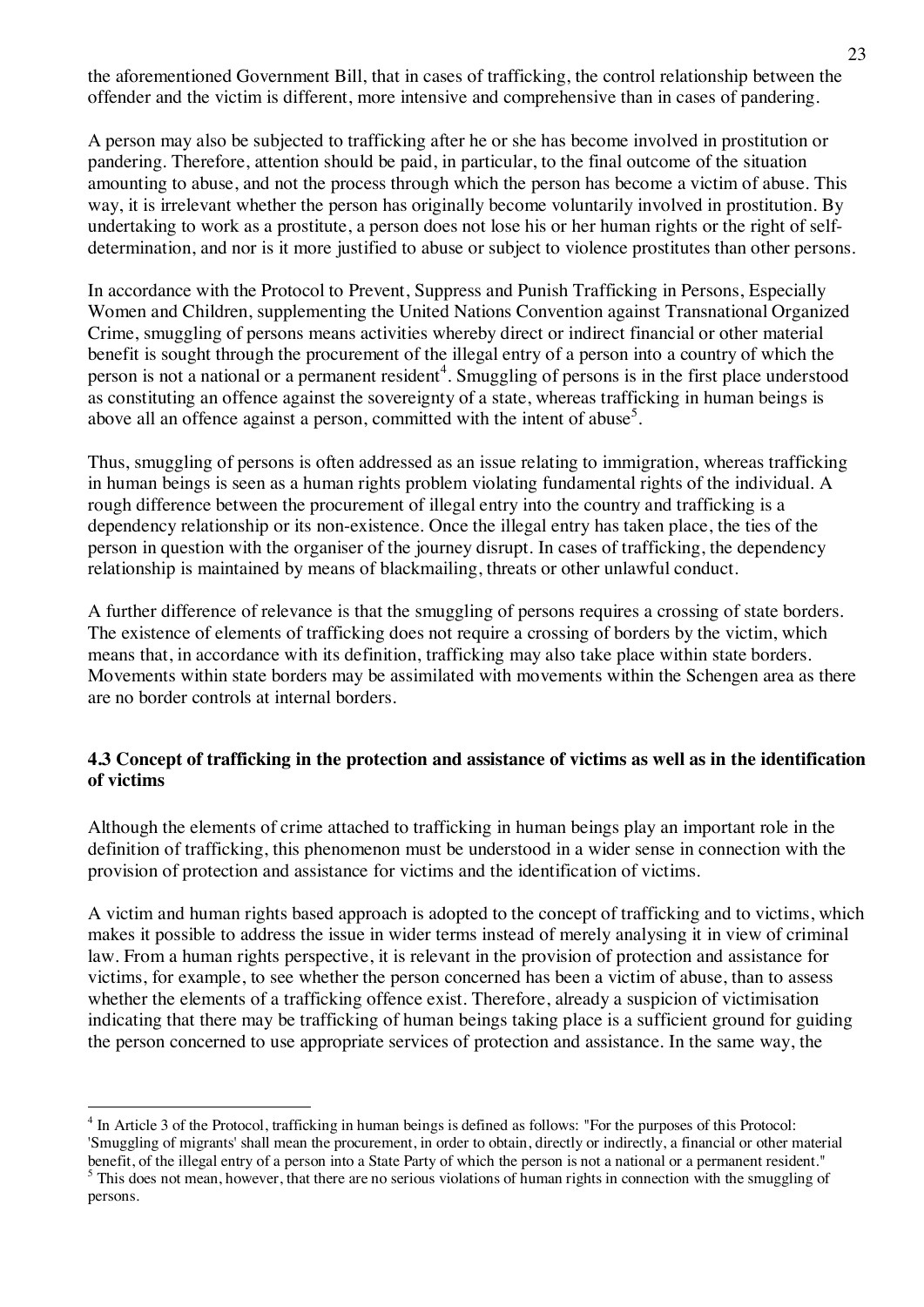the aforementioned Government Bill, that in cases of trafficking, the control relationship between the offender and the victim is different, more intensive and comprehensive than in cases of pandering.

A person may also be subjected to trafficking after he or she has become involved in prostitution or pandering. Therefore, attention should be paid, in particular, to the final outcome of the situation amounting to abuse, and not the process through which the person has become a victim of abuse. This way, it is irrelevant whether the person has originally become voluntarily involved in prostitution. By undertaking to work as a prostitute, a person does not lose his or her human rights or the right of selfdetermination, and nor is it more justified to abuse or subject to violence prostitutes than other persons.

In accordance with the Protocol to Prevent, Suppress and Punish Trafficking in Persons, Especially Women and Children, supplementing the United Nations Convention against Transnational Organized Crime, smuggling of persons means activities whereby direct or indirect financial or other material benefit is sought through the procurement of the illegal entry of a person into a country of which the person is not a national or a permanent resident<sup>4</sup>. Smuggling of persons is in the first place understood as constituting an offence against the sovereignty of a state, whereas trafficking in human beings is above all an offence against a person, committed with the intent of abuse<sup>5</sup>.

Thus, smuggling of persons is often addressed as an issue relating to immigration, whereas trafficking in human beings is seen as a human rights problem violating fundamental rights of the individual. A rough difference between the procurement of illegal entry into the country and trafficking is a dependency relationship or its non-existence. Once the illegal entry has taken place, the ties of the person in question with the organiser of the journey disrupt. In cases of trafficking, the dependency relationship is maintained by means of blackmailing, threats or other unlawful conduct.

A further difference of relevance is that the smuggling of persons requires a crossing of state borders. The existence of elements of trafficking does not require a crossing of borders by the victim, which means that, in accordance with its definition, trafficking may also take place within state borders. Movements within state borders may be assimilated with movements within the Schengen area as there are no border controls at internal borders.

#### **4.3 Concept of trafficking in the protection and assistance of victims as well as in the identification of victims**

Although the elements of crime attached to trafficking in human beings play an important role in the definition of trafficking, this phenomenon must be understood in a wider sense in connection with the provision of protection and assistance for victims and the identification of victims.

A victim and human rights based approach is adopted to the concept of trafficking and to victims, which makes it possible to address the issue in wider terms instead of merely analysing it in view of criminal law. From a human rights perspective, it is relevant in the provision of protection and assistance for victims, for example, to see whether the person concerned has been a victim of abuse, than to assess whether the elements of a trafficking offence exist. Therefore, already a suspicion of victimisation indicating that there may be trafficking of human beings taking place is a sufficient ground for guiding the person concerned to use appropriate services of protection and assistance. In the same way, the

<sup>&</sup>lt;sup>4</sup> In Article 3 of the Protocol, trafficking in human beings is defined as follows: "For the purposes of this Protocol: 'Smuggling of migrants' shall mean the procurement, in order to obtain, directly or indirectly, a financial or other material benefit, of the illegal entry of a person into a State Party of which the person is not a national or a permanent resident."

<sup>&</sup>lt;sup>5</sup> This does not mean, however, that there are no serious violations of human rights in connection with the smuggling of persons.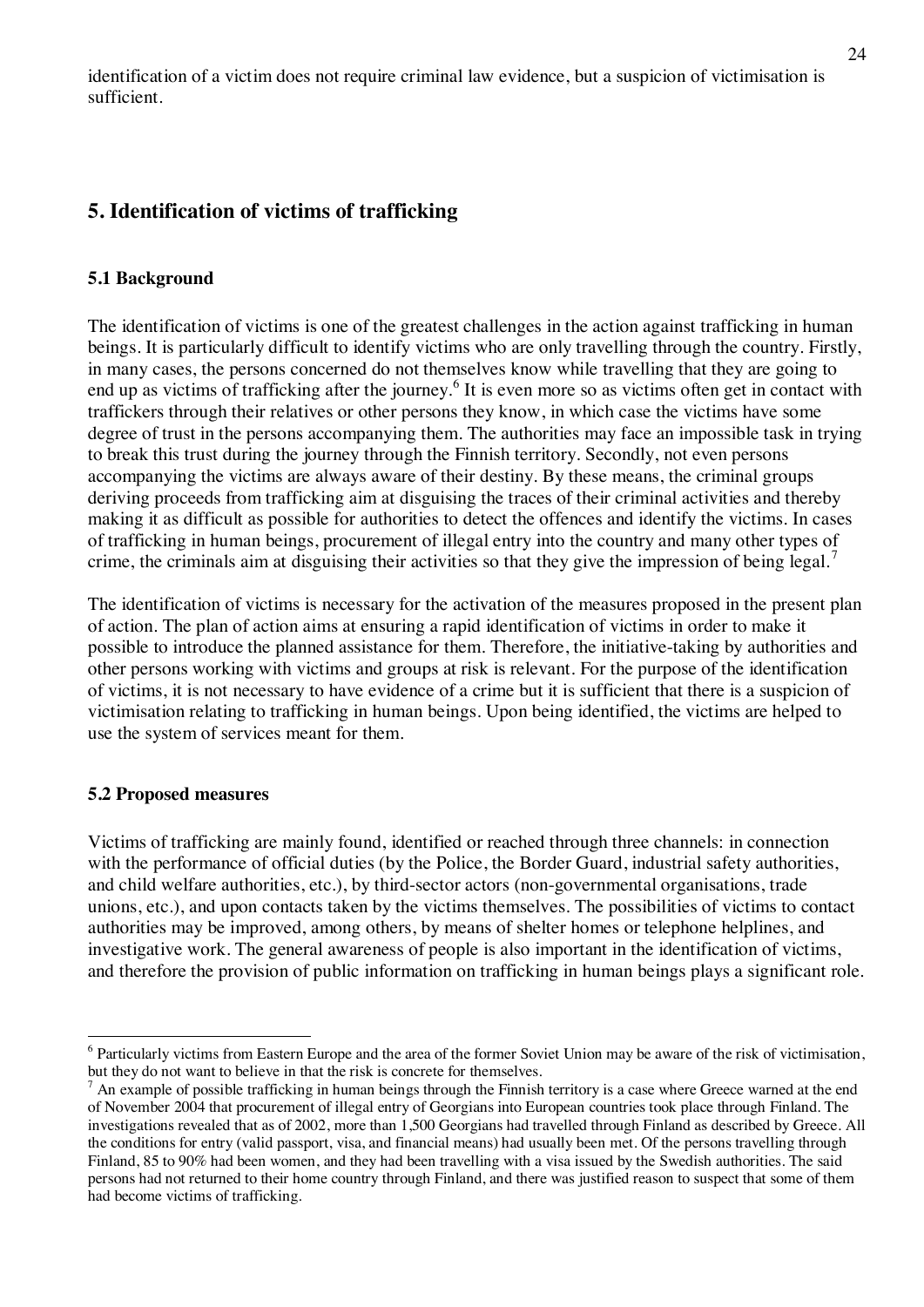identification of a victim does not require criminal law evidence, but a suspicion of victimisation is sufficient.

# **5. Identification of victims of trafficking**

#### **5.1 Background**

The identification of victims is one of the greatest challenges in the action against trafficking in human beings. It is particularly difficult to identify victims who are only travelling through the country. Firstly, in many cases, the persons concerned do not themselves know while travelling that they are going to end up as victims of trafficking after the journey.<sup>6</sup> It is even more so as victims often get in contact with traffickers through their relatives or other persons they know, in which case the victims have some degree of trust in the persons accompanying them. The authorities may face an impossible task in trying to break this trust during the journey through the Finnish territory. Secondly, not even persons accompanying the victims are always aware of their destiny. By these means, the criminal groups deriving proceeds from trafficking aim at disguising the traces of their criminal activities and thereby making it as difficult as possible for authorities to detect the offences and identify the victims. In cases of trafficking in human beings, procurement of illegal entry into the country and many other types of crime, the criminals aim at disguising their activities so that they give the impression of being legal.

The identification of victims is necessary for the activation of the measures proposed in the present plan of action. The plan of action aims at ensuring a rapid identification of victims in order to make it possible to introduce the planned assistance for them. Therefore, the initiative-taking by authorities and other persons working with victims and groups at risk is relevant. For the purpose of the identification of victims, it is not necessary to have evidence of a crime but it is sufficient that there is a suspicion of victimisation relating to trafficking in human beings. Upon being identified, the victims are helped to use the system of services meant for them.

#### **5.2 Proposed measures**

Victims of trafficking are mainly found, identified or reached through three channels: in connection with the performance of official duties (by the Police, the Border Guard, industrial safety authorities, and child welfare authorities, etc.), by third-sector actors (non-governmental organisations, trade unions, etc.), and upon contacts taken by the victims themselves. The possibilities of victims to contact authorities may be improved, among others, by means of shelter homes or telephone helplines, and investigative work. The general awareness of people is also important in the identification of victims, and therefore the provision of public information on trafficking in human beings plays a significant role.

<sup>&</sup>lt;sup>6</sup> Particularly victims from Eastern Europe and the area of the former Soviet Union may be aware of the risk of victimisation, but they do not want to believe in that the risk is concrete for themselves.

<sup>7</sup> An example of possible trafficking in human beings through the Finnish territory is a case where Greece warned at the end of November 2004 that procurement of illegal entry of Georgians into European countries took place through Finland. The investigations revealed that as of 2002, more than 1,500 Georgians had travelled through Finland as described by Greece. All the conditions for entry (valid passport, visa, and financial means) had usually been met. Of the persons travelling through Finland, 85 to 90% had been women, and they had been travelling with a visa issued by the Swedish authorities. The said persons had not returned to their home country through Finland, and there was justified reason to suspect that some of them had become victims of trafficking.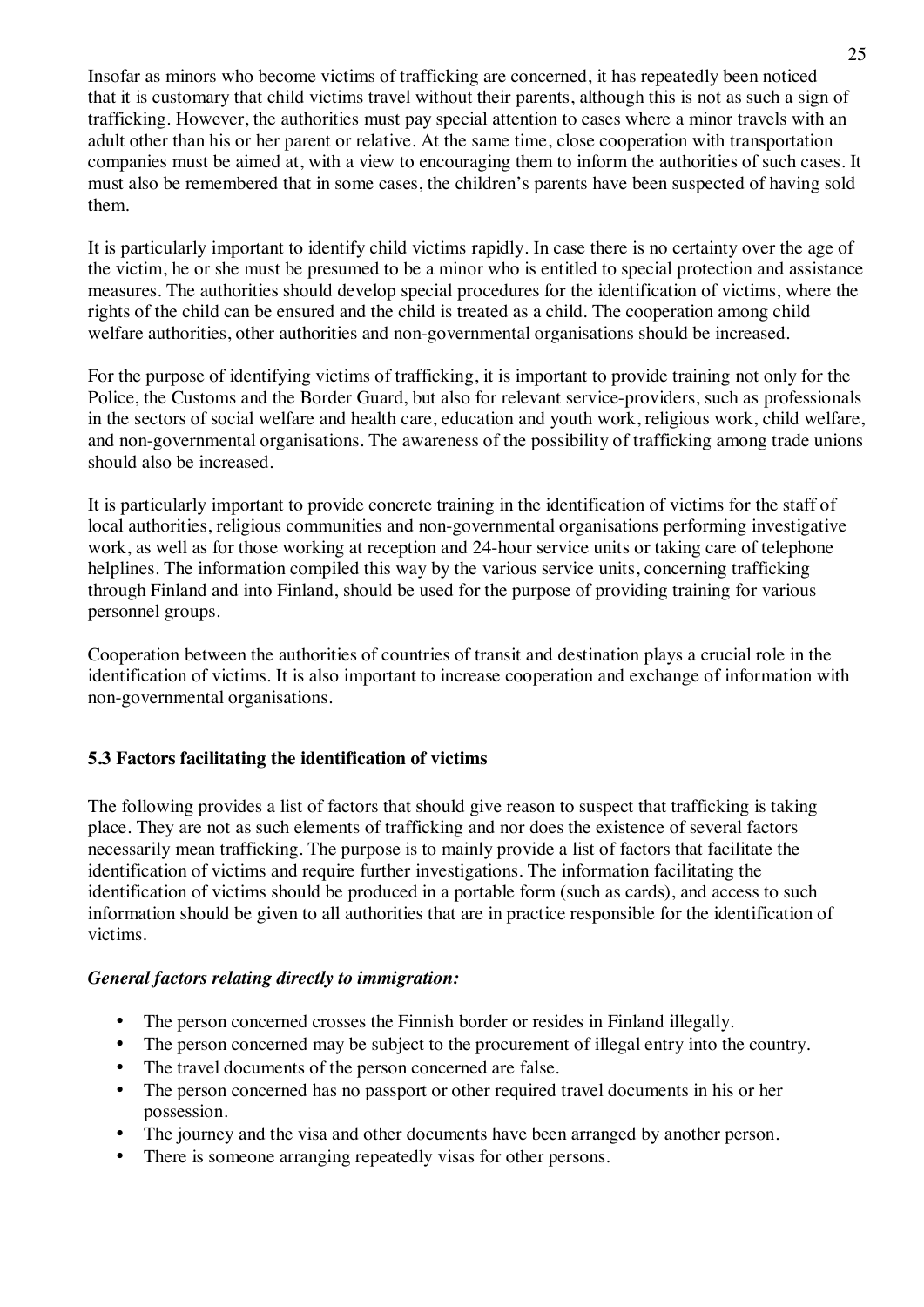Insofar as minors who become victims of trafficking are concerned, it has repeatedly been noticed that it is customary that child victims travel without their parents, although this is not as such a sign of trafficking. However, the authorities must pay special attention to cases where a minor travels with an adult other than his or her parent or relative. At the same time, close cooperation with transportation companies must be aimed at, with a view to encouraging them to inform the authorities of such cases. It must also be remembered that in some cases, the children's parents have been suspected of having sold them.

It is particularly important to identify child victims rapidly. In case there is no certainty over the age of the victim, he or she must be presumed to be a minor who is entitled to special protection and assistance measures. The authorities should develop special procedures for the identification of victims, where the rights of the child can be ensured and the child is treated as a child. The cooperation among child welfare authorities, other authorities and non-governmental organisations should be increased.

For the purpose of identifying victims of trafficking, it is important to provide training not only for the Police, the Customs and the Border Guard, but also for relevant service-providers, such as professionals in the sectors of social welfare and health care, education and youth work, religious work, child welfare, and non-governmental organisations. The awareness of the possibility of trafficking among trade unions should also be increased.

It is particularly important to provide concrete training in the identification of victims for the staff of local authorities, religious communities and non-governmental organisations performing investigative work, as well as for those working at reception and 24-hour service units or taking care of telephone helplines. The information compiled this way by the various service units, concerning trafficking through Finland and into Finland, should be used for the purpose of providing training for various personnel groups.

Cooperation between the authorities of countries of transit and destination plays a crucial role in the identification of victims. It is also important to increase cooperation and exchange of information with non-governmental organisations.

# **5.3 Factors facilitating the identification of victims**

The following provides a list of factors that should give reason to suspect that trafficking is taking place. They are not as such elements of trafficking and nor does the existence of several factors necessarily mean trafficking. The purpose is to mainly provide a list of factors that facilitate the identification of victims and require further investigations. The information facilitating the identification of victims should be produced in a portable form (such as cards), and access to such information should be given to all authorities that are in practice responsible for the identification of victims.

# *General factors relating directly to immigration:*

- The person concerned crosses the Finnish border or resides in Finland illegally.
- The person concerned may be subject to the procurement of illegal entry into the country.
- The travel documents of the person concerned are false.
- The person concerned has no passport or other required travel documents in his or her possession.
- The journey and the visa and other documents have been arranged by another person.
- There is someone arranging repeatedly visas for other persons.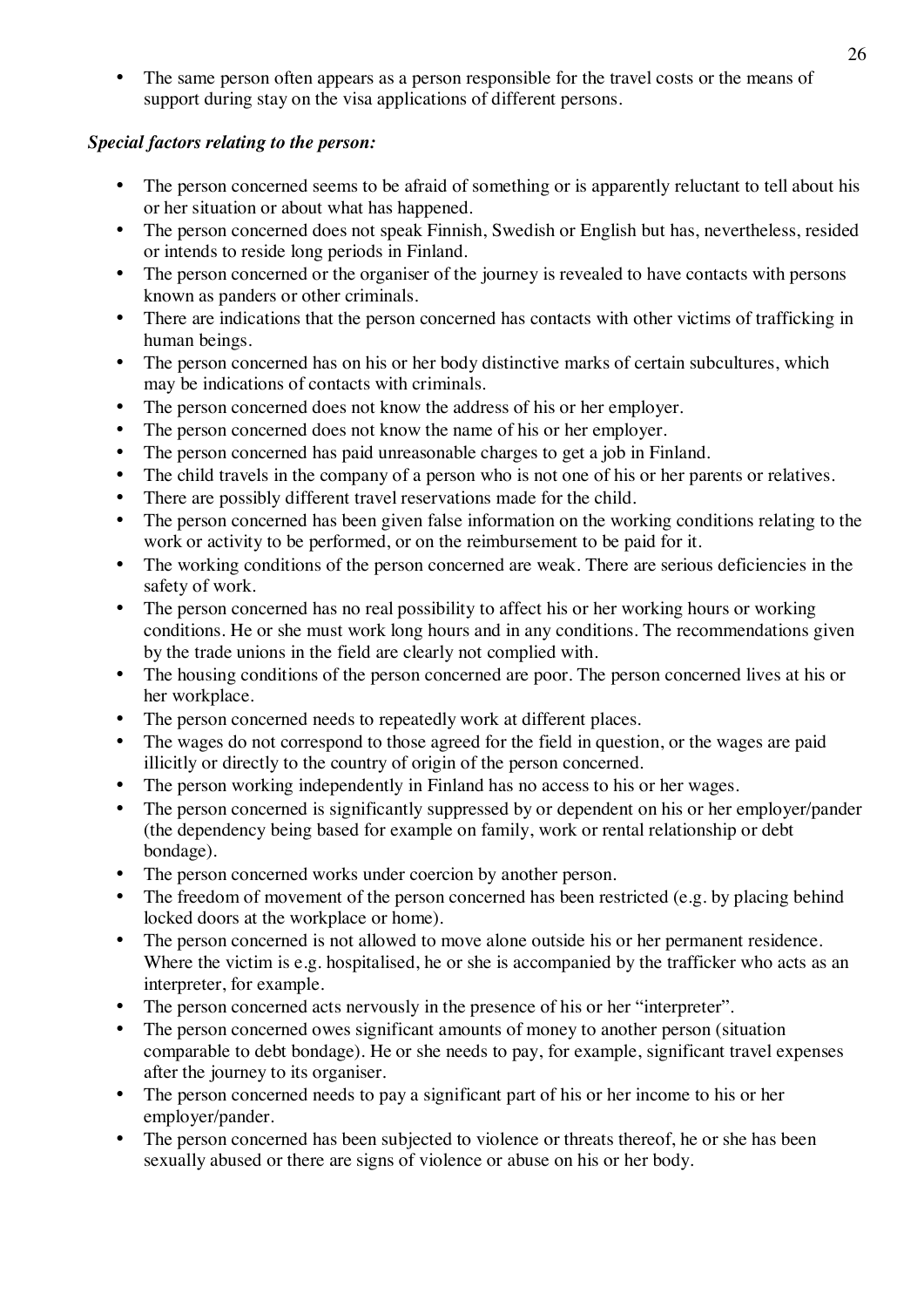The same person often appears as a person responsible for the travel costs or the means of support during stay on the visa applications of different persons.

# *Special factors relating to the person:*

- The person concerned seems to be afraid of something or is apparently reluctant to tell about his or her situation or about what has happened.
- The person concerned does not speak Finnish, Swedish or English but has, nevertheless, resided or intends to reside long periods in Finland.
- The person concerned or the organiser of the journey is revealed to have contacts with persons known as panders or other criminals.
- There are indications that the person concerned has contacts with other victims of trafficking in human beings.
- The person concerned has on his or her body distinctive marks of certain subcultures, which may be indications of contacts with criminals.
- The person concerned does not know the address of his or her employer.
- The person concerned does not know the name of his or her employer.
- The person concerned has paid unreasonable charges to get a job in Finland.
- The child travels in the company of a person who is not one of his or her parents or relatives.
- There are possibly different travel reservations made for the child.
- The person concerned has been given false information on the working conditions relating to the work or activity to be performed, or on the reimbursement to be paid for it.
- The working conditions of the person concerned are weak. There are serious deficiencies in the safety of work.
- The person concerned has no real possibility to affect his or her working hours or working conditions. He or she must work long hours and in any conditions. The recommendations given by the trade unions in the field are clearly not complied with.
- The housing conditions of the person concerned are poor. The person concerned lives at his or her workplace.
- The person concerned needs to repeatedly work at different places.
- The wages do not correspond to those agreed for the field in question, or the wages are paid illicitly or directly to the country of origin of the person concerned.
- The person working independently in Finland has no access to his or her wages.
- The person concerned is significantly suppressed by or dependent on his or her employer/pander (the dependency being based for example on family, work or rental relationship or debt bondage).
- The person concerned works under coercion by another person.
- The freedom of movement of the person concerned has been restricted (e.g. by placing behind locked doors at the workplace or home).
- The person concerned is not allowed to move alone outside his or her permanent residence. Where the victim is e.g. hospitalised, he or she is accompanied by the trafficker who acts as an interpreter, for example.
- The person concerned acts nervously in the presence of his or her "interpreter".
- The person concerned owes significant amounts of money to another person (situation comparable to debt bondage). He or she needs to pay, for example, significant travel expenses after the journey to its organiser.
- The person concerned needs to pay a significant part of his or her income to his or her employer/pander.
- The person concerned has been subjected to violence or threats thereof, he or she has been sexually abused or there are signs of violence or abuse on his or her body.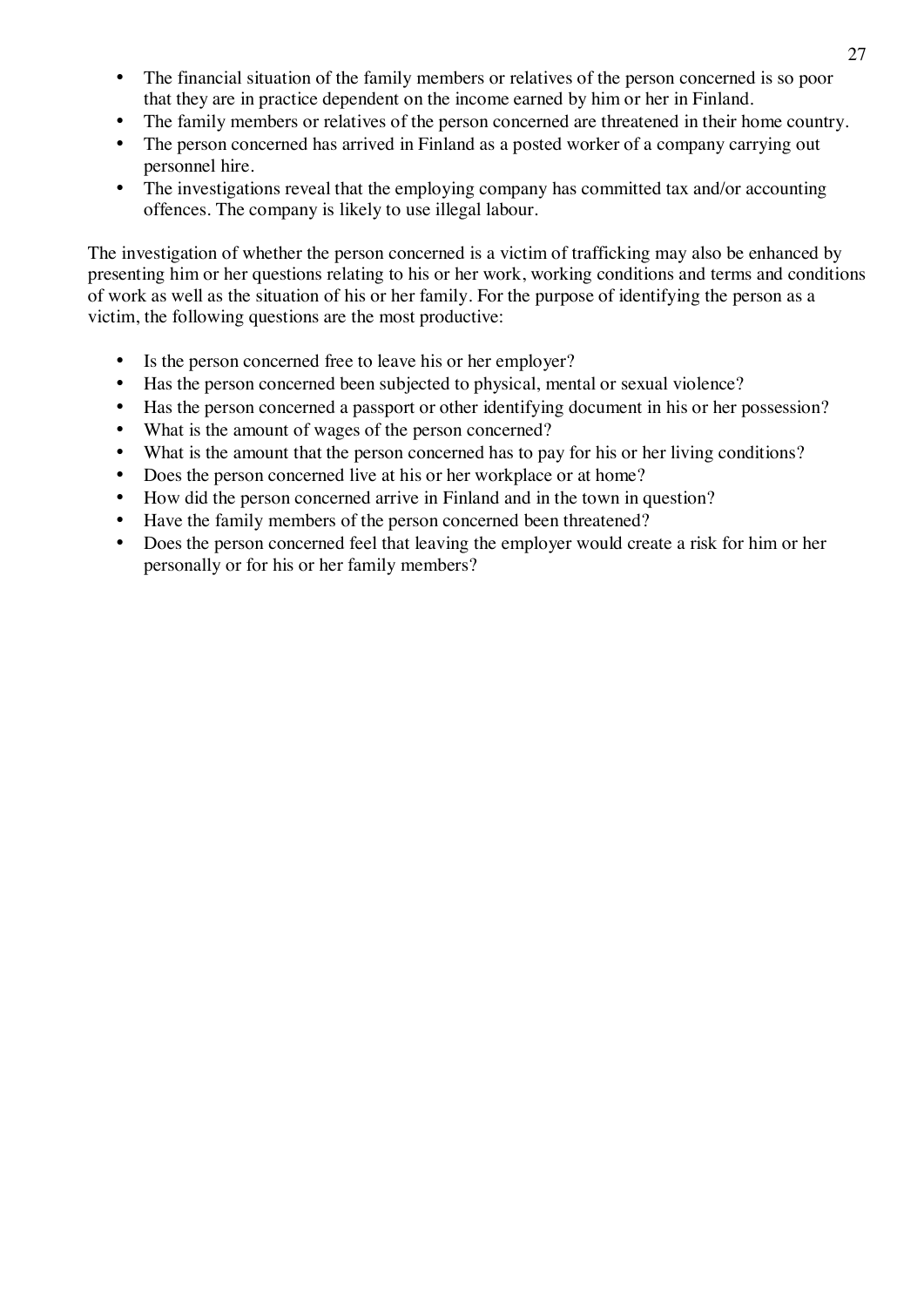- The financial situation of the family members or relatives of the person concerned is so poor that they are in practice dependent on the income earned by him or her in Finland.
- The family members or relatives of the person concerned are threatened in their home country.
- The person concerned has arrived in Finland as a posted worker of a company carrying out personnel hire.
- The investigations reveal that the employing company has committed tax and/or accounting offences. The company is likely to use illegal labour.

The investigation of whether the person concerned is a victim of trafficking may also be enhanced by presenting him or her questions relating to his or her work, working conditions and terms and conditions of work as well as the situation of his or her family. For the purpose of identifying the person as a victim, the following questions are the most productive:

- Is the person concerned free to leave his or her employer?
- Has the person concerned been subjected to physical, mental or sexual violence?
- Has the person concerned a passport or other identifying document in his or her possession?
- What is the amount of wages of the person concerned?
- What is the amount that the person concerned has to pay for his or her living conditions?
- Does the person concerned live at his or her workplace or at home?
- How did the person concerned arrive in Finland and in the town in question?
- Have the family members of the person concerned been threatened?
- Does the person concerned feel that leaving the employer would create a risk for him or her personally or for his or her family members?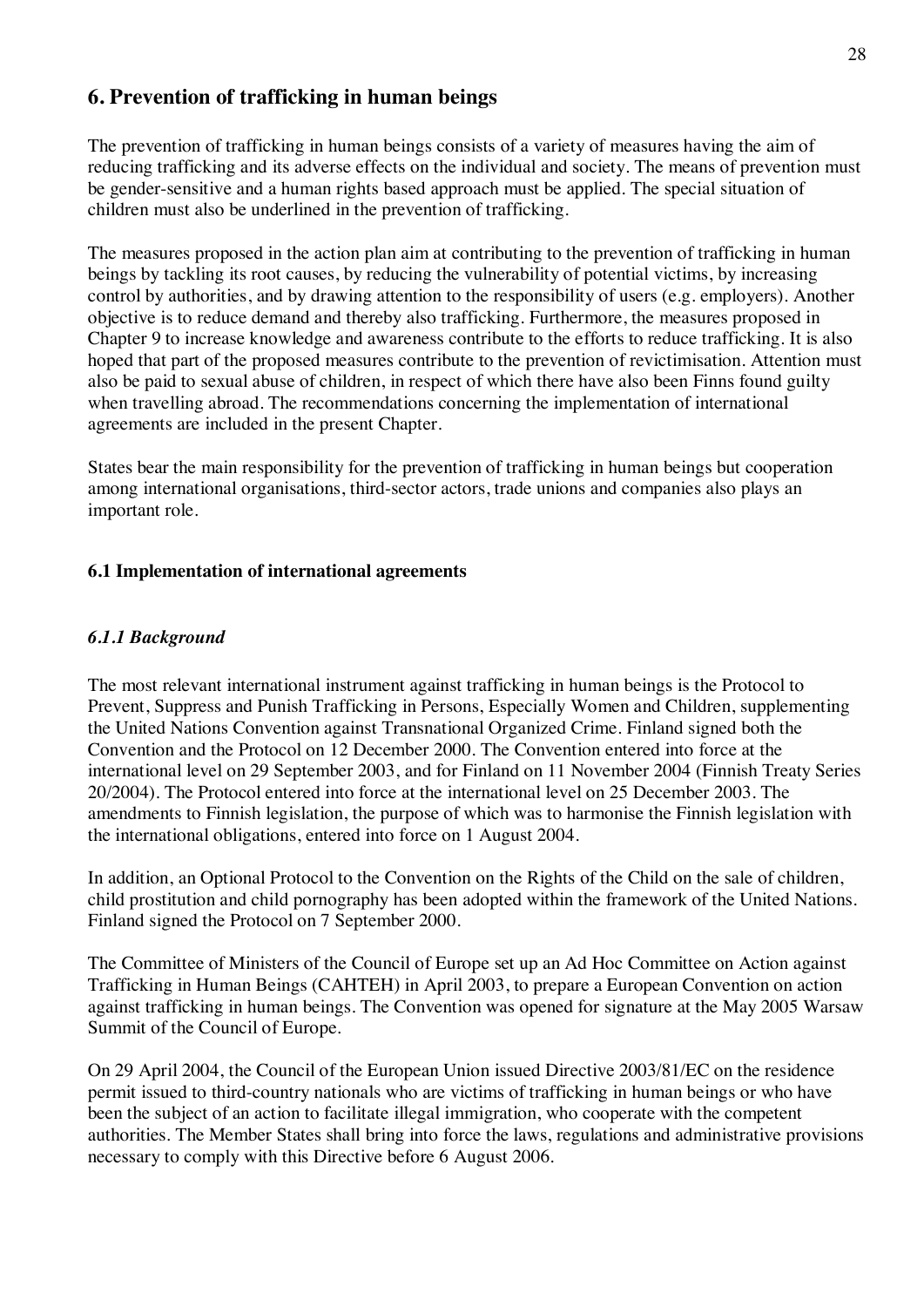# **6. Prevention of trafficking in human beings**

The prevention of trafficking in human beings consists of a variety of measures having the aim of reducing trafficking and its adverse effects on the individual and society. The means of prevention must be gender-sensitive and a human rights based approach must be applied. The special situation of children must also be underlined in the prevention of trafficking.

The measures proposed in the action plan aim at contributing to the prevention of trafficking in human beings by tackling its root causes, by reducing the vulnerability of potential victims, by increasing control by authorities, and by drawing attention to the responsibility of users (e.g. employers). Another objective is to reduce demand and thereby also trafficking. Furthermore, the measures proposed in Chapter 9 to increase knowledge and awareness contribute to the efforts to reduce trafficking. It is also hoped that part of the proposed measures contribute to the prevention of revictimisation. Attention must also be paid to sexual abuse of children, in respect of which there have also been Finns found guilty when travelling abroad. The recommendations concerning the implementation of international agreements are included in the present Chapter.

States bear the main responsibility for the prevention of trafficking in human beings but cooperation among international organisations, third-sector actors, trade unions and companies also plays an important role.

# **6.1 Implementation of international agreements**

# *6.1.1 Background*

The most relevant international instrument against trafficking in human beings is the Protocol to Prevent, Suppress and Punish Trafficking in Persons, Especially Women and Children, supplementing the United Nations Convention against Transnational Organized Crime. Finland signed both the Convention and the Protocol on 12 December 2000. The Convention entered into force at the international level on 29 September 2003, and for Finland on 11 November 2004 (Finnish Treaty Series 20/2004). The Protocol entered into force at the international level on 25 December 2003. The amendments to Finnish legislation, the purpose of which was to harmonise the Finnish legislation with the international obligations, entered into force on 1 August 2004.

In addition, an Optional Protocol to the Convention on the Rights of the Child on the sale of children, child prostitution and child pornography has been adopted within the framework of the United Nations. Finland signed the Protocol on 7 September 2000.

The Committee of Ministers of the Council of Europe set up an Ad Hoc Committee on Action against Trafficking in Human Beings (CAHTEH) in April 2003, to prepare a European Convention on action against trafficking in human beings. The Convention was opened for signature at the May 2005 Warsaw Summit of the Council of Europe.

On 29 April 2004, the Council of the European Union issued Directive 2003/81/EC on the residence permit issued to third-country nationals who are victims of trafficking in human beings or who have been the subject of an action to facilitate illegal immigration, who cooperate with the competent authorities. The Member States shall bring into force the laws, regulations and administrative provisions necessary to comply with this Directive before 6 August 2006.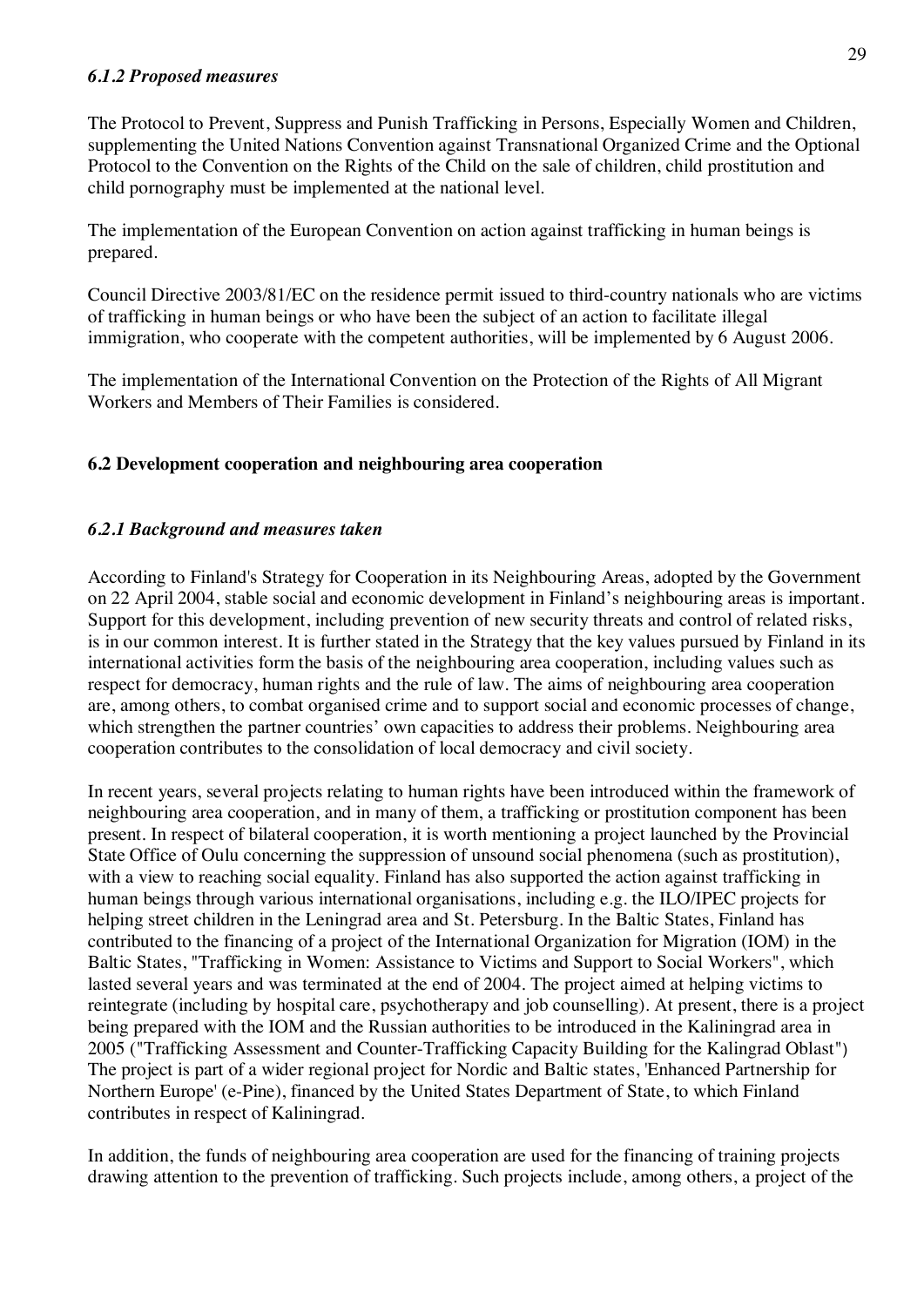#### *6.1.2 Proposed measures*

The Protocol to Prevent, Suppress and Punish Trafficking in Persons, Especially Women and Children, supplementing the United Nations Convention against Transnational Organized Crime and the Optional Protocol to the Convention on the Rights of the Child on the sale of children, child prostitution and child pornography must be implemented at the national level.

The implementation of the European Convention on action against trafficking in human beings is prepared.

Council Directive 2003/81/EC on the residence permit issued to third-country nationals who are victims of trafficking in human beings or who have been the subject of an action to facilitate illegal immigration, who cooperate with the competent authorities, will be implemented by 6 August 2006.

The implementation of the International Convention on the Protection of the Rights of All Migrant Workers and Members of Their Families is considered.

# **6.2 Development cooperation and neighbouring area cooperation**

# *6.2.1 Background and measures taken*

According to Finland's Strategy for Cooperation in its Neighbouring Areas, adopted by the Government on 22 April 2004, stable social and economic development in Finland's neighbouring areas is important. Support for this development, including prevention of new security threats and control of related risks, is in our common interest. It is further stated in the Strategy that the key values pursued by Finland in its international activities form the basis of the neighbouring area cooperation, including values such as respect for democracy, human rights and the rule of law. The aims of neighbouring area cooperation are, among others, to combat organised crime and to support social and economic processes of change, which strengthen the partner countries' own capacities to address their problems. Neighbouring area cooperation contributes to the consolidation of local democracy and civil society.

In recent years, several projects relating to human rights have been introduced within the framework of neighbouring area cooperation, and in many of them, a trafficking or prostitution component has been present. In respect of bilateral cooperation, it is worth mentioning a project launched by the Provincial State Office of Oulu concerning the suppression of unsound social phenomena (such as prostitution), with a view to reaching social equality. Finland has also supported the action against trafficking in human beings through various international organisations, including e.g. the ILO/IPEC projects for helping street children in the Leningrad area and St. Petersburg. In the Baltic States, Finland has contributed to the financing of a project of the International Organization for Migration (IOM) in the Baltic States, "Trafficking in Women: Assistance to Victims and Support to Social Workers", which lasted several years and was terminated at the end of 2004. The project aimed at helping victims to reintegrate (including by hospital care, psychotherapy and job counselling). At present, there is a project being prepared with the IOM and the Russian authorities to be introduced in the Kaliningrad area in 2005 ("Trafficking Assessment and Counter-Trafficking Capacity Building for the Kalingrad Oblast") The project is part of a wider regional project for Nordic and Baltic states, 'Enhanced Partnership for Northern Europe' (e-Pine), financed by the United States Department of State, to which Finland contributes in respect of Kaliningrad.

In addition, the funds of neighbouring area cooperation are used for the financing of training projects drawing attention to the prevention of trafficking. Such projects include, among others, a project of the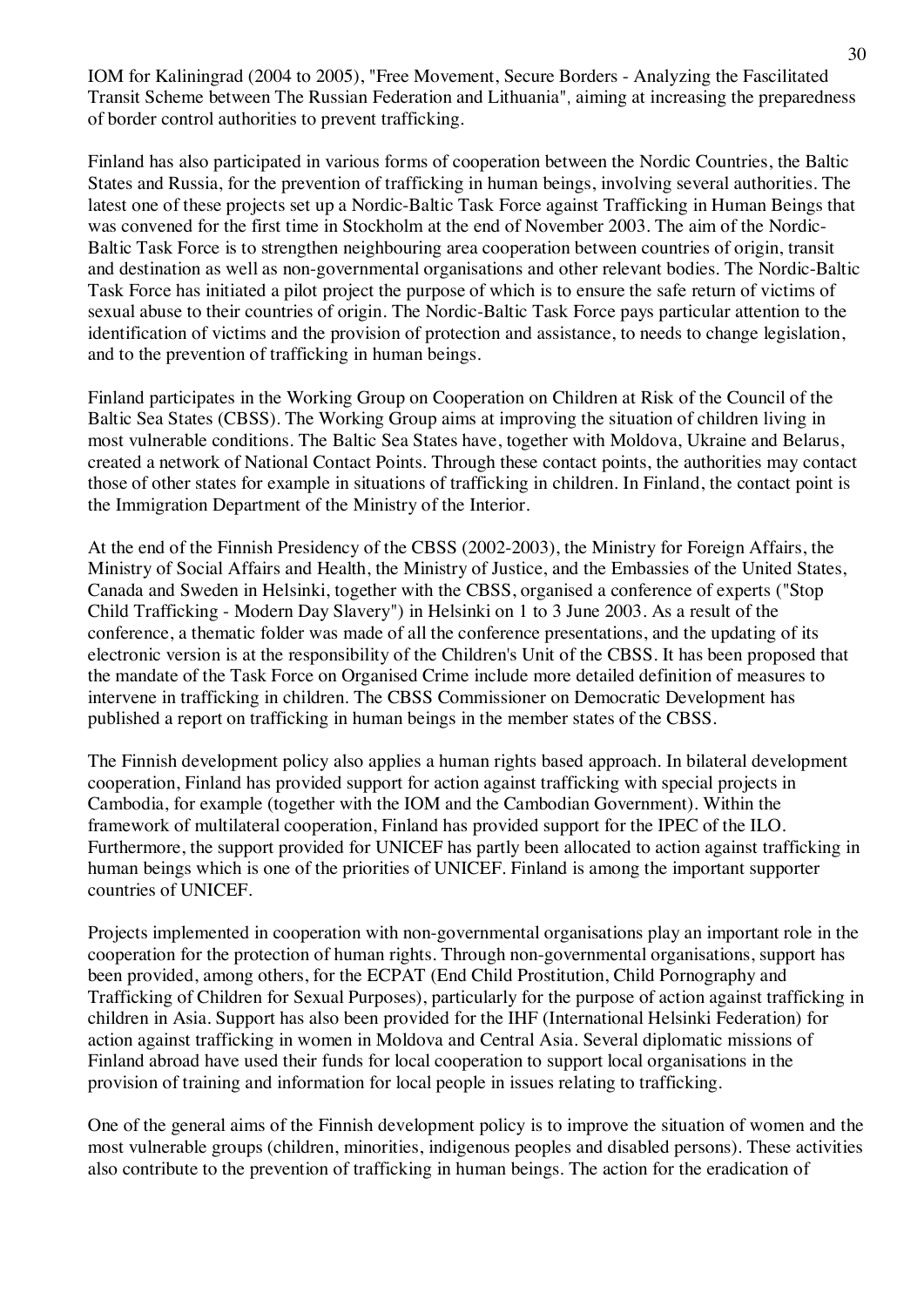IOM for Kaliningrad (2004 to 2005), "Free Movement, Secure Borders - Analyzing the Fascilitated Transit Scheme between The Russian Federation and Lithuania", aiming at increasing the preparedness of border control authorities to prevent trafficking.

Finland has also participated in various forms of cooperation between the Nordic Countries, the Baltic States and Russia, for the prevention of trafficking in human beings, involving several authorities. The latest one of these projects set up a Nordic-Baltic Task Force against Trafficking in Human Beings that was convened for the first time in Stockholm at the end of November 2003. The aim of the Nordic-Baltic Task Force is to strengthen neighbouring area cooperation between countries of origin, transit and destination as well as non-governmental organisations and other relevant bodies. The Nordic-Baltic Task Force has initiated a pilot project the purpose of which is to ensure the safe return of victims of sexual abuse to their countries of origin. The Nordic-Baltic Task Force pays particular attention to the identification of victims and the provision of protection and assistance, to needs to change legislation, and to the prevention of trafficking in human beings.

Finland participates in the Working Group on Cooperation on Children at Risk of the Council of the Baltic Sea States (CBSS). The Working Group aims at improving the situation of children living in most vulnerable conditions. The Baltic Sea States have, together with Moldova, Ukraine and Belarus, created a network of National Contact Points. Through these contact points, the authorities may contact those of other states for example in situations of trafficking in children. In Finland, the contact point is the Immigration Department of the Ministry of the Interior.

At the end of the Finnish Presidency of the CBSS (2002-2003), the Ministry for Foreign Affairs, the Ministry of Social Affairs and Health, the Ministry of Justice, and the Embassies of the United States, Canada and Sweden in Helsinki, together with the CBSS, organised a conference of experts ("Stop Child Trafficking - Modern Day Slavery") in Helsinki on 1 to 3 June 2003. As a result of the conference, a thematic folder was made of all the conference presentations, and the updating of its electronic version is at the responsibility of the Children's Unit of the CBSS. It has been proposed that the mandate of the Task Force on Organised Crime include more detailed definition of measures to intervene in trafficking in children. The CBSS Commissioner on Democratic Development has published a report on trafficking in human beings in the member states of the CBSS.

The Finnish development policy also applies a human rights based approach. In bilateral development cooperation, Finland has provided support for action against trafficking with special projects in Cambodia, for example (together with the IOM and the Cambodian Government). Within the framework of multilateral cooperation, Finland has provided support for the IPEC of the ILO. Furthermore, the support provided for UNICEF has partly been allocated to action against trafficking in human beings which is one of the priorities of UNICEF. Finland is among the important supporter countries of UNICEF.

Projects implemented in cooperation with non-governmental organisations play an important role in the cooperation for the protection of human rights. Through non-governmental organisations, support has been provided, among others, for the ECPAT (End Child Prostitution, Child Pornography and Trafficking of Children for Sexual Purposes), particularly for the purpose of action against trafficking in children in Asia. Support has also been provided for the IHF (International Helsinki Federation) for action against trafficking in women in Moldova and Central Asia. Several diplomatic missions of Finland abroad have used their funds for local cooperation to support local organisations in the provision of training and information for local people in issues relating to trafficking.

One of the general aims of the Finnish development policy is to improve the situation of women and the most vulnerable groups (children, minorities, indigenous peoples and disabled persons). These activities also contribute to the prevention of trafficking in human beings. The action for the eradication of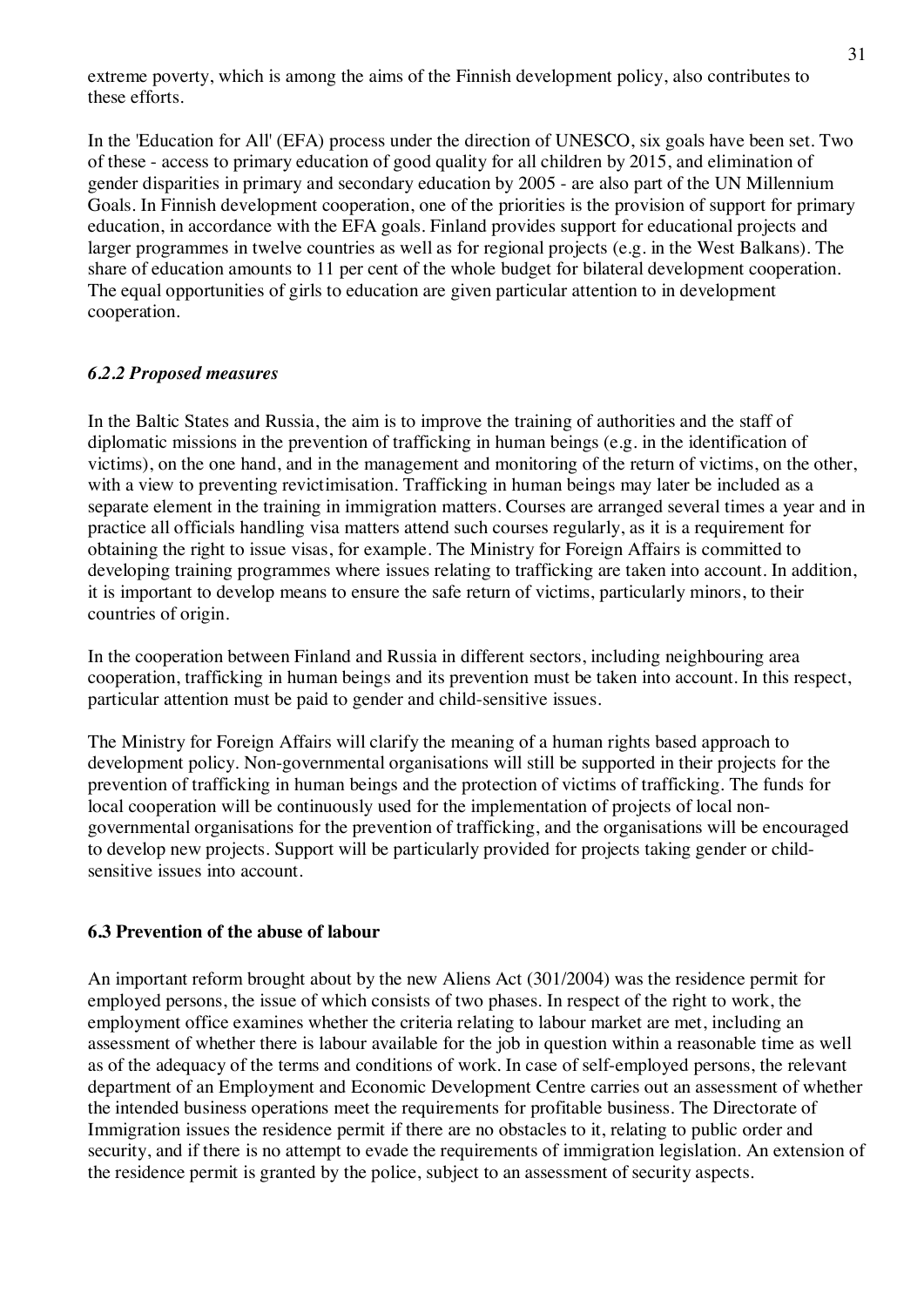extreme poverty, which is among the aims of the Finnish development policy, also contributes to these efforts.

In the 'Education for All' (EFA) process under the direction of UNESCO, six goals have been set. Two of these - access to primary education of good quality for all children by 2015, and elimination of gender disparities in primary and secondary education by 2005 - are also part of the UN Millennium Goals. In Finnish development cooperation, one of the priorities is the provision of support for primary education, in accordance with the EFA goals. Finland provides support for educational projects and larger programmes in twelve countries as well as for regional projects (e.g. in the West Balkans). The share of education amounts to 11 per cent of the whole budget for bilateral development cooperation. The equal opportunities of girls to education are given particular attention to in development cooperation.

#### *6.2.2 Proposed measures*

In the Baltic States and Russia, the aim is to improve the training of authorities and the staff of diplomatic missions in the prevention of trafficking in human beings (e.g. in the identification of victims), on the one hand, and in the management and monitoring of the return of victims, on the other, with a view to preventing revictimisation. Trafficking in human beings may later be included as a separate element in the training in immigration matters. Courses are arranged several times a year and in practice all officials handling visa matters attend such courses regularly, as it is a requirement for obtaining the right to issue visas, for example. The Ministry for Foreign Affairs is committed to developing training programmes where issues relating to trafficking are taken into account. In addition, it is important to develop means to ensure the safe return of victims, particularly minors, to their countries of origin.

In the cooperation between Finland and Russia in different sectors, including neighbouring area cooperation, trafficking in human beings and its prevention must be taken into account. In this respect, particular attention must be paid to gender and child-sensitive issues.

The Ministry for Foreign Affairs will clarify the meaning of a human rights based approach to development policy. Non-governmental organisations will still be supported in their projects for the prevention of trafficking in human beings and the protection of victims of trafficking. The funds for local cooperation will be continuously used for the implementation of projects of local nongovernmental organisations for the prevention of trafficking, and the organisations will be encouraged to develop new projects. Support will be particularly provided for projects taking gender or childsensitive issues into account.

#### **6.3 Prevention of the abuse of labour**

An important reform brought about by the new Aliens Act (301/2004) was the residence permit for employed persons, the issue of which consists of two phases. In respect of the right to work, the employment office examines whether the criteria relating to labour market are met, including an assessment of whether there is labour available for the job in question within a reasonable time as well as of the adequacy of the terms and conditions of work. In case of self-employed persons, the relevant department of an Employment and Economic Development Centre carries out an assessment of whether the intended business operations meet the requirements for profitable business. The Directorate of Immigration issues the residence permit if there are no obstacles to it, relating to public order and security, and if there is no attempt to evade the requirements of immigration legislation. An extension of the residence permit is granted by the police, subject to an assessment of security aspects.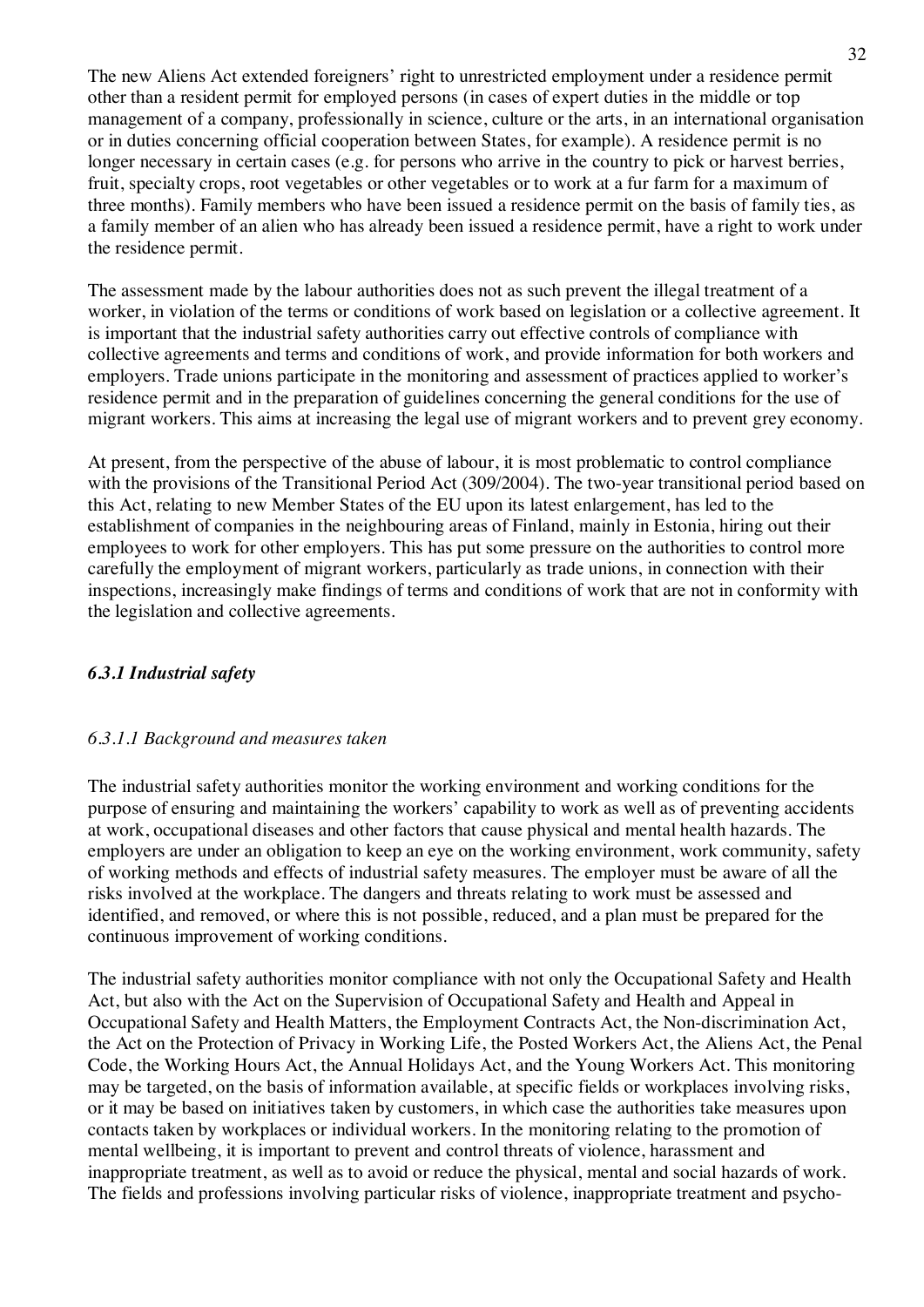The new Aliens Act extended foreigners' right to unrestricted employment under a residence permit other than a resident permit for employed persons (in cases of expert duties in the middle or top management of a company, professionally in science, culture or the arts, in an international organisation or in duties concerning official cooperation between States, for example). A residence permit is no longer necessary in certain cases (e.g. for persons who arrive in the country to pick or harvest berries, fruit, specialty crops, root vegetables or other vegetables or to work at a fur farm for a maximum of three months). Family members who have been issued a residence permit on the basis of family ties, as a family member of an alien who has already been issued a residence permit, have a right to work under the residence permit.

The assessment made by the labour authorities does not as such prevent the illegal treatment of a worker, in violation of the terms or conditions of work based on legislation or a collective agreement. It is important that the industrial safety authorities carry out effective controls of compliance with collective agreements and terms and conditions of work, and provide information for both workers and employers. Trade unions participate in the monitoring and assessment of practices applied to worker's residence permit and in the preparation of guidelines concerning the general conditions for the use of migrant workers. This aims at increasing the legal use of migrant workers and to prevent grey economy.

At present, from the perspective of the abuse of labour, it is most problematic to control compliance with the provisions of the Transitional Period Act (309/2004). The two-year transitional period based on this Act, relating to new Member States of the EU upon its latest enlargement, has led to the establishment of companies in the neighbouring areas of Finland, mainly in Estonia, hiring out their employees to work for other employers. This has put some pressure on the authorities to control more carefully the employment of migrant workers, particularly as trade unions, in connection with their inspections, increasingly make findings of terms and conditions of work that are not in conformity with the legislation and collective agreements.

# *6.3.1 Industrial safety*

# *6.3.1.1 Background and measures taken*

The industrial safety authorities monitor the working environment and working conditions for the purpose of ensuring and maintaining the workers' capability to work as well as of preventing accidents at work, occupational diseases and other factors that cause physical and mental health hazards. The employers are under an obligation to keep an eye on the working environment, work community, safety of working methods and effects of industrial safety measures. The employer must be aware of all the risks involved at the workplace. The dangers and threats relating to work must be assessed and identified, and removed, or where this is not possible, reduced, and a plan must be prepared for the continuous improvement of working conditions.

The industrial safety authorities monitor compliance with not only the Occupational Safety and Health Act, but also with the Act on the Supervision of Occupational Safety and Health and Appeal in Occupational Safety and Health Matters, the Employment Contracts Act, the Non-discrimination Act, the Act on the Protection of Privacy in Working Life, the Posted Workers Act, the Aliens Act, the Penal Code, the Working Hours Act, the Annual Holidays Act, and the Young Workers Act. This monitoring may be targeted, on the basis of information available, at specific fields or workplaces involving risks, or it may be based on initiatives taken by customers, in which case the authorities take measures upon contacts taken by workplaces or individual workers. In the monitoring relating to the promotion of mental wellbeing, it is important to prevent and control threats of violence, harassment and inappropriate treatment, as well as to avoid or reduce the physical, mental and social hazards of work. The fields and professions involving particular risks of violence, inappropriate treatment and psycho-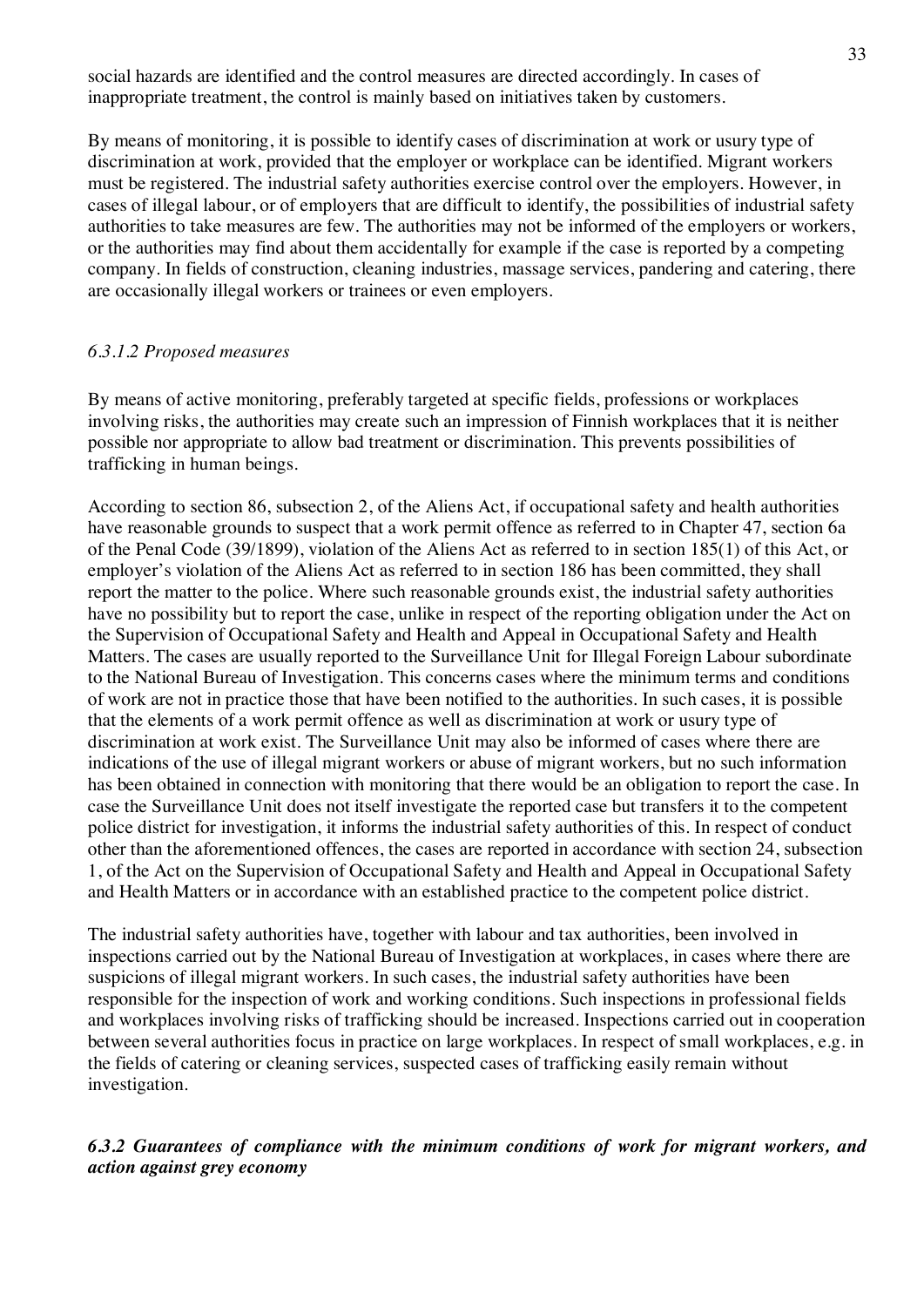social hazards are identified and the control measures are directed accordingly. In cases of inappropriate treatment, the control is mainly based on initiatives taken by customers.

By means of monitoring, it is possible to identify cases of discrimination at work or usury type of discrimination at work, provided that the employer or workplace can be identified. Migrant workers must be registered. The industrial safety authorities exercise control over the employers. However, in cases of illegal labour, or of employers that are difficult to identify, the possibilities of industrial safety authorities to take measures are few. The authorities may not be informed of the employers or workers, or the authorities may find about them accidentally for example if the case is reported by a competing company. In fields of construction, cleaning industries, massage services, pandering and catering, there are occasionally illegal workers or trainees or even employers.

# *6.3.1.2 Proposed measures*

By means of active monitoring, preferably targeted at specific fields, professions or workplaces involving risks, the authorities may create such an impression of Finnish workplaces that it is neither possible nor appropriate to allow bad treatment or discrimination. This prevents possibilities of trafficking in human beings.

According to section 86, subsection 2, of the Aliens Act, if occupational safety and health authorities have reasonable grounds to suspect that a work permit offence as referred to in Chapter 47, section 6a of the Penal Code (39/1899), violation of the Aliens Act as referred to in section 185(1) of this Act, or employer's violation of the Aliens Act as referred to in section 186 has been committed, they shall report the matter to the police. Where such reasonable grounds exist, the industrial safety authorities have no possibility but to report the case, unlike in respect of the reporting obligation under the Act on the Supervision of Occupational Safety and Health and Appeal in Occupational Safety and Health Matters. The cases are usually reported to the Surveillance Unit for Illegal Foreign Labour subordinate to the National Bureau of Investigation. This concerns cases where the minimum terms and conditions of work are not in practice those that have been notified to the authorities. In such cases, it is possible that the elements of a work permit offence as well as discrimination at work or usury type of discrimination at work exist. The Surveillance Unit may also be informed of cases where there are indications of the use of illegal migrant workers or abuse of migrant workers, but no such information has been obtained in connection with monitoring that there would be an obligation to report the case. In case the Surveillance Unit does not itself investigate the reported case but transfers it to the competent police district for investigation, it informs the industrial safety authorities of this. In respect of conduct other than the aforementioned offences, the cases are reported in accordance with section 24, subsection 1, of the Act on the Supervision of Occupational Safety and Health and Appeal in Occupational Safety and Health Matters or in accordance with an established practice to the competent police district.

The industrial safety authorities have, together with labour and tax authorities, been involved in inspections carried out by the National Bureau of Investigation at workplaces, in cases where there are suspicions of illegal migrant workers. In such cases, the industrial safety authorities have been responsible for the inspection of work and working conditions. Such inspections in professional fields and workplaces involving risks of trafficking should be increased. Inspections carried out in cooperation between several authorities focus in practice on large workplaces. In respect of small workplaces, e.g. in the fields of catering or cleaning services, suspected cases of trafficking easily remain without investigation.

# *6.3.2 Guarantees of compliance with the minimum conditions of work for migrant workers, and action against grey economy*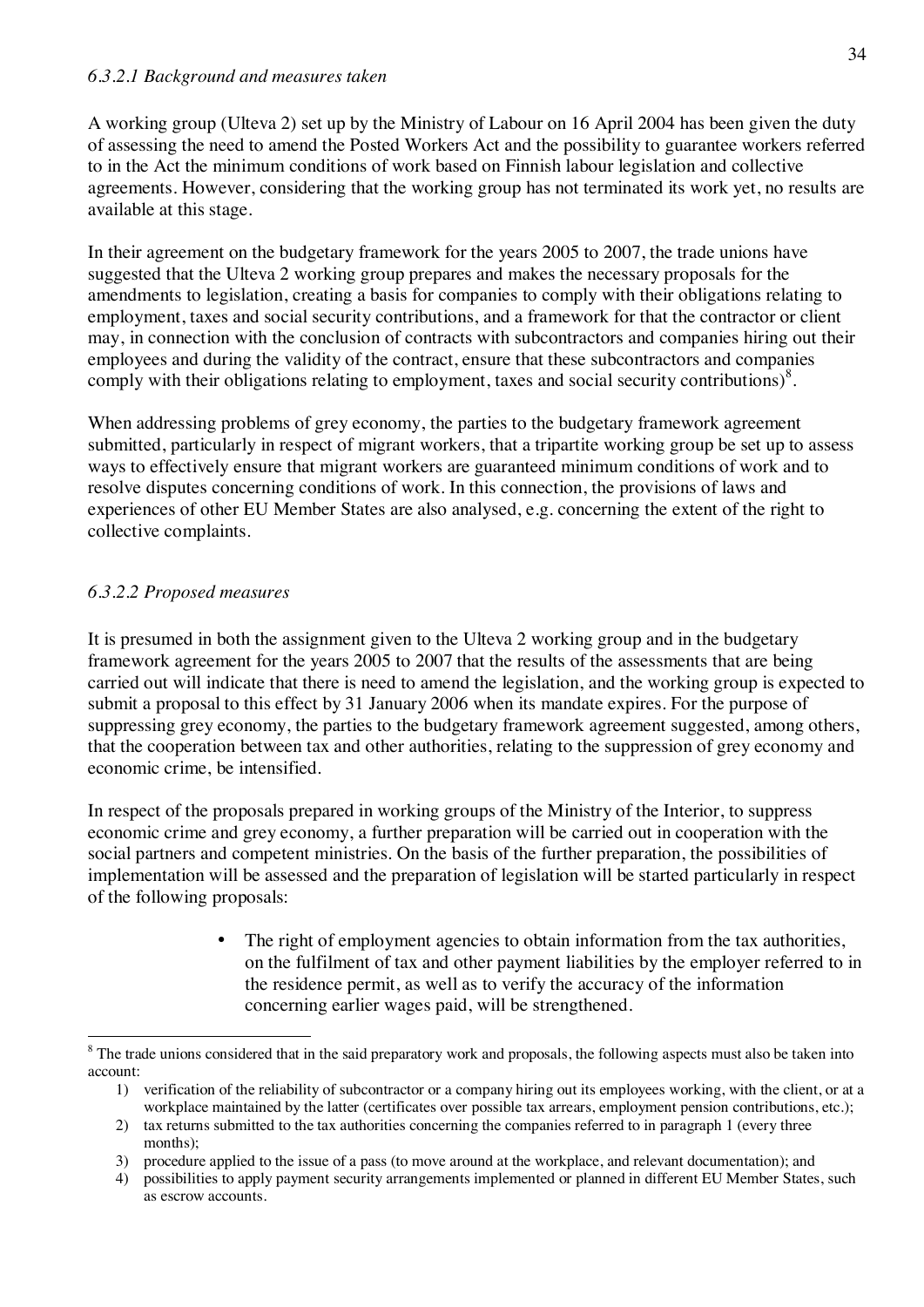A working group (Ulteva 2) set up by the Ministry of Labour on 16 April 2004 has been given the duty of assessing the need to amend the Posted Workers Act and the possibility to guarantee workers referred to in the Act the minimum conditions of work based on Finnish labour legislation and collective agreements. However, considering that the working group has not terminated its work yet, no results are available at this stage.

In their agreement on the budgetary framework for the years 2005 to 2007, the trade unions have suggested that the Ulteva 2 working group prepares and makes the necessary proposals for the amendments to legislation, creating a basis for companies to comply with their obligations relating to employment, taxes and social security contributions, and a framework for that the contractor or client may, in connection with the conclusion of contracts with subcontractors and companies hiring out their employees and during the validity of the contract, ensure that these subcontractors and companies comply with their obligations relating to employment, taxes and social security contributions)<sup>8</sup>.

When addressing problems of grey economy, the parties to the budgetary framework agreement submitted, particularly in respect of migrant workers, that a tripartite working group be set up to assess ways to effectively ensure that migrant workers are guaranteed minimum conditions of work and to resolve disputes concerning conditions of work. In this connection, the provisions of laws and experiences of other EU Member States are also analysed, e.g. concerning the extent of the right to collective complaints.

# *6.3.2.2 Proposed measures*

It is presumed in both the assignment given to the Ulteva 2 working group and in the budgetary framework agreement for the years 2005 to 2007 that the results of the assessments that are being carried out will indicate that there is need to amend the legislation, and the working group is expected to submit a proposal to this effect by 31 January 2006 when its mandate expires. For the purpose of suppressing grey economy, the parties to the budgetary framework agreement suggested, among others, that the cooperation between tax and other authorities, relating to the suppression of grey economy and economic crime, be intensified.

In respect of the proposals prepared in working groups of the Ministry of the Interior, to suppress economic crime and grey economy, a further preparation will be carried out in cooperation with the social partners and competent ministries. On the basis of the further preparation, the possibilities of implementation will be assessed and the preparation of legislation will be started particularly in respect of the following proposals:

> • The right of employment agencies to obtain information from the tax authorities, on the fulfilment of tax and other payment liabilities by the employer referred to in the residence permit, as well as to verify the accuracy of the information concerning earlier wages paid, will be strengthened.

<sup>&</sup>lt;sup>8</sup> The trade unions considered that in the said preparatory work and proposals, the following aspects must also be taken into account:

<sup>1)</sup> verification of the reliability of subcontractor or a company hiring out its employees working, with the client, or at a workplace maintained by the latter (certificates over possible tax arrears, employment pension contributions, etc.);

<sup>2)</sup> tax returns submitted to the tax authorities concerning the companies referred to in paragraph 1 (every three months);

<sup>3)</sup> procedure applied to the issue of a pass (to move around at the workplace, and relevant documentation); and

<sup>4)</sup> possibilities to apply payment security arrangements implemented or planned in different EU Member States, such as escrow accounts.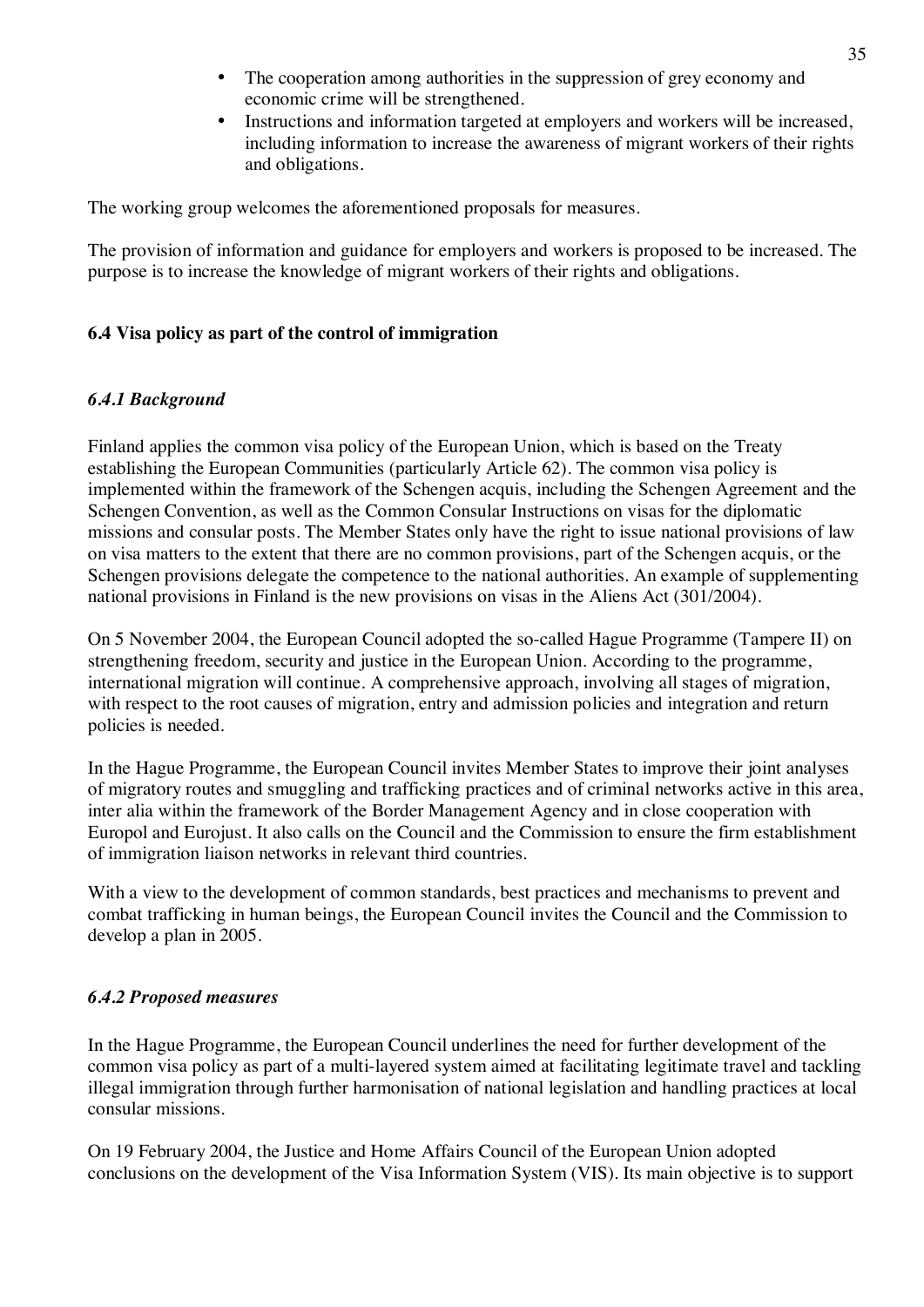- The cooperation among authorities in the suppression of grey economy and economic crime will be strengthened.
- Instructions and information targeted at employers and workers will be increased, including information to increase the awareness of migrant workers of their rights and obligations.

The working group welcomes the aforementioned proposals for measures.

The provision of information and guidance for employers and workers is proposed to be increased. The purpose is to increase the knowledge of migrant workers of their rights and obligations.

# **6.4 Visa policy as part of the control of immigration**

# *6.4.1 Background*

Finland applies the common visa policy of the European Union, which is based on the Treaty establishing the European Communities (particularly Article 62). The common visa policy is implemented within the framework of the Schengen acquis, including the Schengen Agreement and the Schengen Convention, as well as the Common Consular Instructions on visas for the diplomatic missions and consular posts. The Member States only have the right to issue national provisions of law on visa matters to the extent that there are no common provisions, part of the Schengen acquis, or the Schengen provisions delegate the competence to the national authorities. An example of supplementing national provisions in Finland is the new provisions on visas in the Aliens Act (301/2004).

On 5 November 2004, the European Council adopted the so-called Hague Programme (Tampere II) on strengthening freedom, security and justice in the European Union. According to the programme, international migration will continue. A comprehensive approach, involving all stages of migration, with respect to the root causes of migration, entry and admission policies and integration and return policies is needed.

In the Hague Programme, the European Council invites Member States to improve their joint analyses of migratory routes and smuggling and trafficking practices and of criminal networks active in this area, inter alia within the framework of the Border Management Agency and in close cooperation with Europol and Eurojust. It also calls on the Council and the Commission to ensure the firm establishment of immigration liaison networks in relevant third countries.

With a view to the development of common standards, best practices and mechanisms to prevent and combat trafficking in human beings, the European Council invites the Council and the Commission to develop a plan in 2005.

# *6.4.2 Proposed measures*

In the Hague Programme, the European Council underlines the need for further development of the common visa policy as part of a multi-layered system aimed at facilitating legitimate travel and tackling illegal immigration through further harmonisation of national legislation and handling practices at local consular missions.

On 19 February 2004, the Justice and Home Affairs Council of the European Union adopted conclusions on the development of the Visa Information System (VIS). Its main objective is to support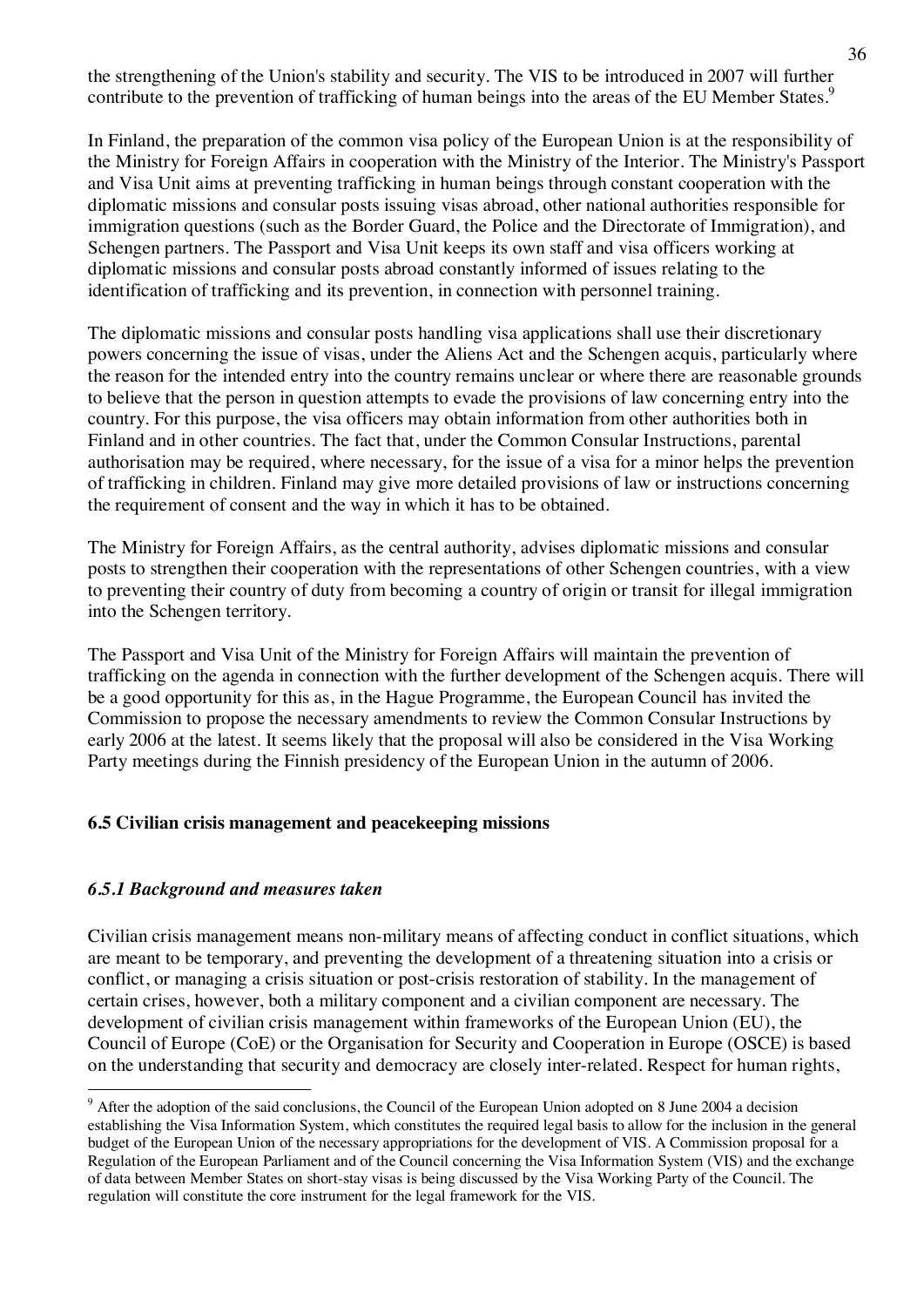the strengthening of the Union's stability and security. The VIS to be introduced in 2007 will further contribute to the prevention of trafficking of human beings into the areas of the EU Member States.<sup>9</sup>

In Finland, the preparation of the common visa policy of the European Union is at the responsibility of the Ministry for Foreign Affairs in cooperation with the Ministry of the Interior. The Ministry's Passport and Visa Unit aims at preventing trafficking in human beings through constant cooperation with the diplomatic missions and consular posts issuing visas abroad, other national authorities responsible for immigration questions (such as the Border Guard, the Police and the Directorate of Immigration), and Schengen partners. The Passport and Visa Unit keeps its own staff and visa officers working at diplomatic missions and consular posts abroad constantly informed of issues relating to the identification of trafficking and its prevention, in connection with personnel training.

The diplomatic missions and consular posts handling visa applications shall use their discretionary powers concerning the issue of visas, under the Aliens Act and the Schengen acquis, particularly where the reason for the intended entry into the country remains unclear or where there are reasonable grounds to believe that the person in question attempts to evade the provisions of law concerning entry into the country. For this purpose, the visa officers may obtain information from other authorities both in Finland and in other countries. The fact that, under the Common Consular Instructions, parental authorisation may be required, where necessary, for the issue of a visa for a minor helps the prevention of trafficking in children. Finland may give more detailed provisions of law or instructions concerning the requirement of consent and the way in which it has to be obtained.

The Ministry for Foreign Affairs, as the central authority, advises diplomatic missions and consular posts to strengthen their cooperation with the representations of other Schengen countries, with a view to preventing their country of duty from becoming a country of origin or transit for illegal immigration into the Schengen territory.

The Passport and Visa Unit of the Ministry for Foreign Affairs will maintain the prevention of trafficking on the agenda in connection with the further development of the Schengen acquis. There will be a good opportunity for this as, in the Hague Programme, the European Council has invited the Commission to propose the necessary amendments to review the Common Consular Instructions by early 2006 at the latest. It seems likely that the proposal will also be considered in the Visa Working Party meetings during the Finnish presidency of the European Union in the autumn of 2006.

# **6.5 Civilian crisis management and peacekeeping missions**

# *6.5.1 Background and measures taken*

Civilian crisis management means non-military means of affecting conduct in conflict situations, which are meant to be temporary, and preventing the development of a threatening situation into a crisis or conflict, or managing a crisis situation or post-crisis restoration of stability. In the management of certain crises, however, both a military component and a civilian component are necessary. The development of civilian crisis management within frameworks of the European Union (EU), the Council of Europe (CoE) or the Organisation for Security and Cooperation in Europe (OSCE) is based on the understanding that security and democracy are closely inter-related. Respect for human rights,

<sup>&</sup>lt;sup>9</sup> After the adoption of the said conclusions, the Council of the European Union adopted on 8 June 2004 a decision establishing the Visa Information System, which constitutes the required legal basis to allow for the inclusion in the general budget of the European Union of the necessary appropriations for the development of VIS. A Commission proposal for a Regulation of the European Parliament and of the Council concerning the Visa Information System (VIS) and the exchange of data between Member States on short-stay visas is being discussed by the Visa Working Party of the Council. The regulation will constitute the core instrument for the legal framework for the VIS.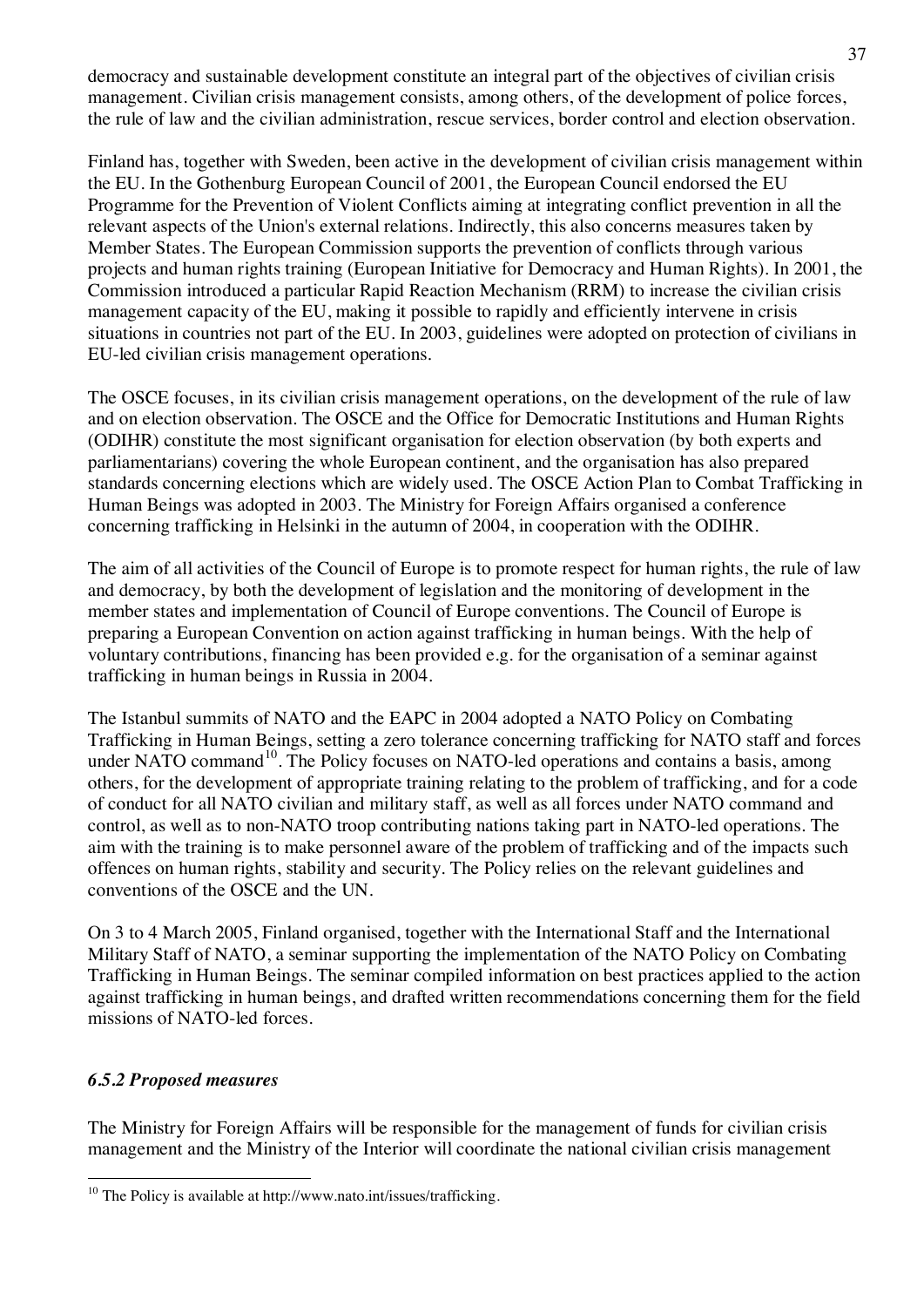democracy and sustainable development constitute an integral part of the objectives of civilian crisis management. Civilian crisis management consists, among others, of the development of police forces, the rule of law and the civilian administration, rescue services, border control and election observation.

Finland has, together with Sweden, been active in the development of civilian crisis management within the EU. In the Gothenburg European Council of 2001, the European Council endorsed the EU Programme for the Prevention of Violent Conflicts aiming at integrating conflict prevention in all the relevant aspects of the Union's external relations. Indirectly, this also concerns measures taken by Member States. The European Commission supports the prevention of conflicts through various projects and human rights training (European Initiative for Democracy and Human Rights). In 2001, the Commission introduced a particular Rapid Reaction Mechanism (RRM) to increase the civilian crisis management capacity of the EU, making it possible to rapidly and efficiently intervene in crisis situations in countries not part of the EU. In 2003, guidelines were adopted on protection of civilians in EU-led civilian crisis management operations.

The OSCE focuses, in its civilian crisis management operations, on the development of the rule of law and on election observation. The OSCE and the Office for Democratic Institutions and Human Rights (ODIHR) constitute the most significant organisation for election observation (by both experts and parliamentarians) covering the whole European continent, and the organisation has also prepared standards concerning elections which are widely used. The OSCE Action Plan to Combat Trafficking in Human Beings was adopted in 2003. The Ministry for Foreign Affairs organised a conference concerning trafficking in Helsinki in the autumn of 2004, in cooperation with the ODIHR.

The aim of all activities of the Council of Europe is to promote respect for human rights, the rule of law and democracy, by both the development of legislation and the monitoring of development in the member states and implementation of Council of Europe conventions. The Council of Europe is preparing a European Convention on action against trafficking in human beings. With the help of voluntary contributions, financing has been provided e.g. for the organisation of a seminar against trafficking in human beings in Russia in 2004.

The Istanbul summits of NATO and the EAPC in 2004 adopted a NATO Policy on Combating Trafficking in Human Beings, setting a zero tolerance concerning trafficking for NATO staff and forces under NATO command<sup>10</sup>. The Policy focuses on NATO-led operations and contains a basis, among others, for the development of appropriate training relating to the problem of trafficking, and for a code of conduct for all NATO civilian and military staff, as well as all forces under NATO command and control, as well as to non-NATO troop contributing nations taking part in NATO-led operations. The aim with the training is to make personnel aware of the problem of trafficking and of the impacts such offences on human rights, stability and security. The Policy relies on the relevant guidelines and conventions of the OSCE and the UN.

On 3 to 4 March 2005, Finland organised, together with the International Staff and the International Military Staff of NATO, a seminar supporting the implementation of the NATO Policy on Combating Trafficking in Human Beings. The seminar compiled information on best practices applied to the action against trafficking in human beings, and drafted written recommendations concerning them for the field missions of NATO-led forces.

# *6.5.2 Proposed measures*

The Ministry for Foreign Affairs will be responsible for the management of funds for civilian crisis management and the Ministry of the Interior will coordinate the national civilian crisis management

 $10$  The Policy is available at<http://www.nato.int/issues/trafficking.>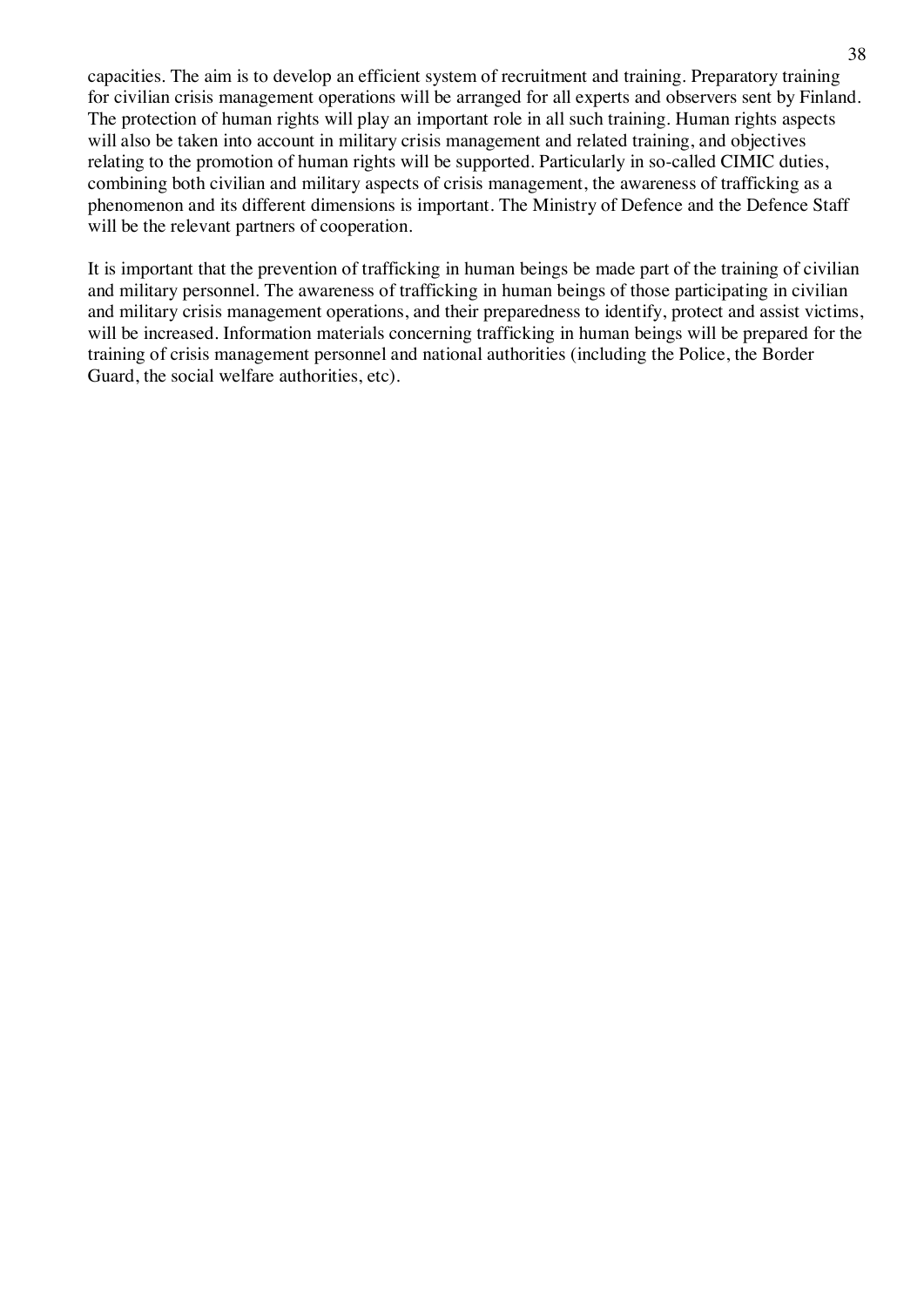capacities. The aim is to develop an efficient system of recruitment and training. Preparatory training for civilian crisis management operations will be arranged for all experts and observers sent by Finland. The protection of human rights will play an important role in all such training. Human rights aspects will also be taken into account in military crisis management and related training, and objectives relating to the promotion of human rights will be supported. Particularly in so-called CIMIC duties, combining both civilian and military aspects of crisis management, the awareness of trafficking as a phenomenon and its different dimensions is important. The Ministry of Defence and the Defence Staff will be the relevant partners of cooperation.

It is important that the prevention of trafficking in human beings be made part of the training of civilian and military personnel. The awareness of trafficking in human beings of those participating in civilian and military crisis management operations, and their preparedness to identify, protect and assist victims, will be increased. Information materials concerning trafficking in human beings will be prepared for the training of crisis management personnel and national authorities (including the Police, the Border Guard, the social welfare authorities, etc).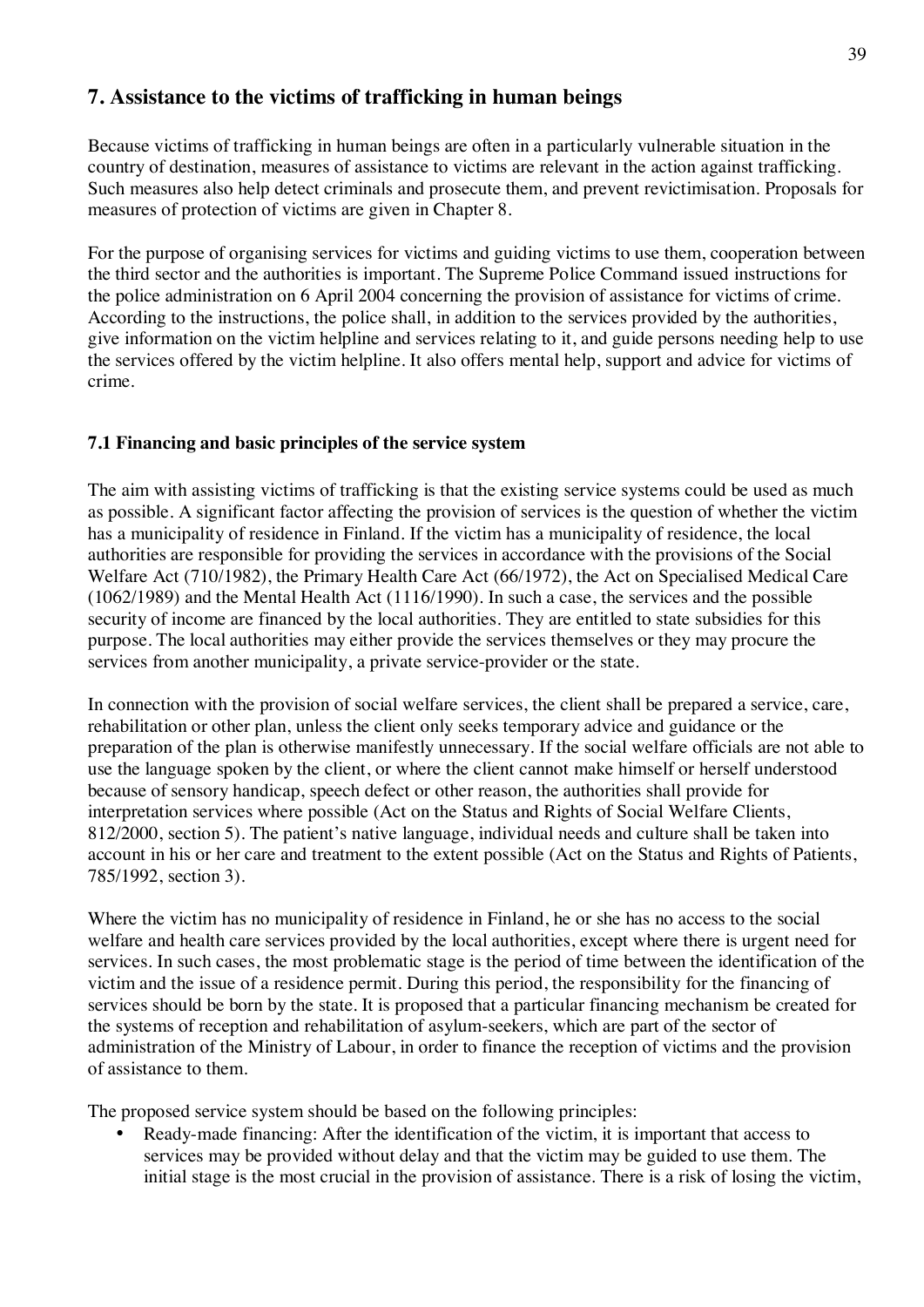# **7. Assistance to the victims of trafficking in human beings**

Because victims of trafficking in human beings are often in a particularly vulnerable situation in the country of destination, measures of assistance to victims are relevant in the action against trafficking. Such measures also help detect criminals and prosecute them, and prevent revictimisation. Proposals for measures of protection of victims are given in Chapter 8.

For the purpose of organising services for victims and guiding victims to use them, cooperation between the third sector and the authorities is important. The Supreme Police Command issued instructions for the police administration on 6 April 2004 concerning the provision of assistance for victims of crime. According to the instructions, the police shall, in addition to the services provided by the authorities, give information on the victim helpline and services relating to it, and guide persons needing help to use the services offered by the victim helpline. It also offers mental help, support and advice for victims of crime.

# **7.1 Financing and basic principles of the service system**

The aim with assisting victims of trafficking is that the existing service systems could be used as much as possible. A significant factor affecting the provision of services is the question of whether the victim has a municipality of residence in Finland. If the victim has a municipality of residence, the local authorities are responsible for providing the services in accordance with the provisions of the Social Welfare Act (710/1982), the Primary Health Care Act (66/1972), the Act on Specialised Medical Care (1062/1989) and the Mental Health Act (1116/1990). In such a case, the services and the possible security of income are financed by the local authorities. They are entitled to state subsidies for this purpose. The local authorities may either provide the services themselves or they may procure the services from another municipality, a private service-provider or the state.

In connection with the provision of social welfare services, the client shall be prepared a service, care, rehabilitation or other plan, unless the client only seeks temporary advice and guidance or the preparation of the plan is otherwise manifestly unnecessary. If the social welfare officials are not able to use the language spoken by the client, or where the client cannot make himself or herself understood because of sensory handicap, speech defect or other reason, the authorities shall provide for interpretation services where possible (Act on the Status and Rights of Social Welfare Clients, 812/2000, section 5). The patient's native language, individual needs and culture shall be taken into account in his or her care and treatment to the extent possible (Act on the Status and Rights of Patients, 785/1992, section 3).

Where the victim has no municipality of residence in Finland, he or she has no access to the social welfare and health care services provided by the local authorities, except where there is urgent need for services. In such cases, the most problematic stage is the period of time between the identification of the victim and the issue of a residence permit. During this period, the responsibility for the financing of services should be born by the state. It is proposed that a particular financing mechanism be created for the systems of reception and rehabilitation of asylum-seekers, which are part of the sector of administration of the Ministry of Labour, in order to finance the reception of victims and the provision of assistance to them.

The proposed service system should be based on the following principles:

• Ready-made financing: After the identification of the victim, it is important that access to services may be provided without delay and that the victim may be guided to use them. The initial stage is the most crucial in the provision of assistance. There is a risk of losing the victim,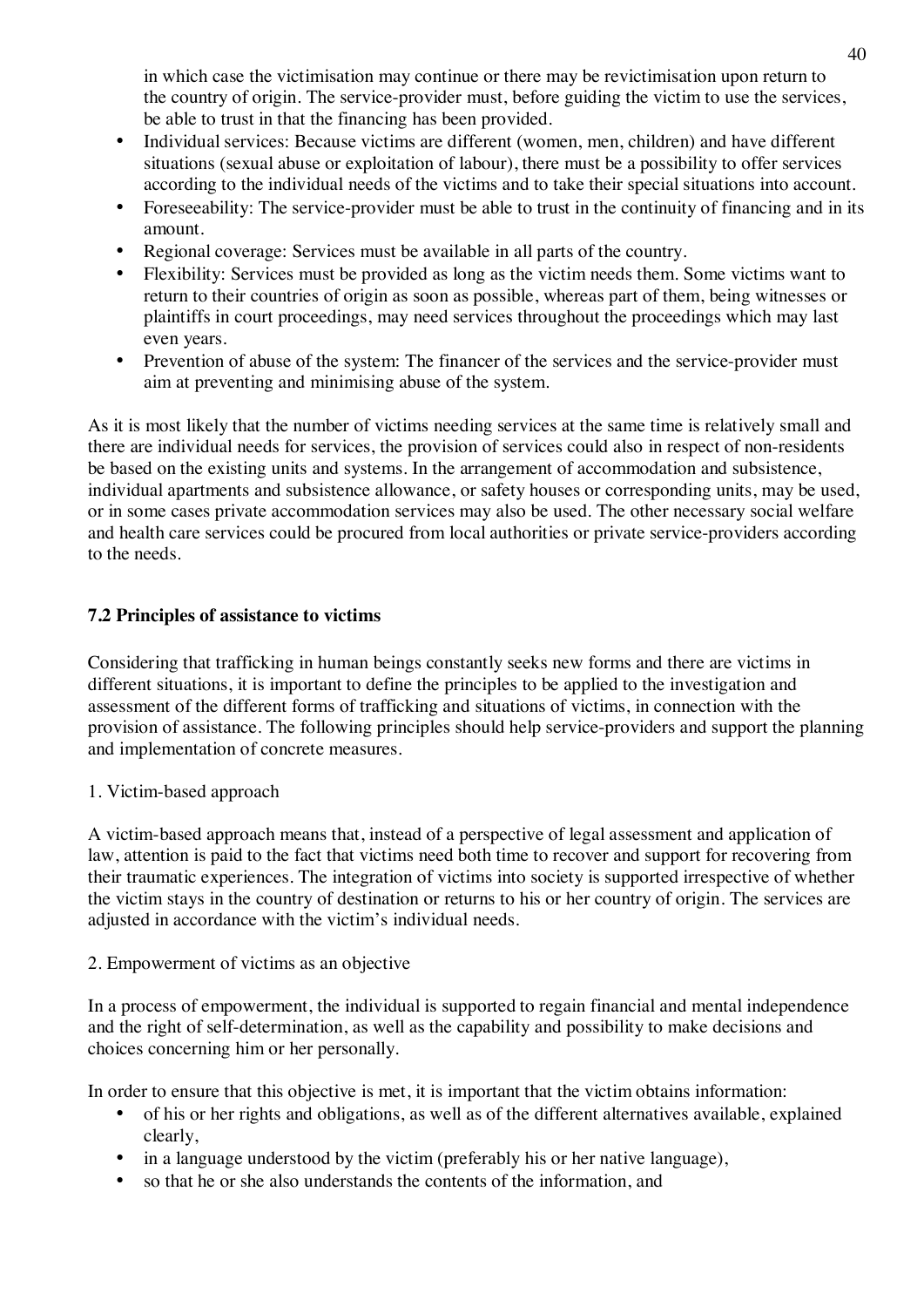in which case the victimisation may continue or there may be revictimisation upon return to the country of origin. The service-provider must, before guiding the victim to use the services, be able to trust in that the financing has been provided.

- Individual services: Because victims are different (women, men, children) and have different situations (sexual abuse or exploitation of labour), there must be a possibility to offer services according to the individual needs of the victims and to take their special situations into account.
- Foreseeability: The service-provider must be able to trust in the continuity of financing and in its amount.
- Regional coverage: Services must be available in all parts of the country.
- Flexibility: Services must be provided as long as the victim needs them. Some victims want to return to their countries of origin as soon as possible, whereas part of them, being witnesses or plaintiffs in court proceedings, may need services throughout the proceedings which may last even years.
- Prevention of abuse of the system: The financer of the services and the service-provider must aim at preventing and minimising abuse of the system.

As it is most likely that the number of victims needing services at the same time is relatively small and there are individual needs for services, the provision of services could also in respect of non-residents be based on the existing units and systems. In the arrangement of accommodation and subsistence, individual apartments and subsistence allowance, or safety houses or corresponding units, may be used, or in some cases private accommodation services may also be used. The other necessary social welfare and health care services could be procured from local authorities or private service-providers according to the needs.

# **7.2 Principles of assistance to victims**

Considering that trafficking in human beings constantly seeks new forms and there are victims in different situations, it is important to define the principles to be applied to the investigation and assessment of the different forms of trafficking and situations of victims, in connection with the provision of assistance. The following principles should help service-providers and support the planning and implementation of concrete measures.

# 1. Victim-based approach

A victim-based approach means that, instead of a perspective of legal assessment and application of law, attention is paid to the fact that victims need both time to recover and support for recovering from their traumatic experiences. The integration of victims into society is supported irrespective of whether the victim stays in the country of destination or returns to his or her country of origin. The services are adjusted in accordance with the victim's individual needs.

# 2. Empowerment of victims as an objective

In a process of empowerment, the individual is supported to regain financial and mental independence and the right of self-determination, as well as the capability and possibility to make decisions and choices concerning him or her personally.

In order to ensure that this objective is met, it is important that the victim obtains information:

- of his or her rights and obligations, as well as of the different alternatives available, explained clearly,
- in a language understood by the victim (preferably his or her native language),
- so that he or she also understands the contents of the information, and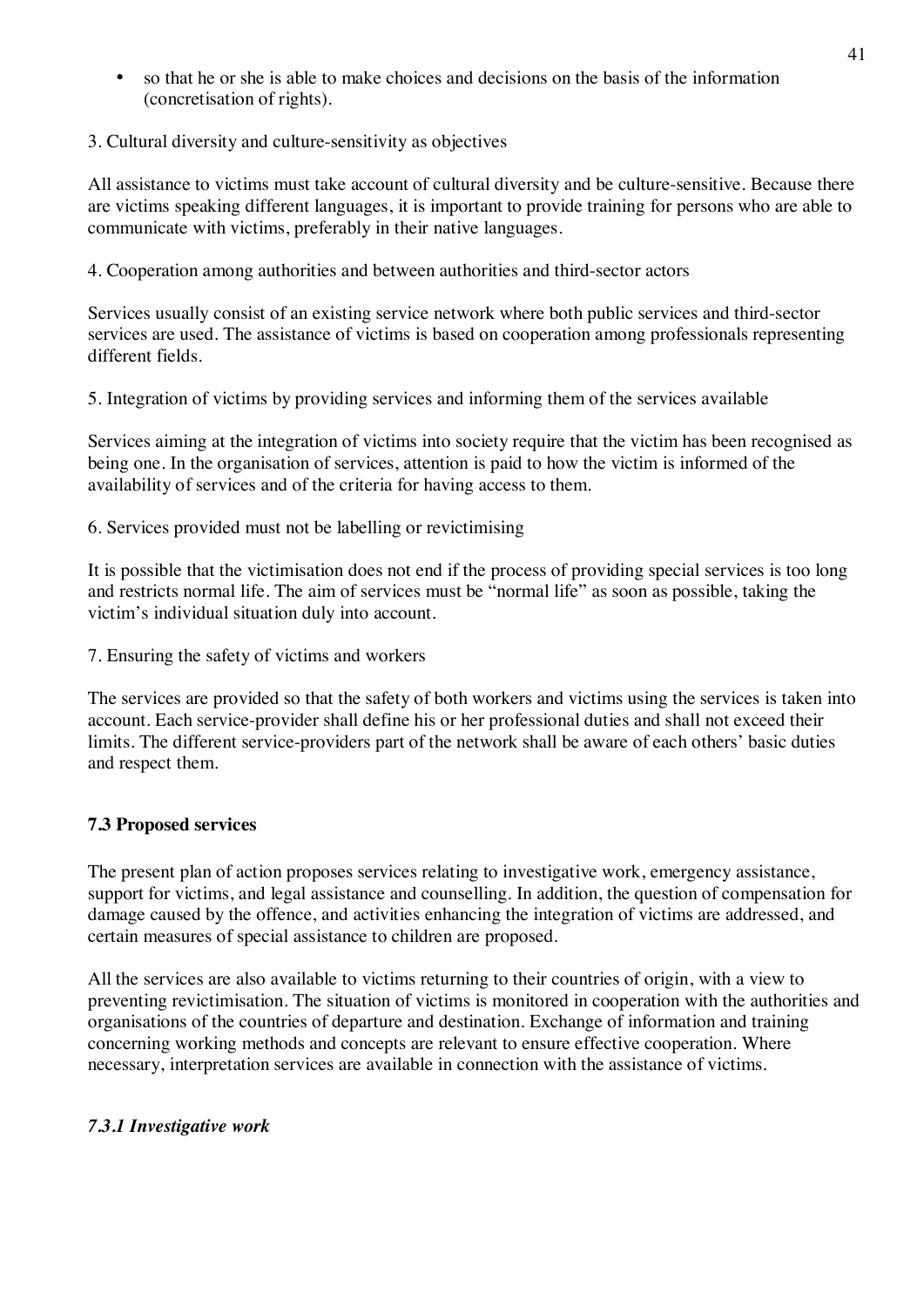• so that he or she is able to make choices and decisions on the basis of the information (concretisation of rights).

# 3. Cultural diversity and culture-sensitivity as objectives

All assistance to victims must take account of cultural diversity and be culture-sensitive. Because there are victims speaking different languages, it is important to provide training for persons who are able to communicate with victims, preferably in their native languages.

4. Cooperation among authorities and between authorities and third-sector actors

Services usually consist of an existing service network where both public services and third-sector services are used. The assistance of victims is based on cooperation among professionals representing different fields.

5. Integration of victims by providing services and informing them of the services available

Services aiming at the integration of victims into society require that the victim has been recognised as being one. In the organisation of services, attention is paid to how the victim is informed of the availability of services and of the criteria for having access to them.

6. Services provided must not be labelling or revictimising

It is possible that the victimisation does not end if the process of providing special services is too long and restricts normal life. The aim of services must be "normal life" as soon as possible, taking the victim's individual situation duly into account.

7. Ensuring the safety of victims and workers

The services are provided so that the safety of both workers and victims using the services is taken into account. Each service-provider shall define his or her professional duties and shall not exceed their limits. The different service-providers part of the network shall be aware of each others' basic duties and respect them.

# **7.3 Proposed services**

The present plan of action proposes services relating to investigative work, emergency assistance, support for victims, and legal assistance and counselling. In addition, the question of compensation for damage caused by the offence, and activities enhancing the integration of victims are addressed, and certain measures of special assistance to children are proposed.

All the services are also available to victims returning to their countries of origin, with a view to preventing revictimisation. The situation of victims is monitored in cooperation with the authorities and organisations of the countries of departure and destination. Exchange of information and training concerning working methods and concepts are relevant to ensure effective cooperation. Where necessary, interpretation services are available in connection with the assistance of victims.

# *7.3.1 Investigative work*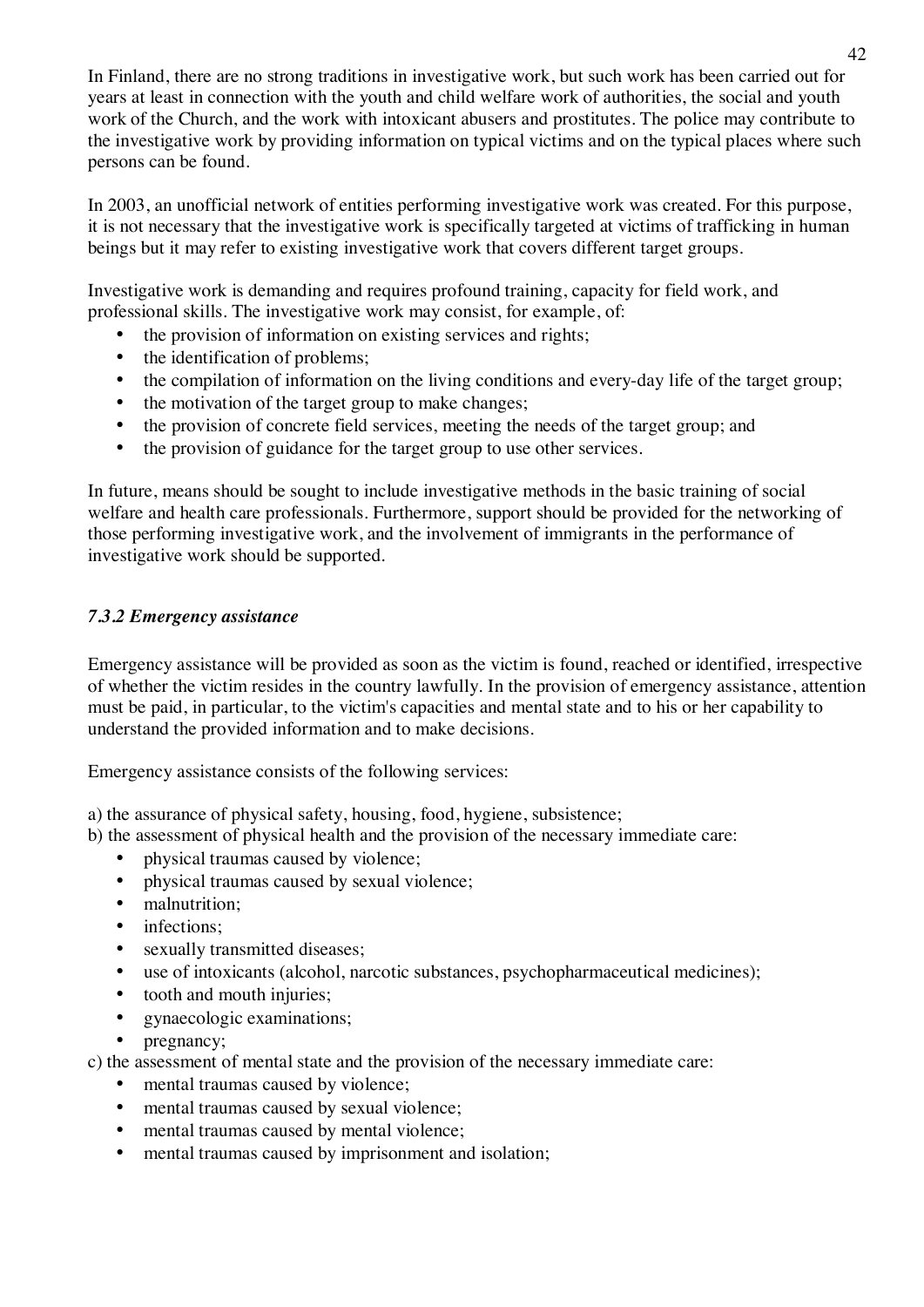In Finland, there are no strong traditions in investigative work, but such work has been carried out for years at least in connection with the youth and child welfare work of authorities, the social and youth work of the Church, and the work with intoxicant abusers and prostitutes. The police may contribute to the investigative work by providing information on typical victims and on the typical places where such persons can be found.

In 2003, an unofficial network of entities performing investigative work was created. For this purpose, it is not necessary that the investigative work is specifically targeted at victims of trafficking in human beings but it may refer to existing investigative work that covers different target groups.

Investigative work is demanding and requires profound training, capacity for field work, and professional skills. The investigative work may consist, for example, of:

- the provision of information on existing services and rights;
- the identification of problems;
- the compilation of information on the living conditions and every-day life of the target group;
- the motivation of the target group to make changes:
- the provision of concrete field services, meeting the needs of the target group; and
- the provision of guidance for the target group to use other services.

In future, means should be sought to include investigative methods in the basic training of social welfare and health care professionals. Furthermore, support should be provided for the networking of those performing investigative work, and the involvement of immigrants in the performance of investigative work should be supported.

# *7.3.2 Emergency assistance*

Emergency assistance will be provided as soon as the victim is found, reached or identified, irrespective of whether the victim resides in the country lawfully. In the provision of emergency assistance, attention must be paid, in particular, to the victim's capacities and mental state and to his or her capability to understand the provided information and to make decisions.

Emergency assistance consists of the following services:

a) the assurance of physical safety, housing, food, hygiene, subsistence;

- b) the assessment of physical health and the provision of the necessary immediate care:
	- physical traumas caused by violence;
	- physical traumas caused by sexual violence;
	- malnutrition;
	- infections:
	- sexually transmitted diseases;
	- use of intoxicants (alcohol, narcotic substances, psychopharmaceutical medicines);
	- tooth and mouth injuries;
	- gynaecologic examinations;
	- pregnancy;

c) the assessment of mental state and the provision of the necessary immediate care:

- mental traumas caused by violence:
- mental traumas caused by sexual violence;
- mental traumas caused by mental violence:
- mental traumas caused by imprisonment and isolation;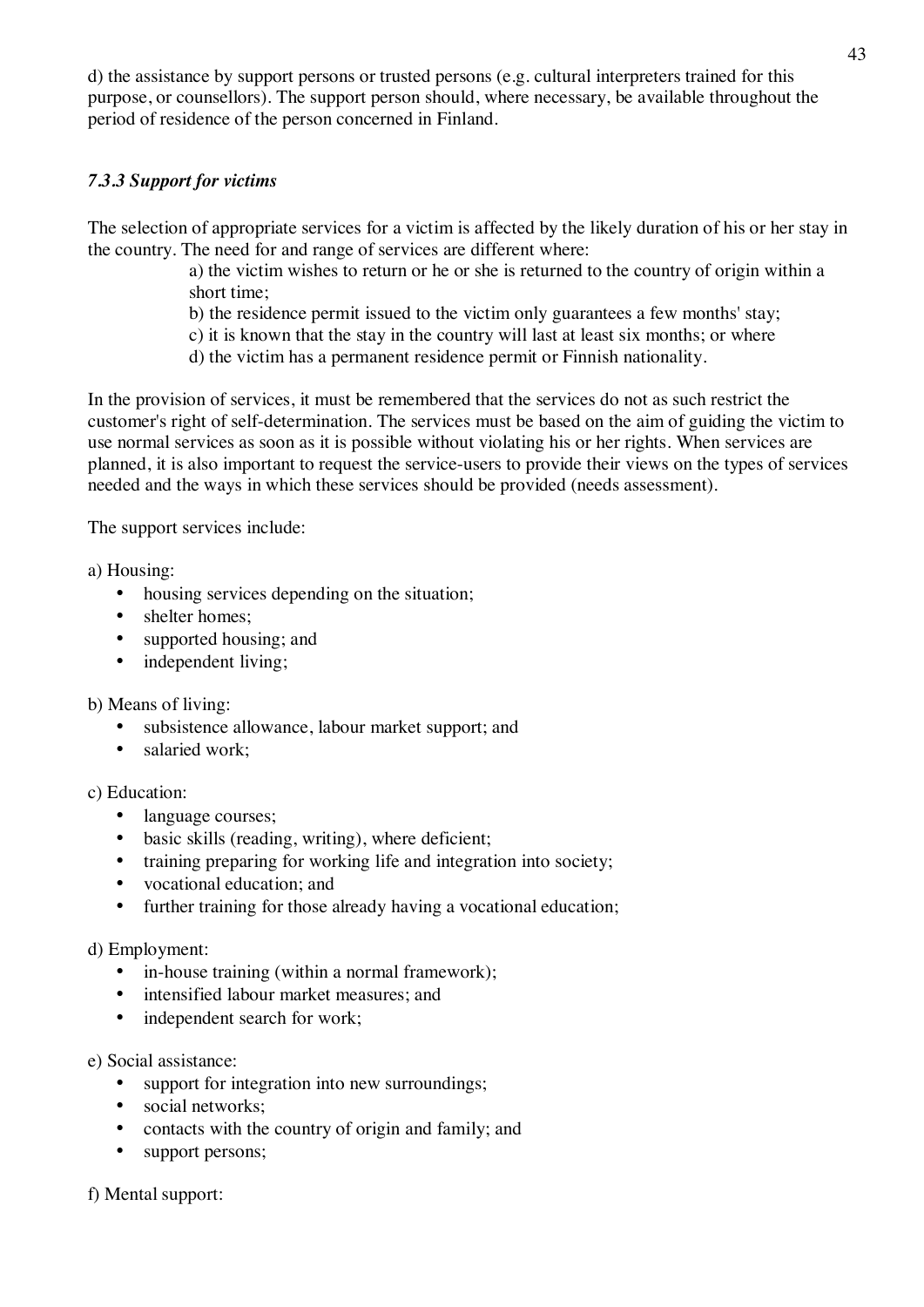d) the assistance by support persons or trusted persons (e.g. cultural interpreters trained for this purpose, or counsellors). The support person should, where necessary, be available throughout the period of residence of the person concerned in Finland.

# *7.3.3 Support for victims*

The selection of appropriate services for a victim is affected by the likely duration of his or her stay in the country. The need for and range of services are different where:

- a) the victim wishes to return or he or she is returned to the country of origin within a short time;
- b) the residence permit issued to the victim only guarantees a few months' stay;
- c) it is known that the stay in the country will last at least six months; or where
- d) the victim has a permanent residence permit or Finnish nationality.

In the provision of services, it must be remembered that the services do not as such restrict the customer's right of self-determination. The services must be based on the aim of guiding the victim to use normal services as soon as it is possible without violating his or her rights. When services are planned, it is also important to request the service-users to provide their views on the types of services needed and the ways in which these services should be provided (needs assessment).

The support services include:

a) Housing:

- housing services depending on the situation;
- shelter homes;
- supported housing; and
- independent living;

b) Means of living:

- subsistence allowance, labour market support; and
- salaried work:

c) Education:

- language courses;
- basic skills (reading, writing), where deficient;
- training preparing for working life and integration into society;
- vocational education; and
- further training for those already having a vocational education;

#### d) Employment:

- in-house training (within a normal framework);
- intensified labour market measures; and
- independent search for work;

#### e) Social assistance:

- support for integration into new surroundings;
- social networks:
- contacts with the country of origin and family; and
- support persons;

f) Mental support: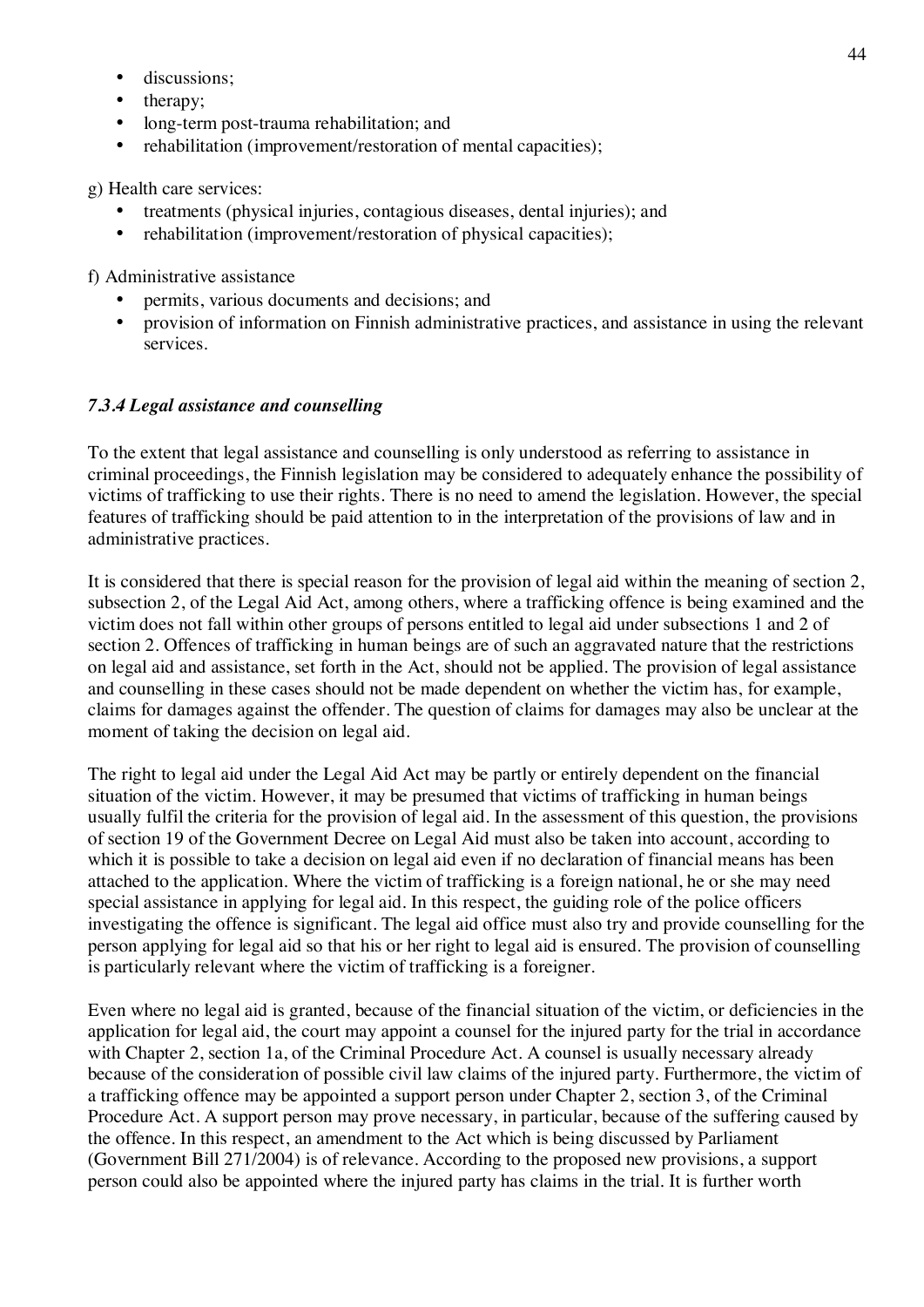- discussions;
- therapy;
- long-term post-trauma rehabilitation; and
- rehabilitation (improvement/restoration of mental capacities);

g) Health care services:

- treatments (physical injuries, contagious diseases, dental injuries); and
- rehabilitation (improvement/restoration of physical capacities);

f) Administrative assistance

- permits, various documents and decisions; and
- provision of information on Finnish administrative practices, and assistance in using the relevant services.

#### *7.3.4 Legal assistance and counselling*

To the extent that legal assistance and counselling is only understood as referring to assistance in criminal proceedings, the Finnish legislation may be considered to adequately enhance the possibility of victims of trafficking to use their rights. There is no need to amend the legislation. However, the special features of trafficking should be paid attention to in the interpretation of the provisions of law and in administrative practices.

It is considered that there is special reason for the provision of legal aid within the meaning of section 2, subsection 2, of the Legal Aid Act, among others, where a trafficking offence is being examined and the victim does not fall within other groups of persons entitled to legal aid under subsections 1 and 2 of section 2. Offences of trafficking in human beings are of such an aggravated nature that the restrictions on legal aid and assistance, set forth in the Act, should not be applied. The provision of legal assistance and counselling in these cases should not be made dependent on whether the victim has, for example, claims for damages against the offender. The question of claims for damages may also be unclear at the moment of taking the decision on legal aid.

The right to legal aid under the Legal Aid Act may be partly or entirely dependent on the financial situation of the victim. However, it may be presumed that victims of trafficking in human beings usually fulfil the criteria for the provision of legal aid. In the assessment of this question, the provisions of section 19 of the Government Decree on Legal Aid must also be taken into account, according to which it is possible to take a decision on legal aid even if no declaration of financial means has been attached to the application. Where the victim of trafficking is a foreign national, he or she may need special assistance in applying for legal aid. In this respect, the guiding role of the police officers investigating the offence is significant. The legal aid office must also try and provide counselling for the person applying for legal aid so that his or her right to legal aid is ensured. The provision of counselling is particularly relevant where the victim of trafficking is a foreigner.

Even where no legal aid is granted, because of the financial situation of the victim, or deficiencies in the application for legal aid, the court may appoint a counsel for the injured party for the trial in accordance with Chapter 2, section 1a, of the Criminal Procedure Act. A counsel is usually necessary already because of the consideration of possible civil law claims of the injured party. Furthermore, the victim of a trafficking offence may be appointed a support person under Chapter 2, section 3, of the Criminal Procedure Act. A support person may prove necessary, in particular, because of the suffering caused by the offence. In this respect, an amendment to the Act which is being discussed by Parliament (Government Bill 271/2004) is of relevance. According to the proposed new provisions, a support person could also be appointed where the injured party has claims in the trial. It is further worth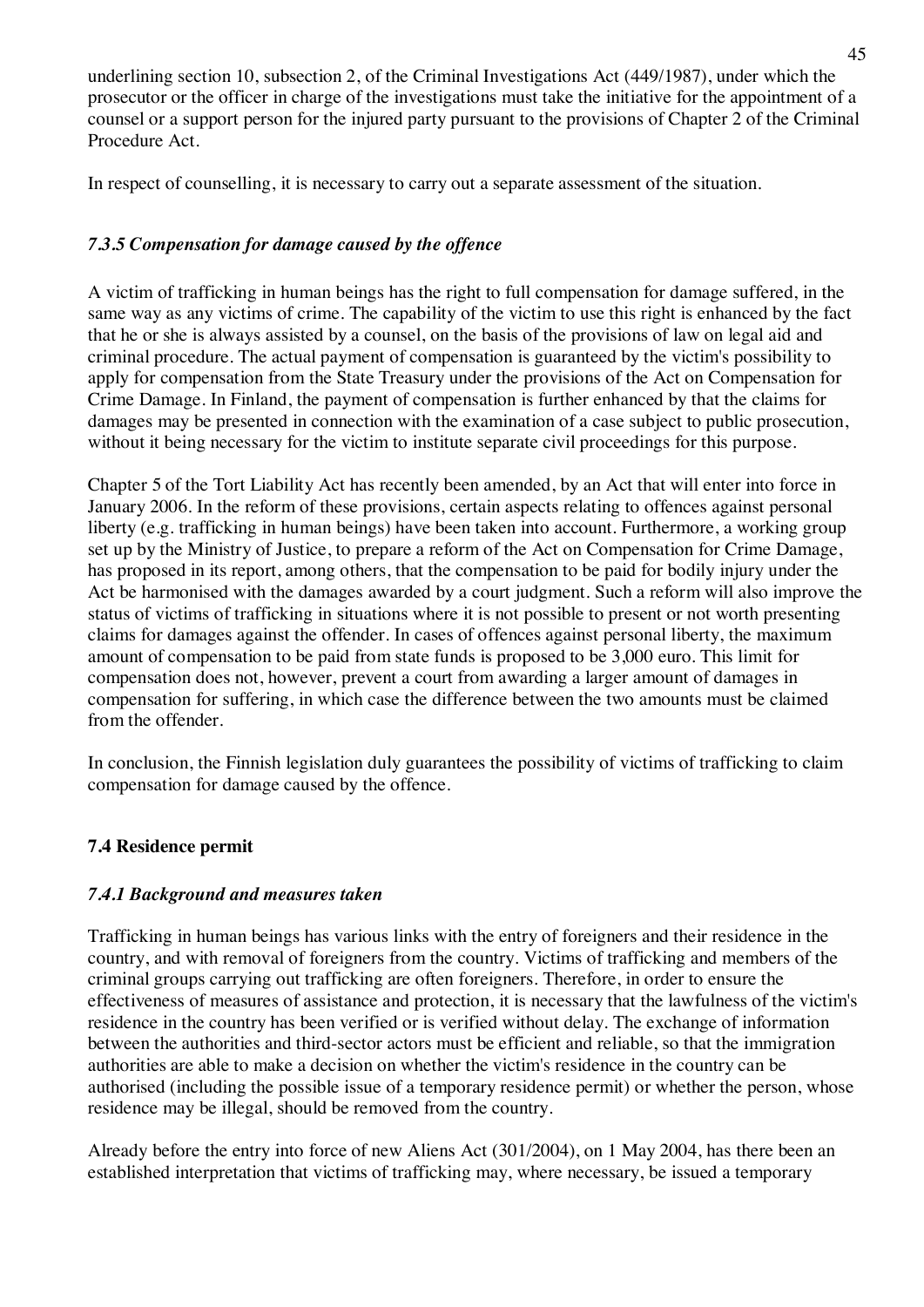underlining section 10, subsection 2, of the Criminal Investigations Act (449/1987), under which the prosecutor or the officer in charge of the investigations must take the initiative for the appointment of a counsel or a support person for the injured party pursuant to the provisions of Chapter 2 of the Criminal Procedure Act.

In respect of counselling, it is necessary to carry out a separate assessment of the situation.

# *7.3.5 Compensation for damage caused by the offence*

A victim of trafficking in human beings has the right to full compensation for damage suffered, in the same way as any victims of crime. The capability of the victim to use this right is enhanced by the fact that he or she is always assisted by a counsel, on the basis of the provisions of law on legal aid and criminal procedure. The actual payment of compensation is guaranteed by the victim's possibility to apply for compensation from the State Treasury under the provisions of the Act on Compensation for Crime Damage. In Finland, the payment of compensation is further enhanced by that the claims for damages may be presented in connection with the examination of a case subject to public prosecution, without it being necessary for the victim to institute separate civil proceedings for this purpose.

Chapter 5 of the Tort Liability Act has recently been amended, by an Act that will enter into force in January 2006. In the reform of these provisions, certain aspects relating to offences against personal liberty (e.g. trafficking in human beings) have been taken into account. Furthermore, a working group set up by the Ministry of Justice, to prepare a reform of the Act on Compensation for Crime Damage, has proposed in its report, among others, that the compensation to be paid for bodily injury under the Act be harmonised with the damages awarded by a court judgment. Such a reform will also improve the status of victims of trafficking in situations where it is not possible to present or not worth presenting claims for damages against the offender. In cases of offences against personal liberty, the maximum amount of compensation to be paid from state funds is proposed to be 3,000 euro. This limit for compensation does not, however, prevent a court from awarding a larger amount of damages in compensation for suffering, in which case the difference between the two amounts must be claimed from the offender.

In conclusion, the Finnish legislation duly guarantees the possibility of victims of trafficking to claim compensation for damage caused by the offence.

# **7.4 Residence permit**

# *7.4.1 Background and measures taken*

Trafficking in human beings has various links with the entry of foreigners and their residence in the country, and with removal of foreigners from the country. Victims of trafficking and members of the criminal groups carrying out trafficking are often foreigners. Therefore, in order to ensure the effectiveness of measures of assistance and protection, it is necessary that the lawfulness of the victim's residence in the country has been verified or is verified without delay. The exchange of information between the authorities and third-sector actors must be efficient and reliable, so that the immigration authorities are able to make a decision on whether the victim's residence in the country can be authorised (including the possible issue of a temporary residence permit) or whether the person, whose residence may be illegal, should be removed from the country.

Already before the entry into force of new Aliens Act (301/2004), on 1 May 2004, has there been an established interpretation that victims of trafficking may, where necessary, be issued a temporary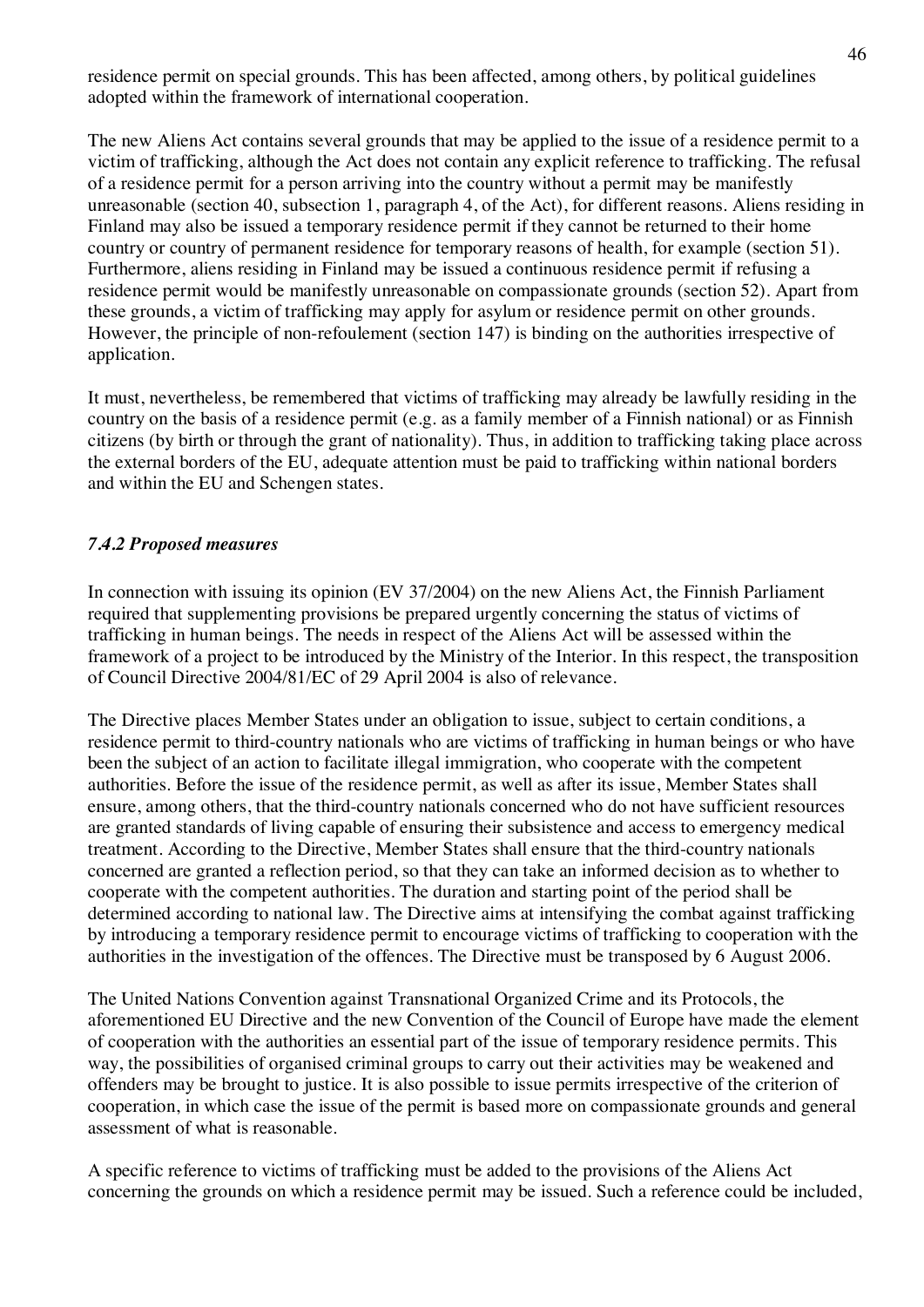residence permit on special grounds. This has been affected, among others, by political guidelines adopted within the framework of international cooperation.

The new Aliens Act contains several grounds that may be applied to the issue of a residence permit to a victim of trafficking, although the Act does not contain any explicit reference to trafficking. The refusal of a residence permit for a person arriving into the country without a permit may be manifestly unreasonable (section 40, subsection 1, paragraph 4, of the Act), for different reasons. Aliens residing in Finland may also be issued a temporary residence permit if they cannot be returned to their home country or country of permanent residence for temporary reasons of health, for example (section 51). Furthermore, aliens residing in Finland may be issued a continuous residence permit if refusing a residence permit would be manifestly unreasonable on compassionate grounds (section 52). Apart from these grounds, a victim of trafficking may apply for asylum or residence permit on other grounds. However, the principle of non-refoulement (section 147) is binding on the authorities irrespective of application.

It must, nevertheless, be remembered that victims of trafficking may already be lawfully residing in the country on the basis of a residence permit (e.g. as a family member of a Finnish national) or as Finnish citizens (by birth or through the grant of nationality). Thus, in addition to trafficking taking place across the external borders of the EU, adequate attention must be paid to trafficking within national borders and within the EU and Schengen states.

# *7.4.2 Proposed measures*

In connection with issuing its opinion (EV 37/2004) on the new Aliens Act, the Finnish Parliament required that supplementing provisions be prepared urgently concerning the status of victims of trafficking in human beings. The needs in respect of the Aliens Act will be assessed within the framework of a project to be introduced by the Ministry of the Interior. In this respect, the transposition of Council Directive 2004/81/EC of 29 April 2004 is also of relevance.

The Directive places Member States under an obligation to issue, subject to certain conditions, a residence permit to third-country nationals who are victims of trafficking in human beings or who have been the subject of an action to facilitate illegal immigration, who cooperate with the competent authorities. Before the issue of the residence permit, as well as after its issue, Member States shall ensure, among others, that the third-country nationals concerned who do not have sufficient resources are granted standards of living capable of ensuring their subsistence and access to emergency medical treatment. According to the Directive, Member States shall ensure that the third-country nationals concerned are granted a reflection period, so that they can take an informed decision as to whether to cooperate with the competent authorities. The duration and starting point of the period shall be determined according to national law. The Directive aims at intensifying the combat against trafficking by introducing a temporary residence permit to encourage victims of trafficking to cooperation with the authorities in the investigation of the offences. The Directive must be transposed by 6 August 2006.

The United Nations Convention against Transnational Organized Crime and its Protocols, the aforementioned EU Directive and the new Convention of the Council of Europe have made the element of cooperation with the authorities an essential part of the issue of temporary residence permits. This way, the possibilities of organised criminal groups to carry out their activities may be weakened and offenders may be brought to justice. It is also possible to issue permits irrespective of the criterion of cooperation, in which case the issue of the permit is based more on compassionate grounds and general assessment of what is reasonable.

A specific reference to victims of trafficking must be added to the provisions of the Aliens Act concerning the grounds on which a residence permit may be issued. Such a reference could be included,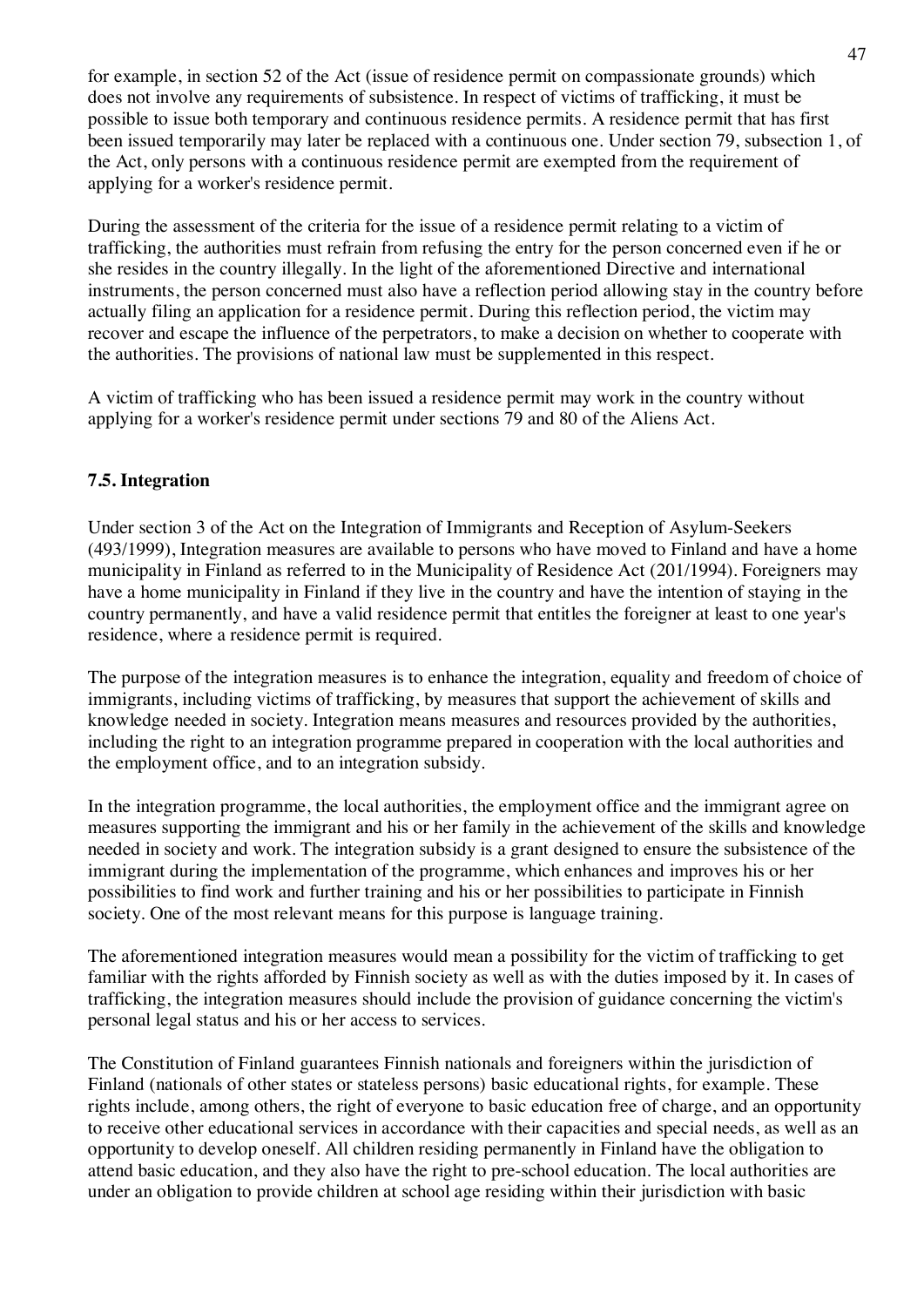for example, in section 52 of the Act (issue of residence permit on compassionate grounds) which does not involve any requirements of subsistence. In respect of victims of trafficking, it must be possible to issue both temporary and continuous residence permits. A residence permit that has first been issued temporarily may later be replaced with a continuous one. Under section 79, subsection 1, of the Act, only persons with a continuous residence permit are exempted from the requirement of applying for a worker's residence permit.

During the assessment of the criteria for the issue of a residence permit relating to a victim of trafficking, the authorities must refrain from refusing the entry for the person concerned even if he or she resides in the country illegally. In the light of the aforementioned Directive and international instruments, the person concerned must also have a reflection period allowing stay in the country before actually filing an application for a residence permit. During this reflection period, the victim may recover and escape the influence of the perpetrators, to make a decision on whether to cooperate with the authorities. The provisions of national law must be supplemented in this respect.

A victim of trafficking who has been issued a residence permit may work in the country without applying for a worker's residence permit under sections 79 and 80 of the Aliens Act.

# **7.5. Integration**

Under section 3 of the Act on the Integration of Immigrants and Reception of Asylum-Seekers (493/1999), Integration measures are available to persons who have moved to Finland and have a home municipality in Finland as referred to in the Municipality of Residence Act (201/1994). Foreigners may have a home municipality in Finland if they live in the country and have the intention of staying in the country permanently, and have a valid residence permit that entitles the foreigner at least to one year's residence, where a residence permit is required.

The purpose of the integration measures is to enhance the integration, equality and freedom of choice of immigrants, including victims of trafficking, by measures that support the achievement of skills and knowledge needed in society. Integration means measures and resources provided by the authorities, including the right to an integration programme prepared in cooperation with the local authorities and the employment office, and to an integration subsidy.

In the integration programme, the local authorities, the employment office and the immigrant agree on measures supporting the immigrant and his or her family in the achievement of the skills and knowledge needed in society and work. The integration subsidy is a grant designed to ensure the subsistence of the immigrant during the implementation of the programme, which enhances and improves his or her possibilities to find work and further training and his or her possibilities to participate in Finnish society. One of the most relevant means for this purpose is language training.

The aforementioned integration measures would mean a possibility for the victim of trafficking to get familiar with the rights afforded by Finnish society as well as with the duties imposed by it. In cases of trafficking, the integration measures should include the provision of guidance concerning the victim's personal legal status and his or her access to services.

The Constitution of Finland guarantees Finnish nationals and foreigners within the jurisdiction of Finland (nationals of other states or stateless persons) basic educational rights, for example. These rights include, among others, the right of everyone to basic education free of charge, and an opportunity to receive other educational services in accordance with their capacities and special needs, as well as an opportunity to develop oneself. All children residing permanently in Finland have the obligation to attend basic education, and they also have the right to pre-school education. The local authorities are under an obligation to provide children at school age residing within their jurisdiction with basic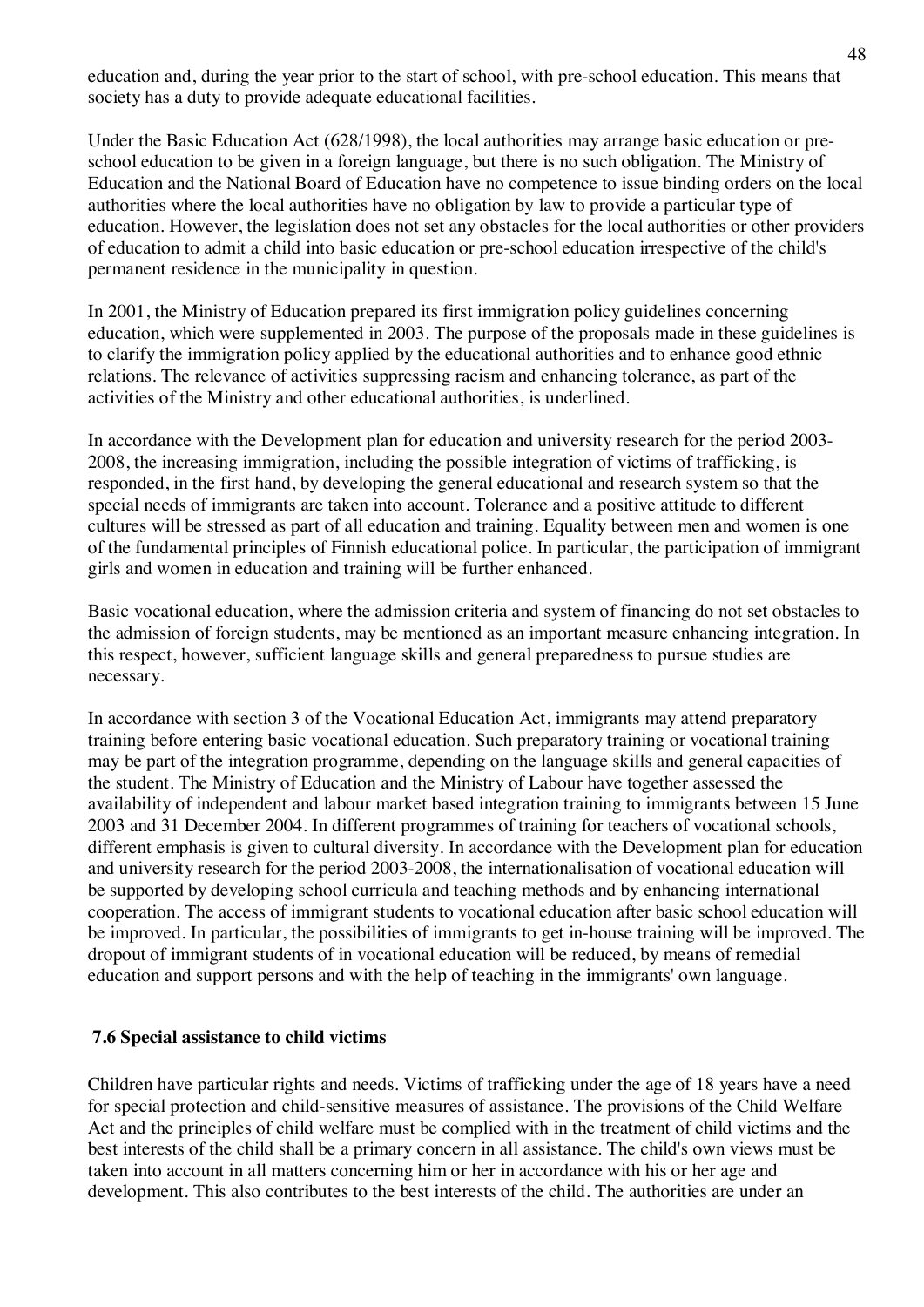education and, during the year prior to the start of school, with pre-school education. This means that society has a duty to provide adequate educational facilities.

Under the Basic Education Act (628/1998), the local authorities may arrange basic education or preschool education to be given in a foreign language, but there is no such obligation. The Ministry of Education and the National Board of Education have no competence to issue binding orders on the local authorities where the local authorities have no obligation by law to provide a particular type of education. However, the legislation does not set any obstacles for the local authorities or other providers of education to admit a child into basic education or pre-school education irrespective of the child's permanent residence in the municipality in question.

In 2001, the Ministry of Education prepared its first immigration policy guidelines concerning education, which were supplemented in 2003. The purpose of the proposals made in these guidelines is to clarify the immigration policy applied by the educational authorities and to enhance good ethnic relations. The relevance of activities suppressing racism and enhancing tolerance, as part of the activities of the Ministry and other educational authorities, is underlined.

In accordance with the Development plan for education and university research for the period 2003- 2008, the increasing immigration, including the possible integration of victims of trafficking, is responded, in the first hand, by developing the general educational and research system so that the special needs of immigrants are taken into account. Tolerance and a positive attitude to different cultures will be stressed as part of all education and training. Equality between men and women is one of the fundamental principles of Finnish educational police. In particular, the participation of immigrant girls and women in education and training will be further enhanced.

Basic vocational education, where the admission criteria and system of financing do not set obstacles to the admission of foreign students, may be mentioned as an important measure enhancing integration. In this respect, however, sufficient language skills and general preparedness to pursue studies are necessary.

In accordance with section 3 of the Vocational Education Act, immigrants may attend preparatory training before entering basic vocational education. Such preparatory training or vocational training may be part of the integration programme, depending on the language skills and general capacities of the student. The Ministry of Education and the Ministry of Labour have together assessed the availability of independent and labour market based integration training to immigrants between 15 June 2003 and 31 December 2004. In different programmes of training for teachers of vocational schools, different emphasis is given to cultural diversity. In accordance with the Development plan for education and university research for the period 2003-2008, the internationalisation of vocational education will be supported by developing school curricula and teaching methods and by enhancing international cooperation. The access of immigrant students to vocational education after basic school education will be improved. In particular, the possibilities of immigrants to get in-house training will be improved. The dropout of immigrant students of in vocational education will be reduced, by means of remedial education and support persons and with the help of teaching in the immigrants' own language.

# **7.6 Special assistance to child victims**

Children have particular rights and needs. Victims of trafficking under the age of 18 years have a need for special protection and child-sensitive measures of assistance. The provisions of the Child Welfare Act and the principles of child welfare must be complied with in the treatment of child victims and the best interests of the child shall be a primary concern in all assistance. The child's own views must be taken into account in all matters concerning him or her in accordance with his or her age and development. This also contributes to the best interests of the child. The authorities are under an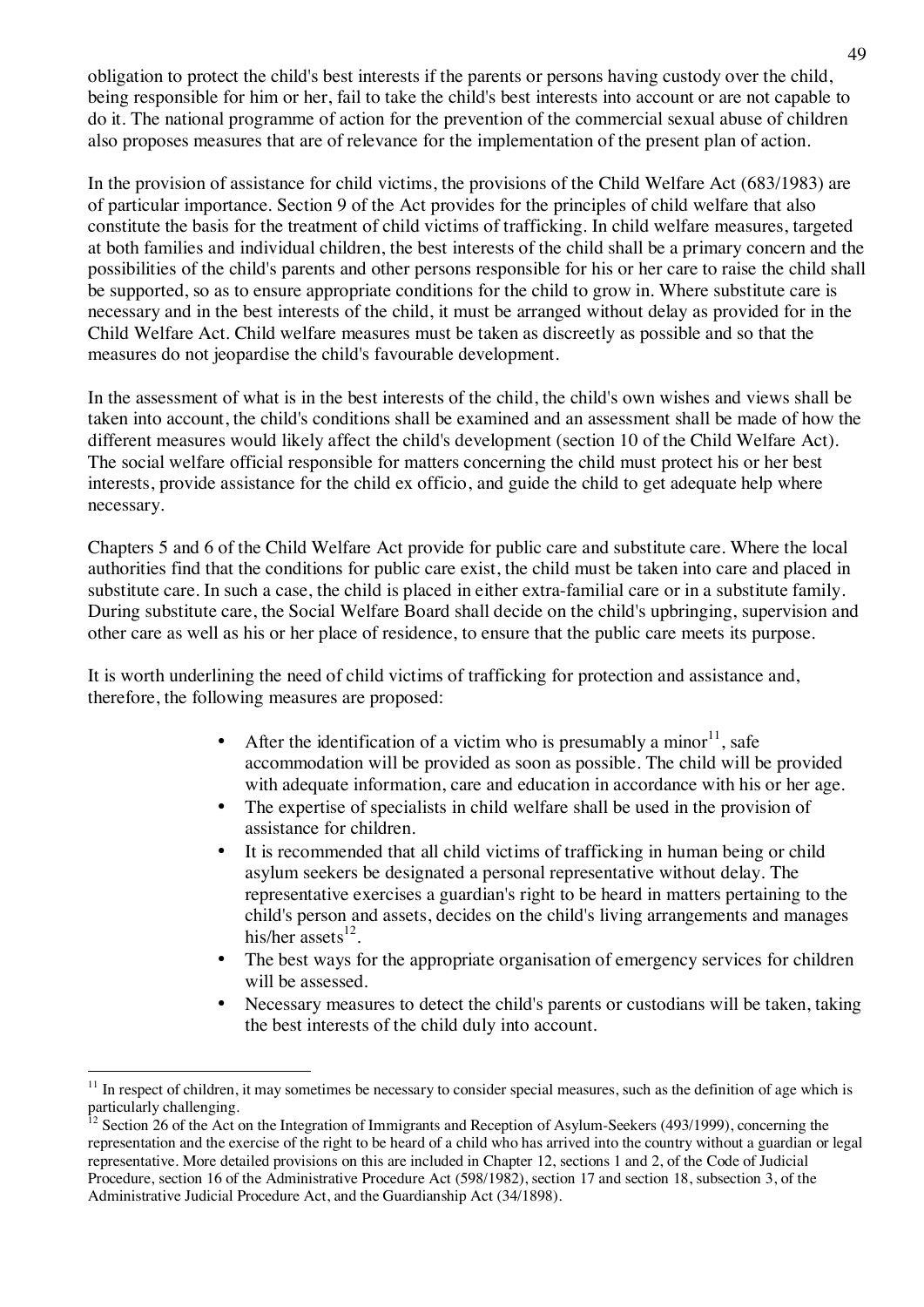obligation to protect the child's best interests if the parents or persons having custody over the child, being responsible for him or her, fail to take the child's best interests into account or are not capable to do it. The national programme of action for the prevention of the commercial sexual abuse of children also proposes measures that are of relevance for the implementation of the present plan of action.

In the provision of assistance for child victims, the provisions of the Child Welfare Act (683/1983) are of particular importance. Section 9 of the Act provides for the principles of child welfare that also constitute the basis for the treatment of child victims of trafficking. In child welfare measures, targeted at both families and individual children, the best interests of the child shall be a primary concern and the possibilities of the child's parents and other persons responsible for his or her care to raise the child shall be supported, so as to ensure appropriate conditions for the child to grow in. Where substitute care is necessary and in the best interests of the child, it must be arranged without delay as provided for in the Child Welfare Act. Child welfare measures must be taken as discreetly as possible and so that the measures do not jeopardise the child's favourable development.

In the assessment of what is in the best interests of the child, the child's own wishes and views shall be taken into account, the child's conditions shall be examined and an assessment shall be made of how the different measures would likely affect the child's development (section 10 of the Child Welfare Act). The social welfare official responsible for matters concerning the child must protect his or her best interests, provide assistance for the child ex officio, and guide the child to get adequate help where necessary.

Chapters 5 and 6 of the Child Welfare Act provide for public care and substitute care. Where the local authorities find that the conditions for public care exist, the child must be taken into care and placed in substitute care. In such a case, the child is placed in either extra-familial care or in a substitute family. During substitute care, the Social Welfare Board shall decide on the child's upbringing, supervision and other care as well as his or her place of residence, to ensure that the public care meets its purpose.

It is worth underlining the need of child victims of trafficking for protection and assistance and, therefore, the following measures are proposed:

- After the identification of a victim who is presumably a minor<sup>11</sup>, safe accommodation will be provided as soon as possible. The child will be provided with adequate information, care and education in accordance with his or her age.
- The expertise of specialists in child welfare shall be used in the provision of assistance for children.
- It is recommended that all child victims of trafficking in human being or child asylum seekers be designated a personal representative without delay. The representative exercises a guardian's right to be heard in matters pertaining to the child's person and assets, decides on the child's living arrangements and manages his/her assets $^{12}$ .
- The best ways for the appropriate organisation of emergency services for children will be assessed.
- Necessary measures to detect the child's parents or custodians will be taken, taking the best interests of the child duly into account.

<sup>11</sup> In respect of children, it may sometimes be necessary to consider special measures, such as the definition of age which is particularly challenging.

<sup>&</sup>lt;sup>12</sup> Section 26 of the Act on the Integration of Immigrants and Reception of Asylum-Seekers (493/1999), concerning the representation and the exercise of the right to be heard of a child who has arrived into the country without a guardian or legal representative. More detailed provisions on this are included in Chapter 12, sections 1 and 2, of the Code of Judicial Procedure, section 16 of the Administrative Procedure Act (598/1982), section 17 and section 18, subsection 3, of the Administrative Judicial Procedure Act, and the Guardianship Act (34/1898).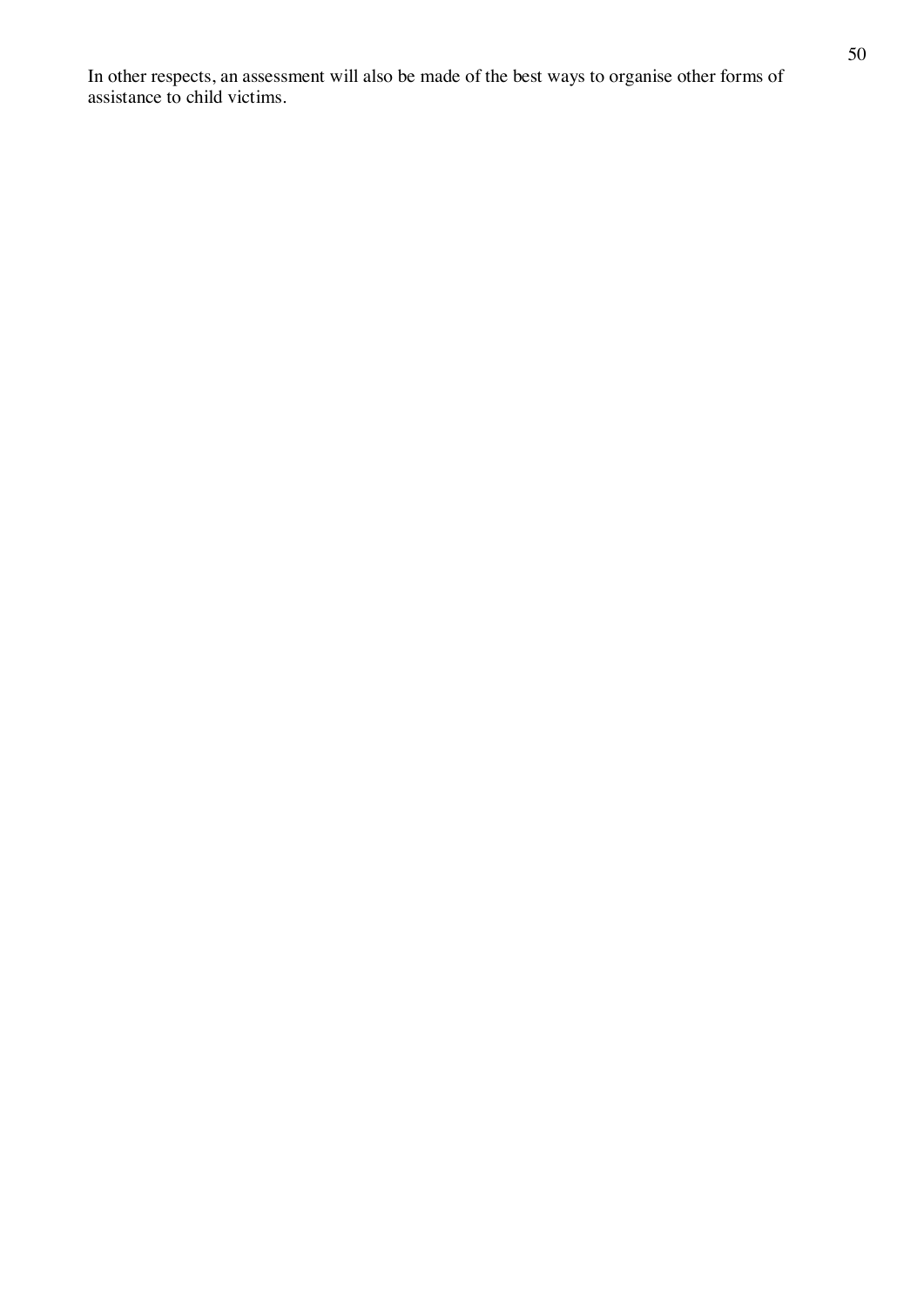In other respects, an assessment will also be made of the best ways to organise other forms of assistance to child victims.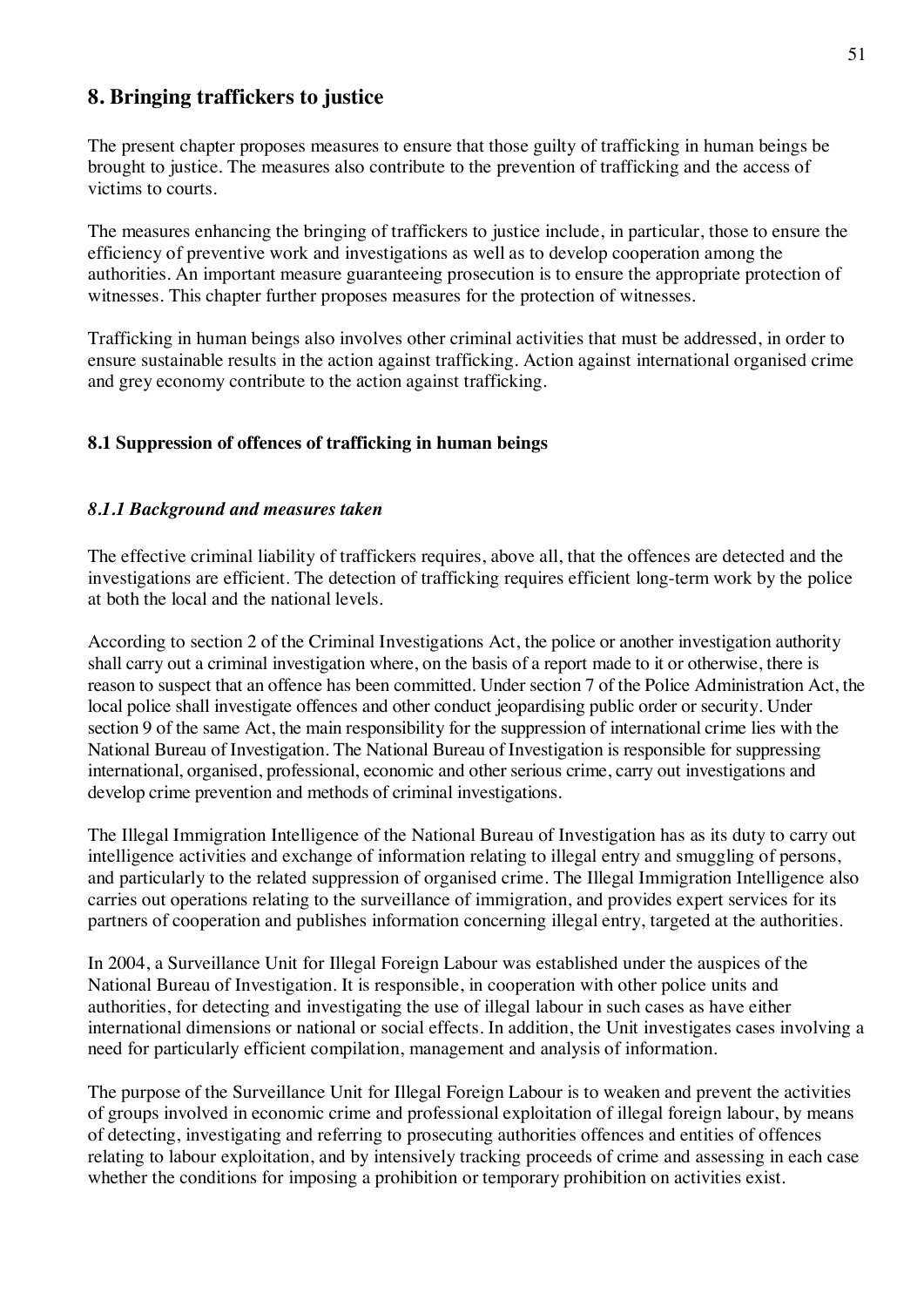# **8. Bringing traffickers to justice**

The present chapter proposes measures to ensure that those guilty of trafficking in human beings be brought to justice. The measures also contribute to the prevention of trafficking and the access of victims to courts.

The measures enhancing the bringing of traffickers to justice include, in particular, those to ensure the efficiency of preventive work and investigations as well as to develop cooperation among the authorities. An important measure guaranteeing prosecution is to ensure the appropriate protection of witnesses. This chapter further proposes measures for the protection of witnesses.

Trafficking in human beings also involves other criminal activities that must be addressed, in order to ensure sustainable results in the action against trafficking. Action against international organised crime and grey economy contribute to the action against trafficking.

# **8.1 Suppression of offences of trafficking in human beings**

# *8.1.1 Background and measures taken*

The effective criminal liability of traffickers requires, above all, that the offences are detected and the investigations are efficient. The detection of trafficking requires efficient long-term work by the police at both the local and the national levels.

According to section 2 of the Criminal Investigations Act, the police or another investigation authority shall carry out a criminal investigation where, on the basis of a report made to it or otherwise, there is reason to suspect that an offence has been committed. Under section 7 of the Police Administration Act, the local police shall investigate offences and other conduct jeopardising public order or security. Under section 9 of the same Act, the main responsibility for the suppression of international crime lies with the National Bureau of Investigation. The National Bureau of Investigation is responsible for suppressing international, organised, professional, economic and other serious crime, carry out investigations and develop crime prevention and methods of criminal investigations.

The Illegal Immigration Intelligence of the National Bureau of Investigation has as its duty to carry out intelligence activities and exchange of information relating to illegal entry and smuggling of persons, and particularly to the related suppression of organised crime. The Illegal Immigration Intelligence also carries out operations relating to the surveillance of immigration, and provides expert services for its partners of cooperation and publishes information concerning illegal entry, targeted at the authorities.

In 2004, a Surveillance Unit for Illegal Foreign Labour was established under the auspices of the National Bureau of Investigation. It is responsible, in cooperation with other police units and authorities, for detecting and investigating the use of illegal labour in such cases as have either international dimensions or national or social effects. In addition, the Unit investigates cases involving a need for particularly efficient compilation, management and analysis of information.

The purpose of the Surveillance Unit for Illegal Foreign Labour is to weaken and prevent the activities of groups involved in economic crime and professional exploitation of illegal foreign labour, by means of detecting, investigating and referring to prosecuting authorities offences and entities of offences relating to labour exploitation, and by intensively tracking proceeds of crime and assessing in each case whether the conditions for imposing a prohibition or temporary prohibition on activities exist.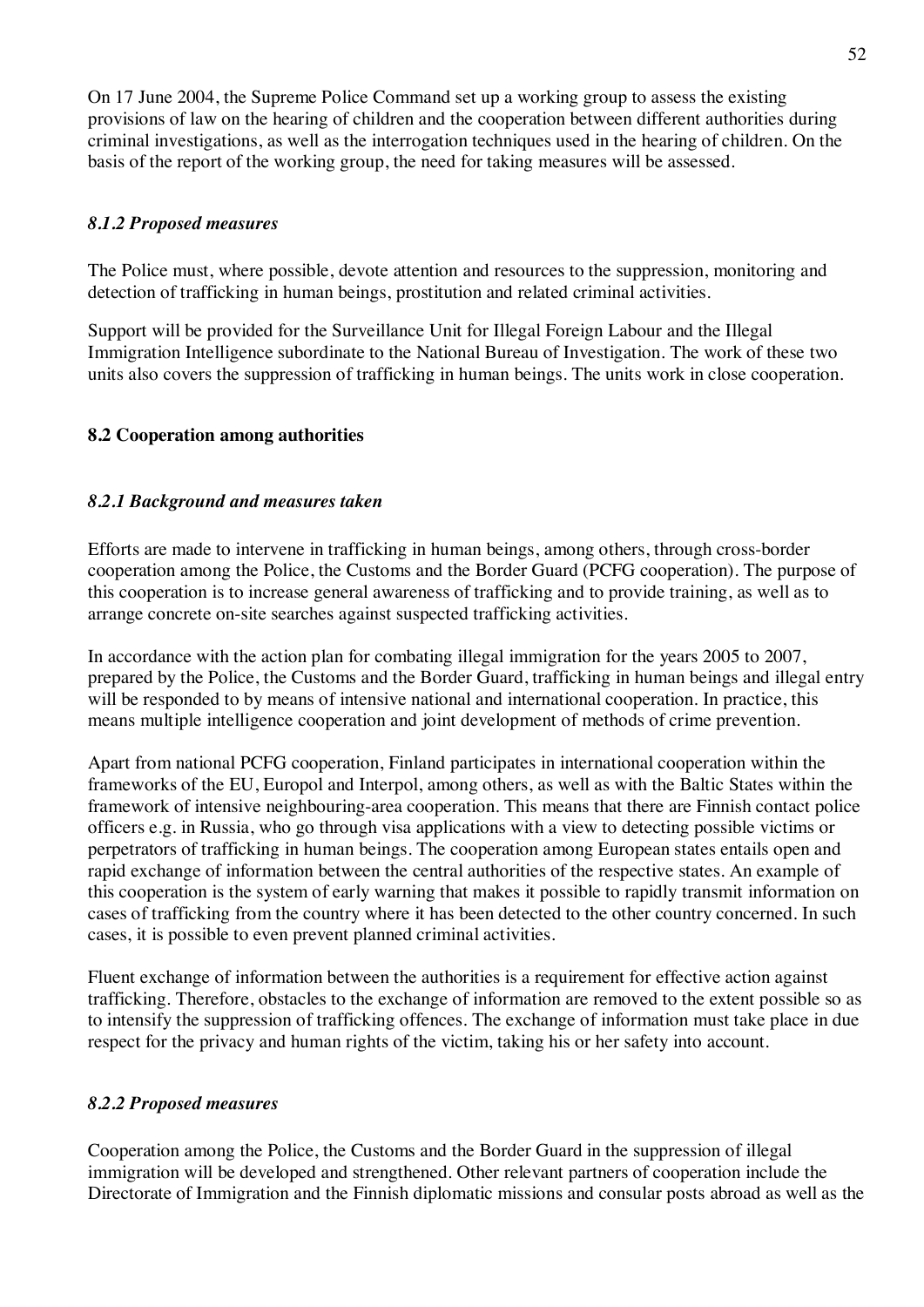On 17 June 2004, the Supreme Police Command set up a working group to assess the existing provisions of law on the hearing of children and the cooperation between different authorities during criminal investigations, as well as the interrogation techniques used in the hearing of children. On the basis of the report of the working group, the need for taking measures will be assessed.

# *8.1.2 Proposed measures*

The Police must, where possible, devote attention and resources to the suppression, monitoring and detection of trafficking in human beings, prostitution and related criminal activities.

Support will be provided for the Surveillance Unit for Illegal Foreign Labour and the Illegal Immigration Intelligence subordinate to the National Bureau of Investigation. The work of these two units also covers the suppression of trafficking in human beings. The units work in close cooperation.

# **8.2 Cooperation among authorities**

#### *8.2.1 Background and measures taken*

Efforts are made to intervene in trafficking in human beings, among others, through cross-border cooperation among the Police, the Customs and the Border Guard (PCFG cooperation). The purpose of this cooperation is to increase general awareness of trafficking and to provide training, as well as to arrange concrete on-site searches against suspected trafficking activities.

In accordance with the action plan for combating illegal immigration for the years 2005 to 2007, prepared by the Police, the Customs and the Border Guard, trafficking in human beings and illegal entry will be responded to by means of intensive national and international cooperation. In practice, this means multiple intelligence cooperation and joint development of methods of crime prevention.

Apart from national PCFG cooperation, Finland participates in international cooperation within the frameworks of the EU, Europol and Interpol, among others, as well as with the Baltic States within the framework of intensive neighbouring-area cooperation. This means that there are Finnish contact police officers e.g. in Russia, who go through visa applications with a view to detecting possible victims or perpetrators of trafficking in human beings. The cooperation among European states entails open and rapid exchange of information between the central authorities of the respective states. An example of this cooperation is the system of early warning that makes it possible to rapidly transmit information on cases of trafficking from the country where it has been detected to the other country concerned. In such cases, it is possible to even prevent planned criminal activities.

Fluent exchange of information between the authorities is a requirement for effective action against trafficking. Therefore, obstacles to the exchange of information are removed to the extent possible so as to intensify the suppression of trafficking offences. The exchange of information must take place in due respect for the privacy and human rights of the victim, taking his or her safety into account.

#### *8.2.2 Proposed measures*

Cooperation among the Police, the Customs and the Border Guard in the suppression of illegal immigration will be developed and strengthened. Other relevant partners of cooperation include the Directorate of Immigration and the Finnish diplomatic missions and consular posts abroad as well as the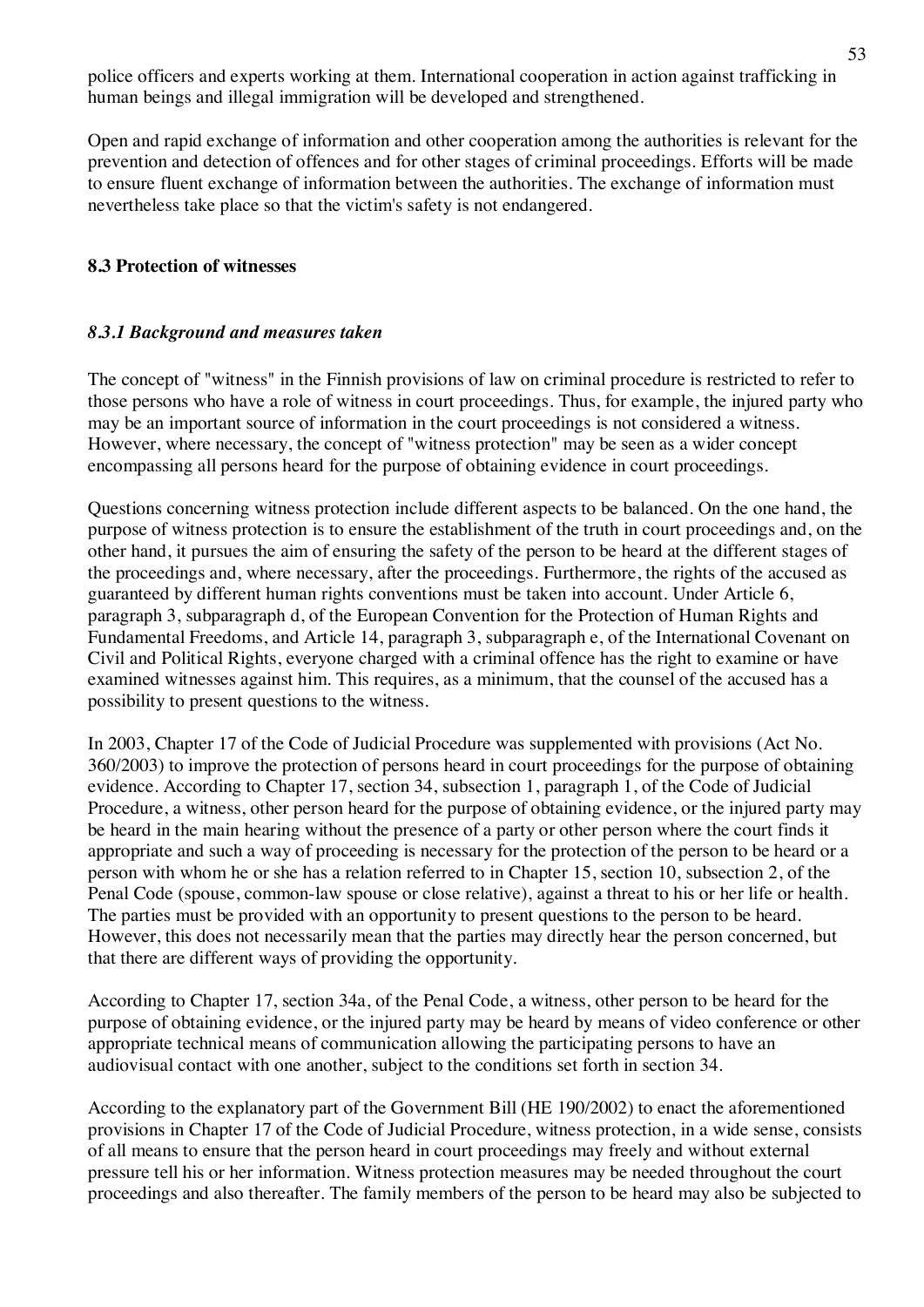police officers and experts working at them. International cooperation in action against trafficking in human beings and illegal immigration will be developed and strengthened.

Open and rapid exchange of information and other cooperation among the authorities is relevant for the prevention and detection of offences and for other stages of criminal proceedings. Efforts will be made to ensure fluent exchange of information between the authorities. The exchange of information must nevertheless take place so that the victim's safety is not endangered.

# **8.3 Protection of witnesses**

# *8.3.1 Background and measures taken*

The concept of "witness" in the Finnish provisions of law on criminal procedure is restricted to refer to those persons who have a role of witness in court proceedings. Thus, for example, the injured party who may be an important source of information in the court proceedings is not considered a witness. However, where necessary, the concept of "witness protection" may be seen as a wider concept encompassing all persons heard for the purpose of obtaining evidence in court proceedings.

Questions concerning witness protection include different aspects to be balanced. On the one hand, the purpose of witness protection is to ensure the establishment of the truth in court proceedings and, on the other hand, it pursues the aim of ensuring the safety of the person to be heard at the different stages of the proceedings and, where necessary, after the proceedings. Furthermore, the rights of the accused as guaranteed by different human rights conventions must be taken into account. Under Article 6, paragraph 3, subparagraph d, of the European Convention for the Protection of Human Rights and Fundamental Freedoms, and Article 14, paragraph 3, subparagraph e, of the International Covenant on Civil and Political Rights, everyone charged with a criminal offence has the right to examine or have examined witnesses against him. This requires, as a minimum, that the counsel of the accused has a possibility to present questions to the witness.

In 2003, Chapter 17 of the Code of Judicial Procedure was supplemented with provisions (Act No. 360/2003) to improve the protection of persons heard in court proceedings for the purpose of obtaining evidence. According to Chapter 17, section 34, subsection 1, paragraph 1, of the Code of Judicial Procedure, a witness, other person heard for the purpose of obtaining evidence, or the injured party may be heard in the main hearing without the presence of a party or other person where the court finds it appropriate and such a way of proceeding is necessary for the protection of the person to be heard or a person with whom he or she has a relation referred to in Chapter 15, section 10, subsection 2, of the Penal Code (spouse, common-law spouse or close relative), against a threat to his or her life or health. The parties must be provided with an opportunity to present questions to the person to be heard. However, this does not necessarily mean that the parties may directly hear the person concerned, but that there are different ways of providing the opportunity.

According to Chapter 17, section 34a, of the Penal Code, a witness, other person to be heard for the purpose of obtaining evidence, or the injured party may be heard by means of video conference or other appropriate technical means of communication allowing the participating persons to have an audiovisual contact with one another, subject to the conditions set forth in section 34.

According to the explanatory part of the Government Bill (HE 190/2002) to enact the aforementioned provisions in Chapter 17 of the Code of Judicial Procedure, witness protection, in a wide sense, consists of all means to ensure that the person heard in court proceedings may freely and without external pressure tell his or her information. Witness protection measures may be needed throughout the court proceedings and also thereafter. The family members of the person to be heard may also be subjected to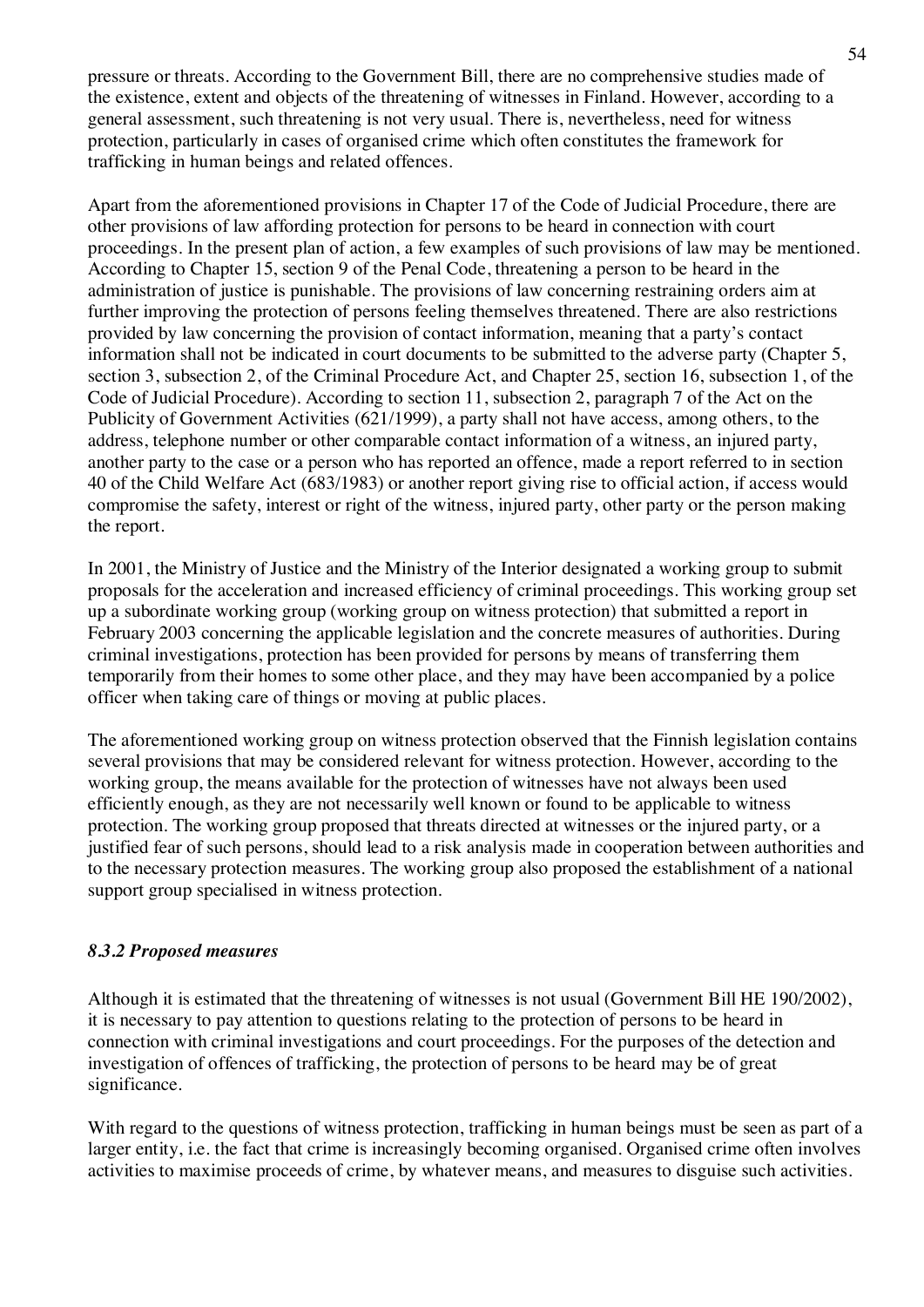pressure or threats. According to the Government Bill, there are no comprehensive studies made of the existence, extent and objects of the threatening of witnesses in Finland. However, according to a general assessment, such threatening is not very usual. There is, nevertheless, need for witness protection, particularly in cases of organised crime which often constitutes the framework for trafficking in human beings and related offences.

Apart from the aforementioned provisions in Chapter 17 of the Code of Judicial Procedure, there are other provisions of law affording protection for persons to be heard in connection with court proceedings. In the present plan of action, a few examples of such provisions of law may be mentioned. According to Chapter 15, section 9 of the Penal Code, threatening a person to be heard in the administration of justice is punishable. The provisions of law concerning restraining orders aim at further improving the protection of persons feeling themselves threatened. There are also restrictions provided by law concerning the provision of contact information, meaning that a party's contact information shall not be indicated in court documents to be submitted to the adverse party (Chapter 5, section 3, subsection 2, of the Criminal Procedure Act, and Chapter 25, section 16, subsection 1, of the Code of Judicial Procedure). According to section 11, subsection 2, paragraph 7 of the Act on the Publicity of Government Activities (621/1999), a party shall not have access, among others, to the address, telephone number or other comparable contact information of a witness, an injured party, another party to the case or a person who has reported an offence, made a report referred to in section 40 of the Child Welfare Act (683/1983) or another report giving rise to official action, if access would compromise the safety, interest or right of the witness, injured party, other party or the person making the report.

In 2001, the Ministry of Justice and the Ministry of the Interior designated a working group to submit proposals for the acceleration and increased efficiency of criminal proceedings. This working group set up a subordinate working group (working group on witness protection) that submitted a report in February 2003 concerning the applicable legislation and the concrete measures of authorities. During criminal investigations, protection has been provided for persons by means of transferring them temporarily from their homes to some other place, and they may have been accompanied by a police officer when taking care of things or moving at public places.

The aforementioned working group on witness protection observed that the Finnish legislation contains several provisions that may be considered relevant for witness protection. However, according to the working group, the means available for the protection of witnesses have not always been used efficiently enough, as they are not necessarily well known or found to be applicable to witness protection. The working group proposed that threats directed at witnesses or the injured party, or a justified fear of such persons, should lead to a risk analysis made in cooperation between authorities and to the necessary protection measures. The working group also proposed the establishment of a national support group specialised in witness protection.

# *8.3.2 Proposed measures*

Although it is estimated that the threatening of witnesses is not usual (Government Bill HE 190/2002), it is necessary to pay attention to questions relating to the protection of persons to be heard in connection with criminal investigations and court proceedings. For the purposes of the detection and investigation of offences of trafficking, the protection of persons to be heard may be of great significance.

With regard to the questions of witness protection, trafficking in human beings must be seen as part of a larger entity, i.e. the fact that crime is increasingly becoming organised. Organised crime often involves activities to maximise proceeds of crime, by whatever means, and measures to disguise such activities.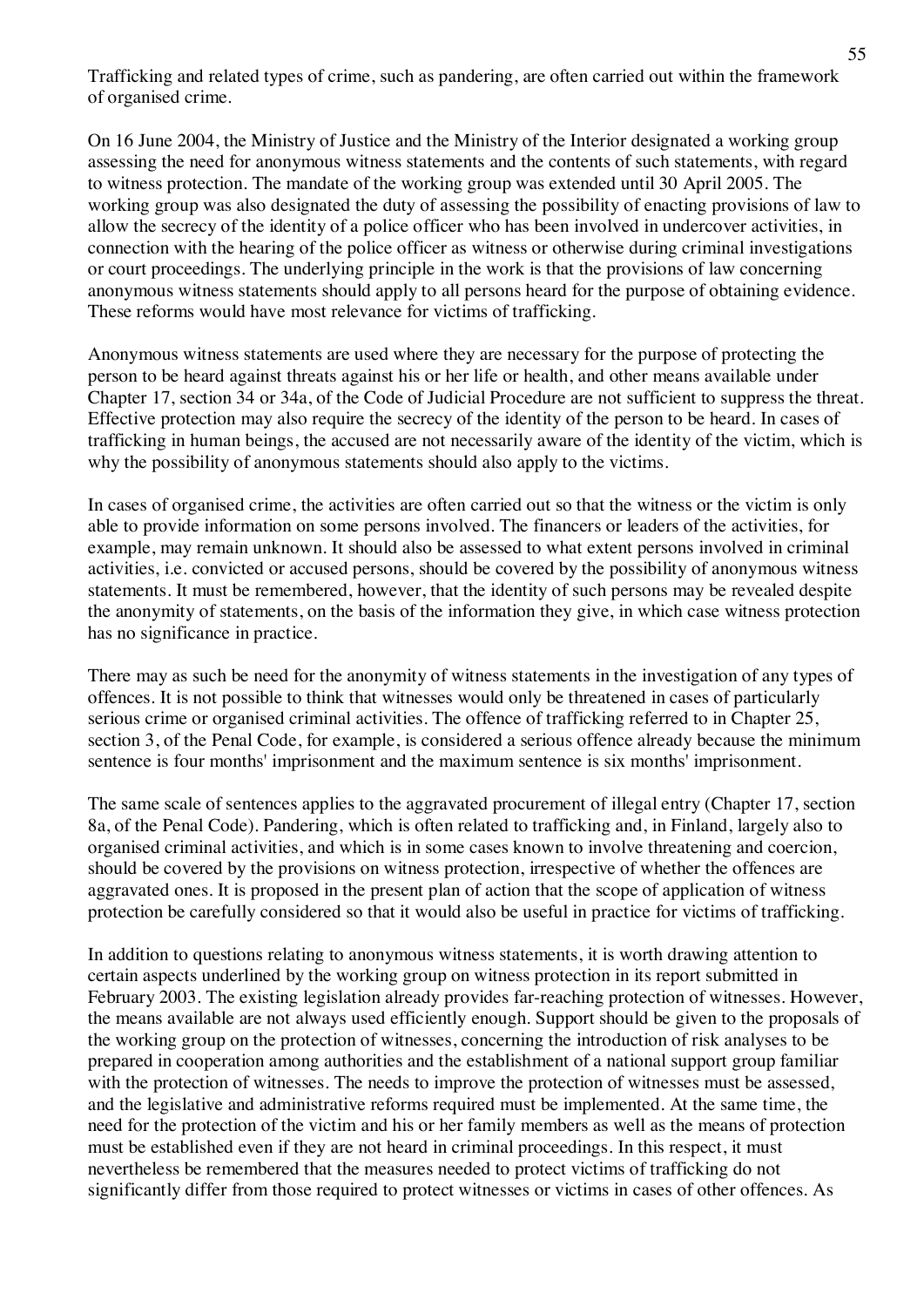Trafficking and related types of crime, such as pandering, are often carried out within the framework of organised crime.

On 16 June 2004, the Ministry of Justice and the Ministry of the Interior designated a working group assessing the need for anonymous witness statements and the contents of such statements, with regard to witness protection. The mandate of the working group was extended until 30 April 2005. The working group was also designated the duty of assessing the possibility of enacting provisions of law to allow the secrecy of the identity of a police officer who has been involved in undercover activities, in connection with the hearing of the police officer as witness or otherwise during criminal investigations or court proceedings. The underlying principle in the work is that the provisions of law concerning anonymous witness statements should apply to all persons heard for the purpose of obtaining evidence. These reforms would have most relevance for victims of trafficking.

Anonymous witness statements are used where they are necessary for the purpose of protecting the person to be heard against threats against his or her life or health, and other means available under Chapter 17, section 34 or 34a, of the Code of Judicial Procedure are not sufficient to suppress the threat. Effective protection may also require the secrecy of the identity of the person to be heard. In cases of trafficking in human beings, the accused are not necessarily aware of the identity of the victim, which is why the possibility of anonymous statements should also apply to the victims.

In cases of organised crime, the activities are often carried out so that the witness or the victim is only able to provide information on some persons involved. The financers or leaders of the activities, for example, may remain unknown. It should also be assessed to what extent persons involved in criminal activities, i.e. convicted or accused persons, should be covered by the possibility of anonymous witness statements. It must be remembered, however, that the identity of such persons may be revealed despite the anonymity of statements, on the basis of the information they give, in which case witness protection has no significance in practice.

There may as such be need for the anonymity of witness statements in the investigation of any types of offences. It is not possible to think that witnesses would only be threatened in cases of particularly serious crime or organised criminal activities. The offence of trafficking referred to in Chapter 25, section 3, of the Penal Code, for example, is considered a serious offence already because the minimum sentence is four months' imprisonment and the maximum sentence is six months' imprisonment.

The same scale of sentences applies to the aggravated procurement of illegal entry (Chapter 17, section 8a, of the Penal Code). Pandering, which is often related to trafficking and, in Finland, largely also to organised criminal activities, and which is in some cases known to involve threatening and coercion, should be covered by the provisions on witness protection, irrespective of whether the offences are aggravated ones. It is proposed in the present plan of action that the scope of application of witness protection be carefully considered so that it would also be useful in practice for victims of trafficking.

In addition to questions relating to anonymous witness statements, it is worth drawing attention to certain aspects underlined by the working group on witness protection in its report submitted in February 2003. The existing legislation already provides far-reaching protection of witnesses. However, the means available are not always used efficiently enough. Support should be given to the proposals of the working group on the protection of witnesses, concerning the introduction of risk analyses to be prepared in cooperation among authorities and the establishment of a national support group familiar with the protection of witnesses. The needs to improve the protection of witnesses must be assessed, and the legislative and administrative reforms required must be implemented. At the same time, the need for the protection of the victim and his or her family members as well as the means of protection must be established even if they are not heard in criminal proceedings. In this respect, it must nevertheless be remembered that the measures needed to protect victims of trafficking do not significantly differ from those required to protect witnesses or victims in cases of other offences. As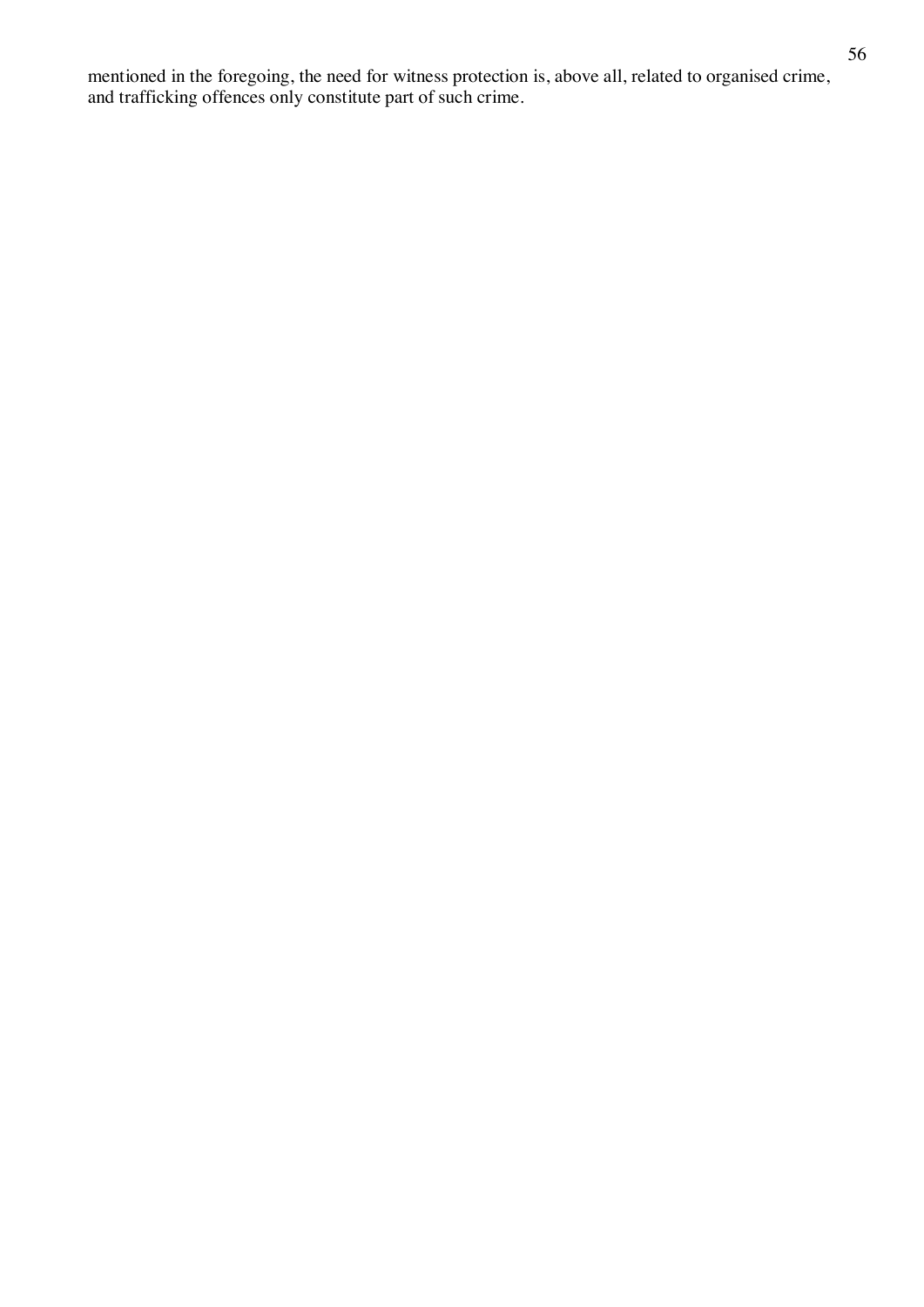mentioned in the foregoing, the need for witness protection is, above all, related to organised crime, and trafficking offences only constitute part of such crime.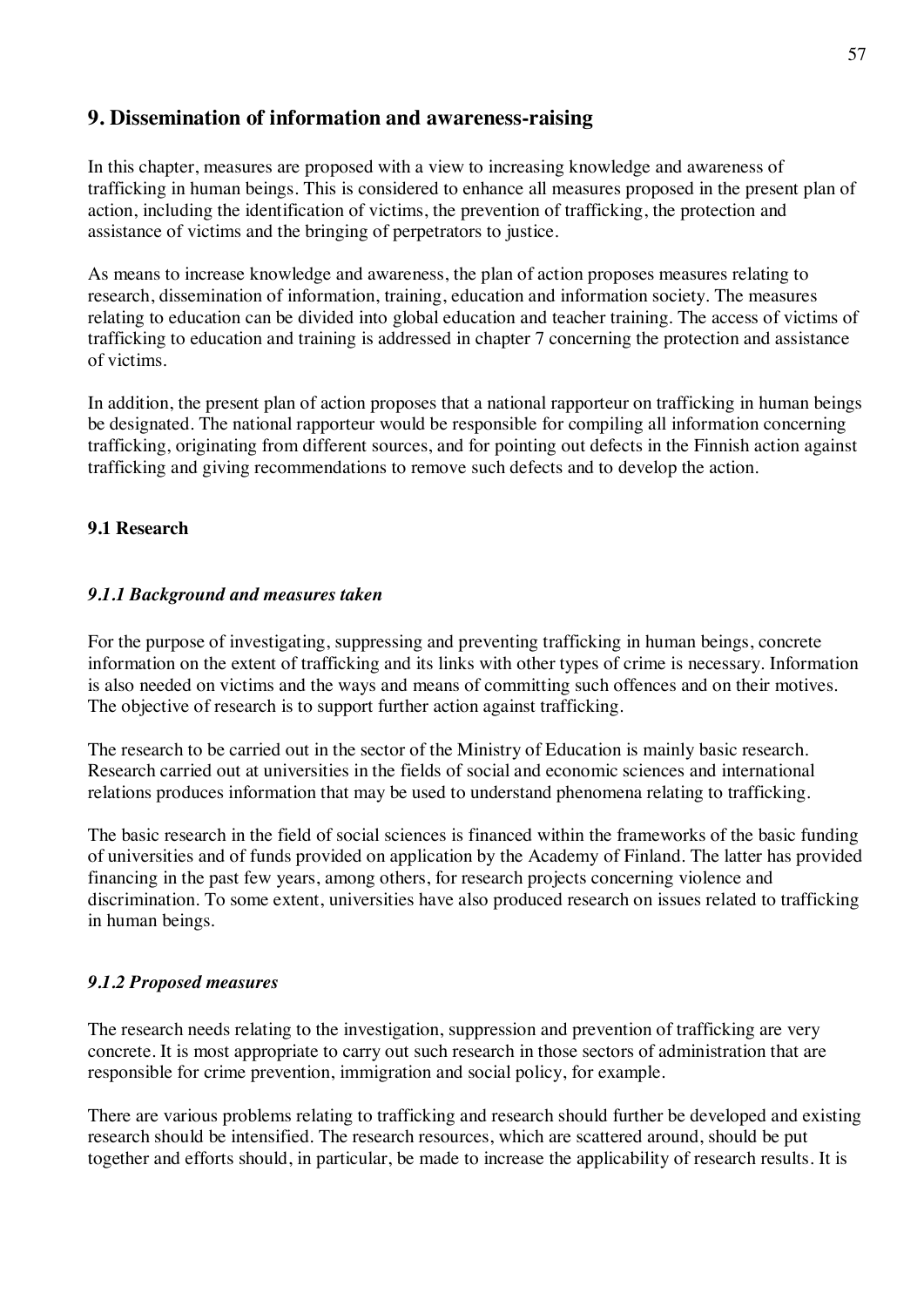# **9. Dissemination of information and awareness-raising**

In this chapter, measures are proposed with a view to increasing knowledge and awareness of trafficking in human beings. This is considered to enhance all measures proposed in the present plan of action, including the identification of victims, the prevention of trafficking, the protection and assistance of victims and the bringing of perpetrators to justice.

As means to increase knowledge and awareness, the plan of action proposes measures relating to research, dissemination of information, training, education and information society. The measures relating to education can be divided into global education and teacher training. The access of victims of trafficking to education and training is addressed in chapter 7 concerning the protection and assistance of victims.

In addition, the present plan of action proposes that a national rapporteur on trafficking in human beings be designated. The national rapporteur would be responsible for compiling all information concerning trafficking, originating from different sources, and for pointing out defects in the Finnish action against trafficking and giving recommendations to remove such defects and to develop the action.

# **9.1 Research**

# *9.1.1 Background and measures taken*

For the purpose of investigating, suppressing and preventing trafficking in human beings, concrete information on the extent of trafficking and its links with other types of crime is necessary. Information is also needed on victims and the ways and means of committing such offences and on their motives. The objective of research is to support further action against trafficking.

The research to be carried out in the sector of the Ministry of Education is mainly basic research. Research carried out at universities in the fields of social and economic sciences and international relations produces information that may be used to understand phenomena relating to trafficking.

The basic research in the field of social sciences is financed within the frameworks of the basic funding of universities and of funds provided on application by the Academy of Finland. The latter has provided financing in the past few years, among others, for research projects concerning violence and discrimination. To some extent, universities have also produced research on issues related to trafficking in human beings.

# *9.1.2 Proposed measures*

The research needs relating to the investigation, suppression and prevention of trafficking are very concrete. It is most appropriate to carry out such research in those sectors of administration that are responsible for crime prevention, immigration and social policy, for example.

There are various problems relating to trafficking and research should further be developed and existing research should be intensified. The research resources, which are scattered around, should be put together and efforts should, in particular, be made to increase the applicability of research results. It is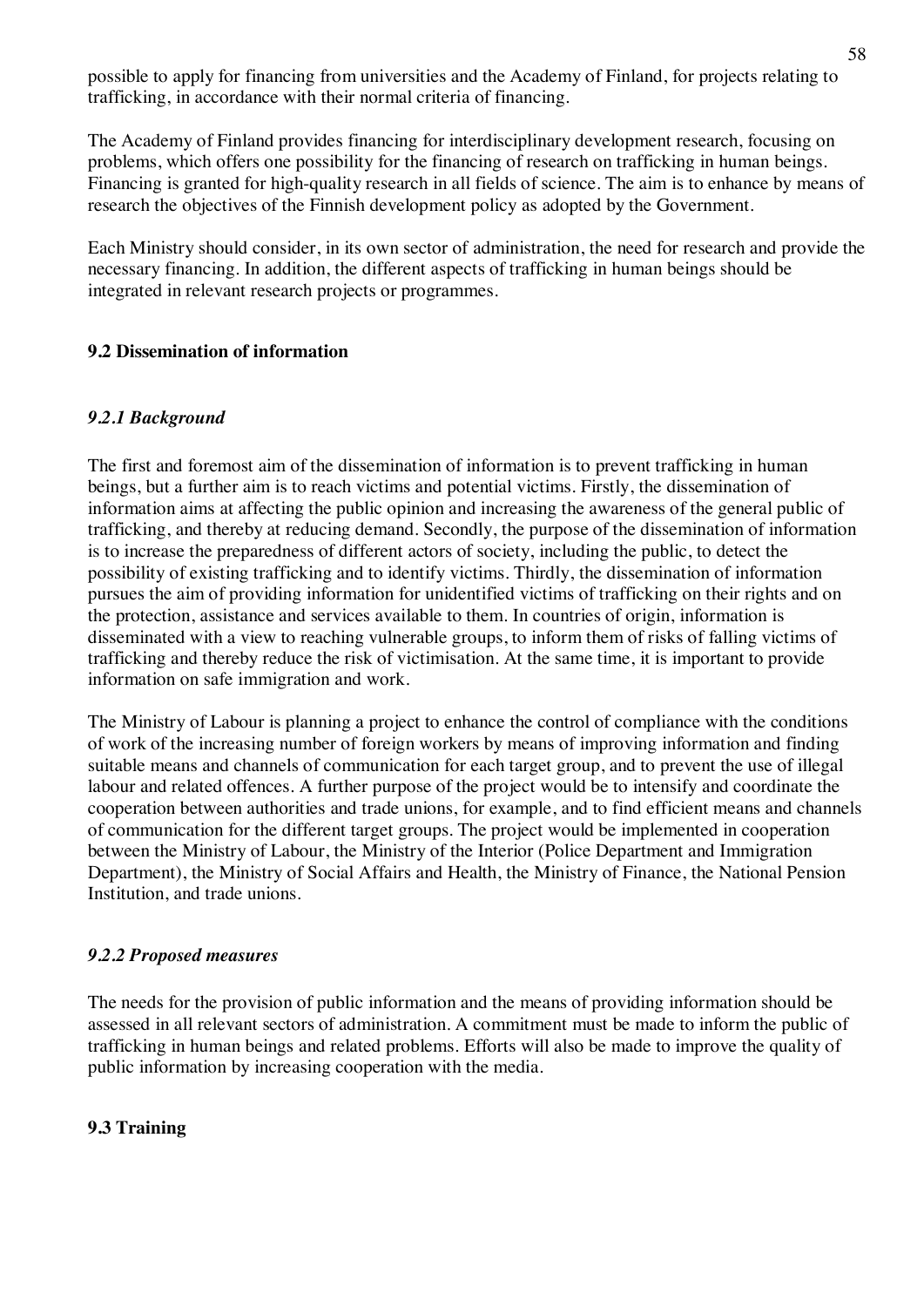possible to apply for financing from universities and the Academy of Finland, for projects relating to trafficking, in accordance with their normal criteria of financing.

The Academy of Finland provides financing for interdisciplinary development research, focusing on problems, which offers one possibility for the financing of research on trafficking in human beings. Financing is granted for high-quality research in all fields of science. The aim is to enhance by means of research the objectives of the Finnish development policy as adopted by the Government.

Each Ministry should consider, in its own sector of administration, the need for research and provide the necessary financing. In addition, the different aspects of trafficking in human beings should be integrated in relevant research projects or programmes.

# **9.2 Dissemination of information**

# *9.2.1 Background*

The first and foremost aim of the dissemination of information is to prevent trafficking in human beings, but a further aim is to reach victims and potential victims. Firstly, the dissemination of information aims at affecting the public opinion and increasing the awareness of the general public of trafficking, and thereby at reducing demand. Secondly, the purpose of the dissemination of information is to increase the preparedness of different actors of society, including the public, to detect the possibility of existing trafficking and to identify victims. Thirdly, the dissemination of information pursues the aim of providing information for unidentified victims of trafficking on their rights and on the protection, assistance and services available to them. In countries of origin, information is disseminated with a view to reaching vulnerable groups, to inform them of risks of falling victims of trafficking and thereby reduce the risk of victimisation. At the same time, it is important to provide information on safe immigration and work.

The Ministry of Labour is planning a project to enhance the control of compliance with the conditions of work of the increasing number of foreign workers by means of improving information and finding suitable means and channels of communication for each target group, and to prevent the use of illegal labour and related offences. A further purpose of the project would be to intensify and coordinate the cooperation between authorities and trade unions, for example, and to find efficient means and channels of communication for the different target groups. The project would be implemented in cooperation between the Ministry of Labour, the Ministry of the Interior (Police Department and Immigration Department), the Ministry of Social Affairs and Health, the Ministry of Finance, the National Pension Institution, and trade unions.

# *9.2.2 Proposed measures*

The needs for the provision of public information and the means of providing information should be assessed in all relevant sectors of administration. A commitment must be made to inform the public of trafficking in human beings and related problems. Efforts will also be made to improve the quality of public information by increasing cooperation with the media.

# **9.3 Training**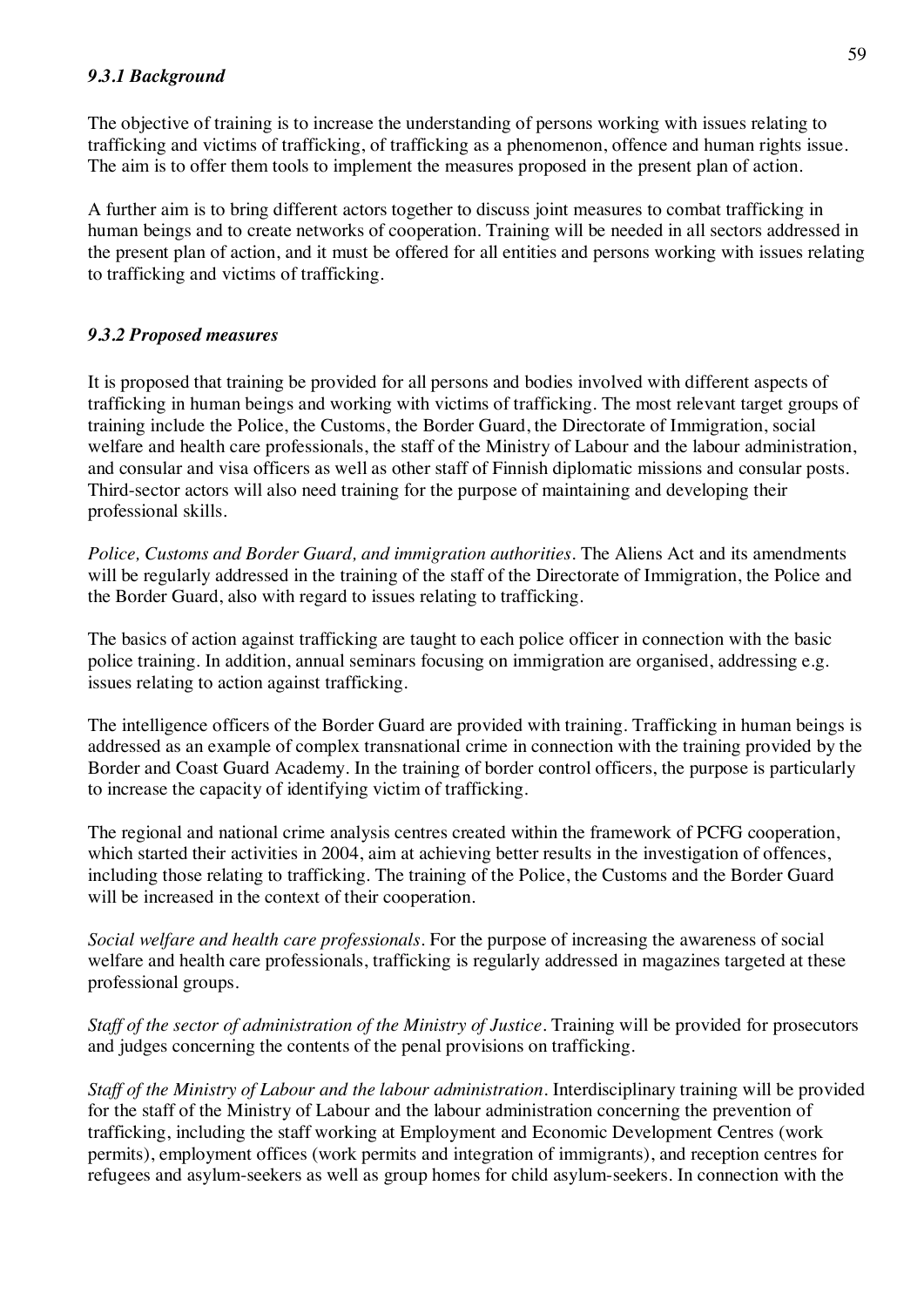### *9.3.1 Background*

The objective of training is to increase the understanding of persons working with issues relating to trafficking and victims of trafficking, of trafficking as a phenomenon, offence and human rights issue. The aim is to offer them tools to implement the measures proposed in the present plan of action.

A further aim is to bring different actors together to discuss joint measures to combat trafficking in human beings and to create networks of cooperation. Training will be needed in all sectors addressed in the present plan of action, and it must be offered for all entities and persons working with issues relating to trafficking and victims of trafficking.

# *9.3.2 Proposed measures*

It is proposed that training be provided for all persons and bodies involved with different aspects of trafficking in human beings and working with victims of trafficking. The most relevant target groups of training include the Police, the Customs, the Border Guard, the Directorate of Immigration, social welfare and health care professionals, the staff of the Ministry of Labour and the labour administration, and consular and visa officers as well as other staff of Finnish diplomatic missions and consular posts. Third-sector actors will also need training for the purpose of maintaining and developing their professional skills.

*Police, Customs and Border Guard, and immigration authorities.* The Aliens Act and its amendments will be regularly addressed in the training of the staff of the Directorate of Immigration, the Police and the Border Guard, also with regard to issues relating to trafficking.

The basics of action against trafficking are taught to each police officer in connection with the basic police training. In addition, annual seminars focusing on immigration are organised, addressing e.g. issues relating to action against trafficking.

The intelligence officers of the Border Guard are provided with training. Trafficking in human beings is addressed as an example of complex transnational crime in connection with the training provided by the Border and Coast Guard Academy. In the training of border control officers, the purpose is particularly to increase the capacity of identifying victim of trafficking.

The regional and national crime analysis centres created within the framework of PCFG cooperation, which started their activities in 2004, aim at achieving better results in the investigation of offences, including those relating to trafficking. The training of the Police, the Customs and the Border Guard will be increased in the context of their cooperation.

*Social welfare and health care professionals.* For the purpose of increasing the awareness of social welfare and health care professionals, trafficking is regularly addressed in magazines targeted at these professional groups.

*Staff of the sector of administration of the Ministry of Justice.* Training will be provided for prosecutors and judges concerning the contents of the penal provisions on trafficking.

*Staff of the Ministry of Labour and the labour administration.* Interdisciplinary training will be provided for the staff of the Ministry of Labour and the labour administration concerning the prevention of trafficking, including the staff working at Employment and Economic Development Centres (work permits), employment offices (work permits and integration of immigrants), and reception centres for refugees and asylum-seekers as well as group homes for child asylum-seekers. In connection with the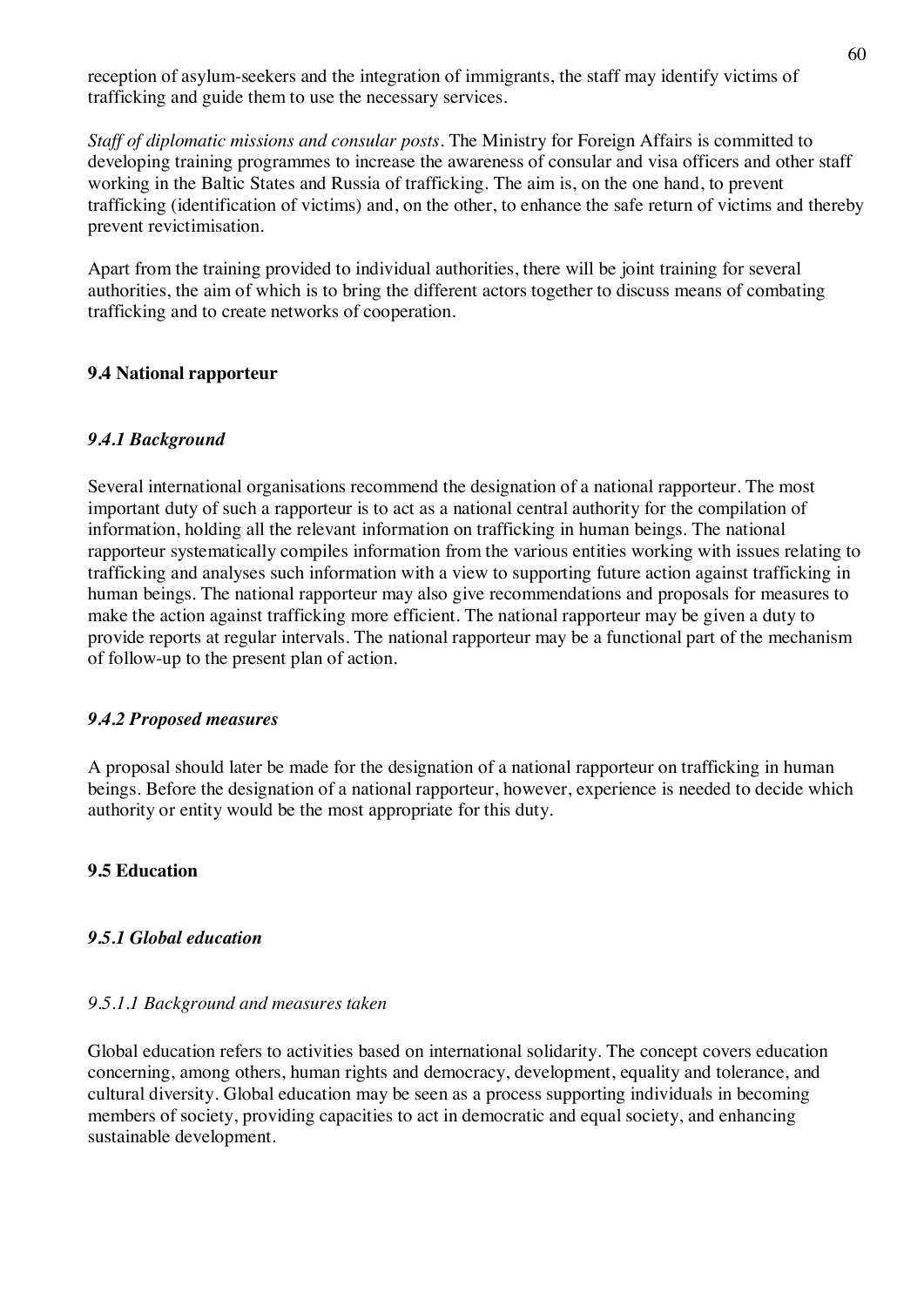reception of asylum-seekers and the integration of immigrants, the staff may identify victims of trafficking and guide them to use the necessary services.

*Staff of diplomatic missions and consular posts.* The Ministry for Foreign Affairs is committed to developing training programmes to increase the awareness of consular and visa officers and other staff working in the Baltic States and Russia of trafficking. The aim is, on the one hand, to prevent trafficking (identification of victims) and, on the other, to enhance the safe return of victims and thereby prevent revictimisation.

Apart from the training provided to individual authorities, there will be joint training for several authorities, the aim of which is to bring the different actors together to discuss means of combating trafficking and to create networks of cooperation.

#### **9.4 National rapporteur**

# *9.4.1 Background*

Several international organisations recommend the designation of a national rapporteur. The most important duty of such a rapporteur is to act as a national central authority for the compilation of information, holding all the relevant information on trafficking in human beings. The national rapporteur systematically compiles information from the various entities working with issues relating to trafficking and analyses such information with a view to supporting future action against trafficking in human beings. The national rapporteur may also give recommendations and proposals for measures to make the action against trafficking more efficient. The national rapporteur may be given a duty to provide reports at regular intervals. The national rapporteur may be a functional part of the mechanism of follow-up to the present plan of action.

#### *9.4.2 Proposed measures*

A proposal should later be made for the designation of a national rapporteur on trafficking in human beings. Before the designation of a national rapporteur, however, experience is needed to decide which authority or entity would be the most appropriate for this duty.

# **9.5 Education**

#### *9.5.1 Global education*

#### *9.5.1.1 Background and measures taken*

Global education refers to activities based on international solidarity. The concept covers education concerning, among others, human rights and democracy, development, equality and tolerance, and cultural diversity. Global education may be seen as a process supporting individuals in becoming members of society, providing capacities to act in democratic and equal society, and enhancing sustainable development.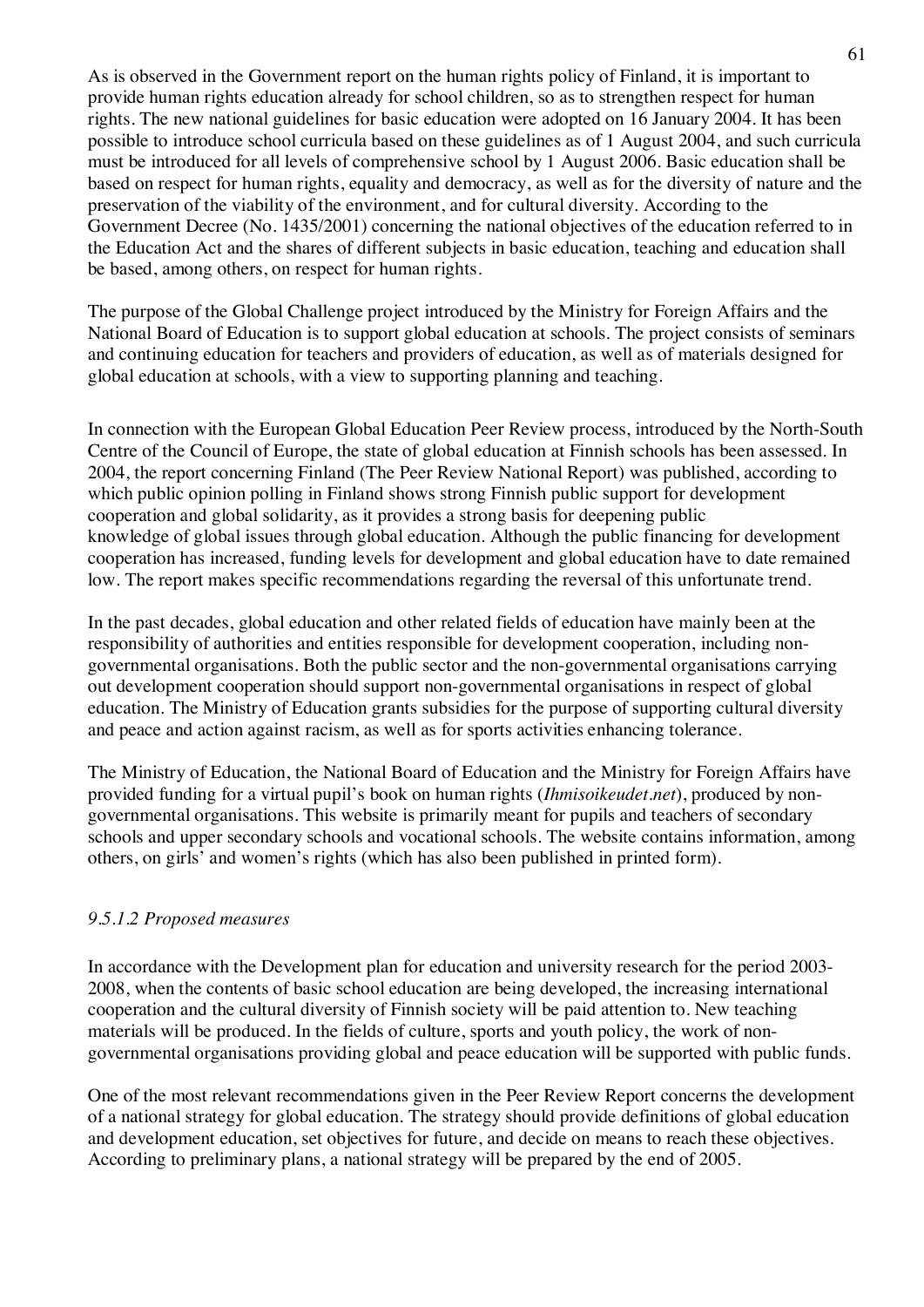As is observed in the Government report on the human rights policy of Finland, it is important to provide human rights education already for school children, so as to strengthen respect for human rights. The new national guidelines for basic education were adopted on 16 January 2004. It has been possible to introduce school curricula based on these guidelines as of 1 August 2004, and such curricula must be introduced for all levels of comprehensive school by 1 August 2006. Basic education shall be based on respect for human rights, equality and democracy, as well as for the diversity of nature and the preservation of the viability of the environment, and for cultural diversity. According to the Government Decree (No. 1435/2001) concerning the national objectives of the education referred to in the Education Act and the shares of different subjects in basic education, teaching and education shall be based, among others, on respect for human rights.

The purpose of the Global Challenge project introduced by the Ministry for Foreign Affairs and the National Board of Education is to support global education at schools. The project consists of seminars and continuing education for teachers and providers of education, as well as of materials designed for global education at schools, with a view to supporting planning and teaching.

In connection with the European Global Education Peer Review process, introduced by the North-South Centre of the Council of Europe, the state of global education at Finnish schools has been assessed. In 2004, the report concerning Finland (The Peer Review National Report) was published, according to which public opinion polling in Finland shows strong Finnish public support for development cooperation and global solidarity, as it provides a strong basis for deepening public knowledge of global issues through global education. Although the public financing for development cooperation has increased, funding levels for development and global education have to date remained low. The report makes specific recommendations regarding the reversal of this unfortunate trend.

In the past decades, global education and other related fields of education have mainly been at the responsibility of authorities and entities responsible for development cooperation, including nongovernmental organisations. Both the public sector and the non-governmental organisations carrying out development cooperation should support non-governmental organisations in respect of global education. The Ministry of Education grants subsidies for the purpose of supporting cultural diversity and peace and action against racism, as well as for sports activities enhancing tolerance.

The Ministry of Education, the National Board of Education and the Ministry for Foreign Affairs have provided funding for a virtual pupil's book on human rights (*Ihmisoikeudet.net*), produced by nongovernmental organisations. This website is primarily meant for pupils and teachers of secondary schools and upper secondary schools and vocational schools. The website contains information, among others, on girls' and women's rights (which has also been published in printed form).

# *9.5.1.2 Proposed measures*

In accordance with the Development plan for education and university research for the period 2003- 2008, when the contents of basic school education are being developed, the increasing international cooperation and the cultural diversity of Finnish society will be paid attention to. New teaching materials will be produced. In the fields of culture, sports and youth policy, the work of nongovernmental organisations providing global and peace education will be supported with public funds.

One of the most relevant recommendations given in the Peer Review Report concerns the development of a national strategy for global education. The strategy should provide definitions of global education and development education, set objectives for future, and decide on means to reach these objectives. According to preliminary plans, a national strategy will be prepared by the end of 2005.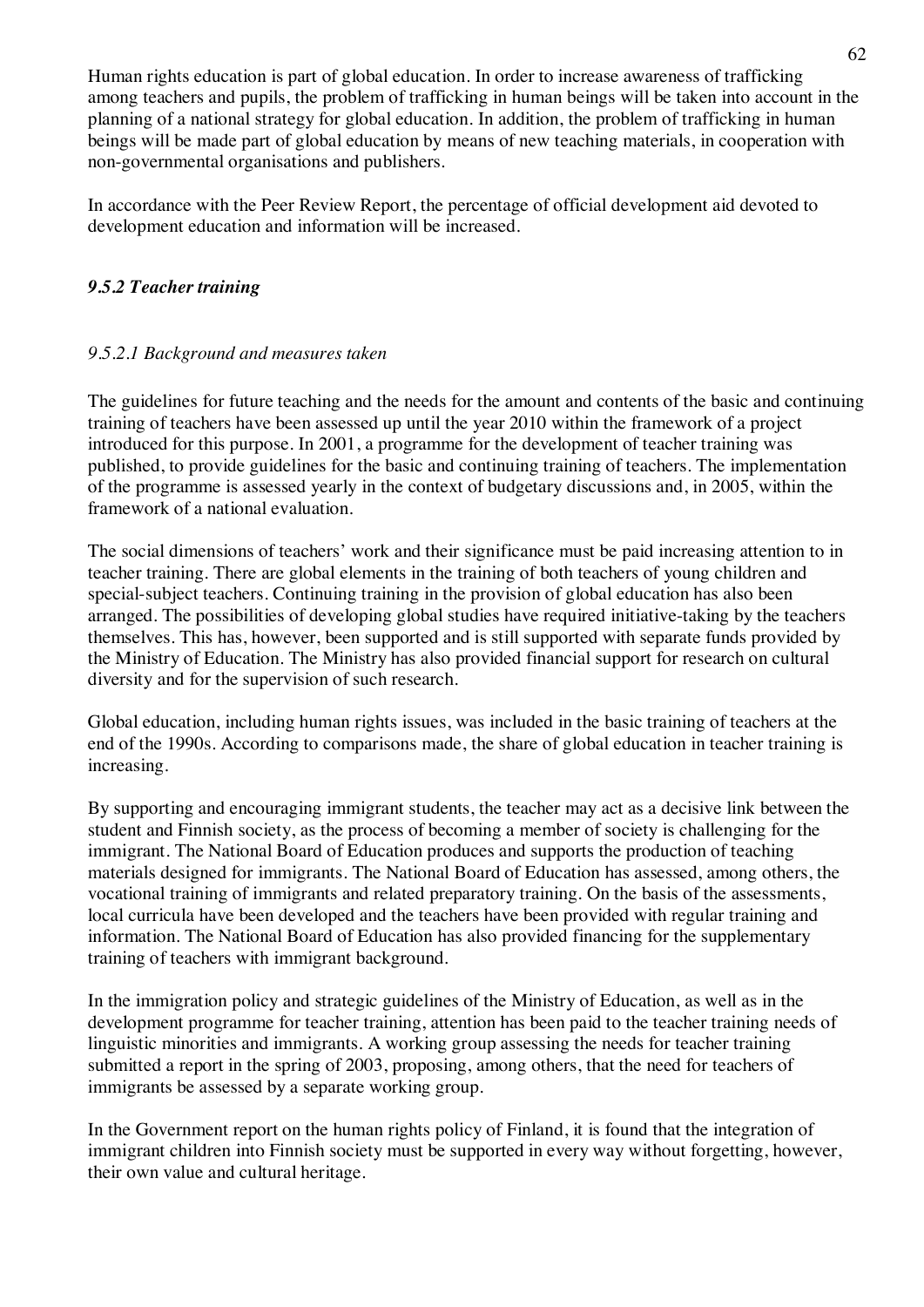Human rights education is part of global education. In order to increase awareness of trafficking among teachers and pupils, the problem of trafficking in human beings will be taken into account in the planning of a national strategy for global education. In addition, the problem of trafficking in human beings will be made part of global education by means of new teaching materials, in cooperation with non-governmental organisations and publishers.

In accordance with the Peer Review Report, the percentage of official development aid devoted to development education and information will be increased.

# *9.5.2 Teacher training*

# *9.5.2.1 Background and measures taken*

The guidelines for future teaching and the needs for the amount and contents of the basic and continuing training of teachers have been assessed up until the year 2010 within the framework of a project introduced for this purpose. In 2001, a programme for the development of teacher training was published, to provide guidelines for the basic and continuing training of teachers. The implementation of the programme is assessed yearly in the context of budgetary discussions and, in 2005, within the framework of a national evaluation.

The social dimensions of teachers' work and their significance must be paid increasing attention to in teacher training. There are global elements in the training of both teachers of young children and special-subject teachers. Continuing training in the provision of global education has also been arranged. The possibilities of developing global studies have required initiative-taking by the teachers themselves. This has, however, been supported and is still supported with separate funds provided by the Ministry of Education. The Ministry has also provided financial support for research on cultural diversity and for the supervision of such research.

Global education, including human rights issues, was included in the basic training of teachers at the end of the 1990s. According to comparisons made, the share of global education in teacher training is increasing.

By supporting and encouraging immigrant students, the teacher may act as a decisive link between the student and Finnish society, as the process of becoming a member of society is challenging for the immigrant. The National Board of Education produces and supports the production of teaching materials designed for immigrants. The National Board of Education has assessed, among others, the vocational training of immigrants and related preparatory training. On the basis of the assessments, local curricula have been developed and the teachers have been provided with regular training and information. The National Board of Education has also provided financing for the supplementary training of teachers with immigrant background.

In the immigration policy and strategic guidelines of the Ministry of Education, as well as in the development programme for teacher training, attention has been paid to the teacher training needs of linguistic minorities and immigrants. A working group assessing the needs for teacher training submitted a report in the spring of 2003, proposing, among others, that the need for teachers of immigrants be assessed by a separate working group.

In the Government report on the human rights policy of Finland, it is found that the integration of immigrant children into Finnish society must be supported in every way without forgetting, however, their own value and cultural heritage.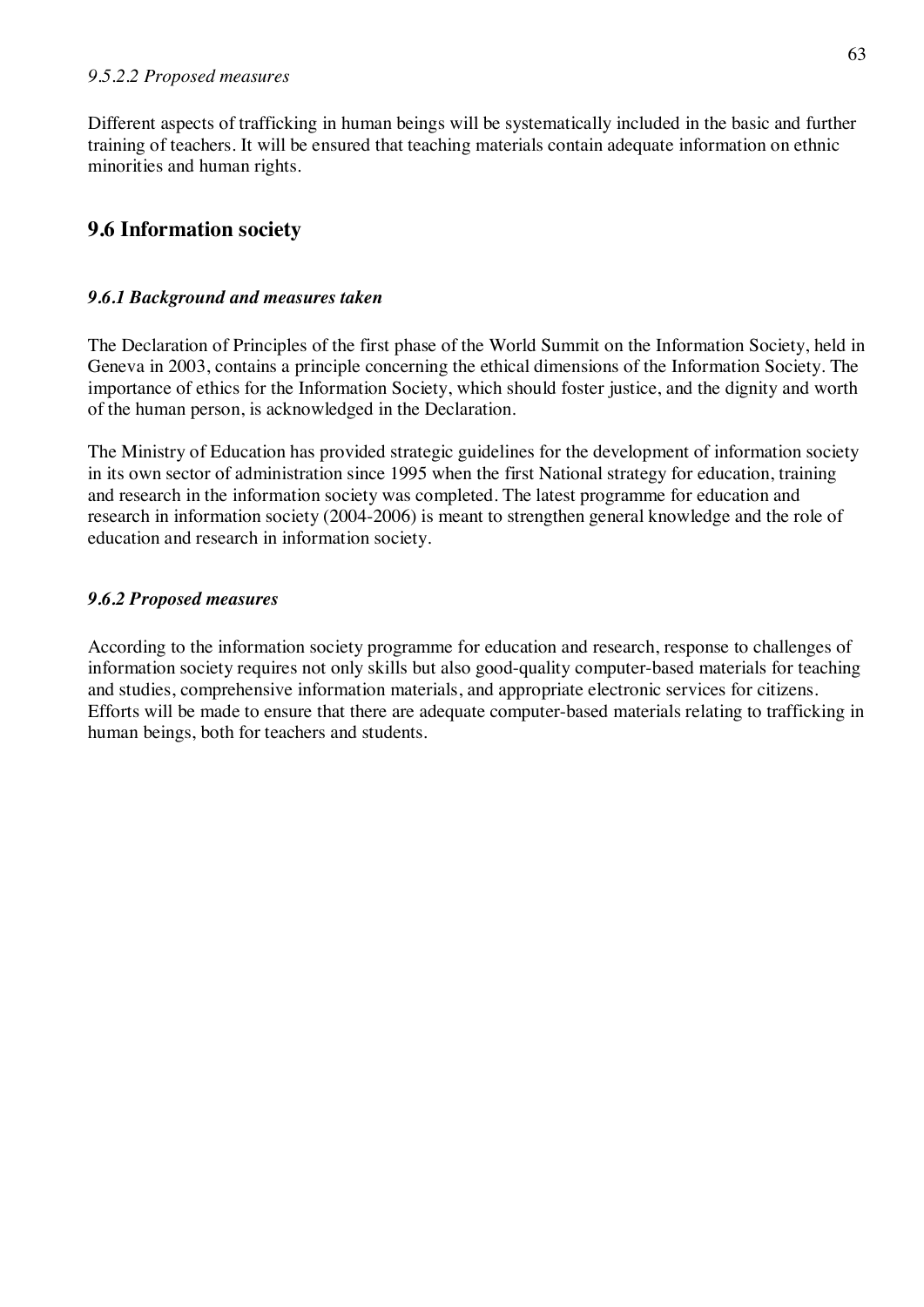Different aspects of trafficking in human beings will be systematically included in the basic and further training of teachers. It will be ensured that teaching materials contain adequate information on ethnic minorities and human rights.

# **9.6 Information society**

# *9.6.1 Background and measures taken*

The Declaration of Principles of the first phase of the World Summit on the Information Society, held in Geneva in 2003, contains a principle concerning the ethical dimensions of the Information Society. The importance of ethics for the Information Society, which should foster justice, and the dignity and worth of the human person, is acknowledged in the Declaration.

The Ministry of Education has provided strategic guidelines for the development of information society in its own sector of administration since 1995 when the first National strategy for education, training and research in the information society was completed. The latest programme for education and research in information society (2004-2006) is meant to strengthen general knowledge and the role of education and research in information society.

# *9.6.2 Proposed measures*

According to the information society programme for education and research, response to challenges of information society requires not only skills but also good-quality computer-based materials for teaching and studies, comprehensive information materials, and appropriate electronic services for citizens. Efforts will be made to ensure that there are adequate computer-based materials relating to trafficking in human beings, both for teachers and students.